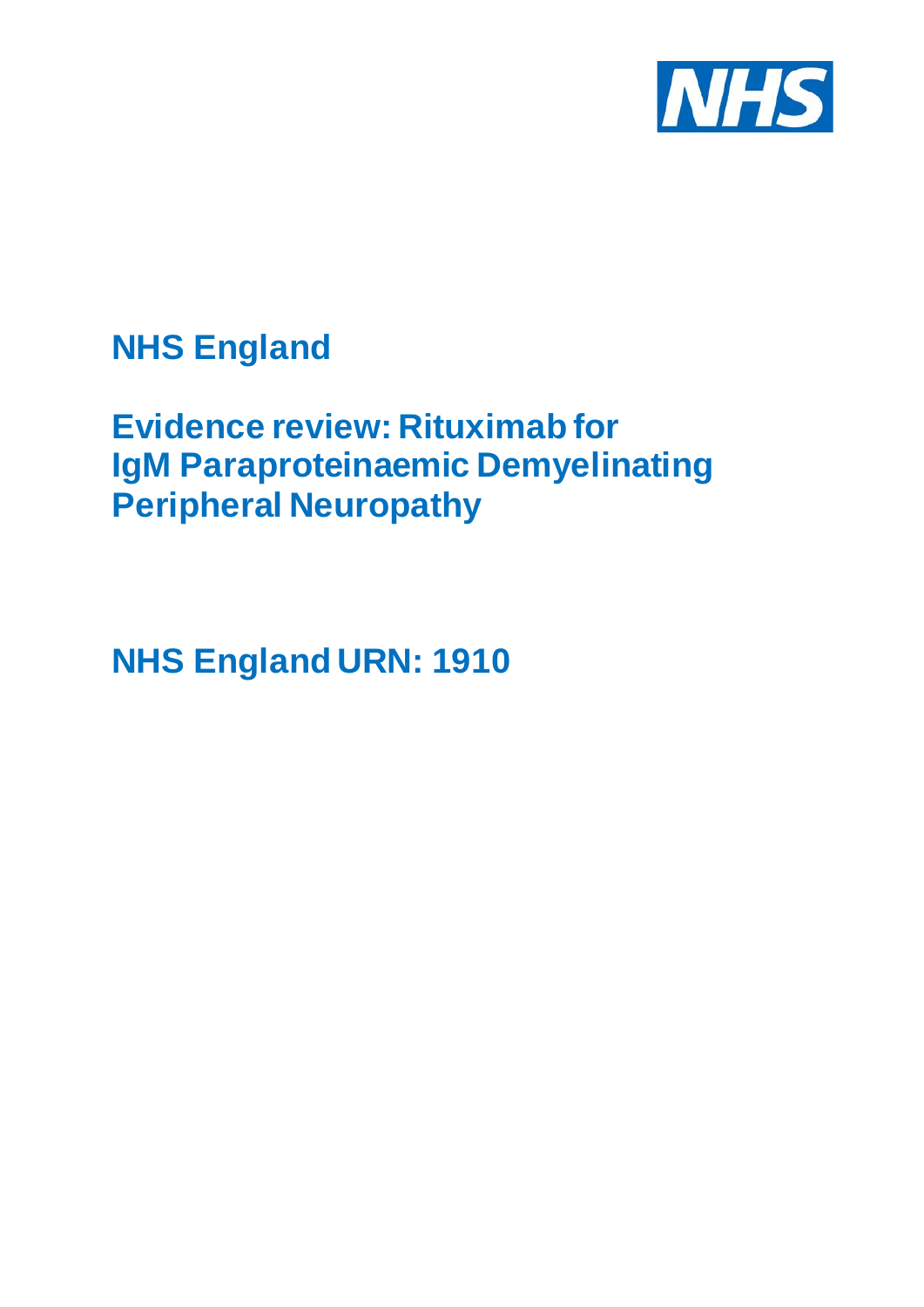

# **NHS England**

# **Evidence review: Rituximab for IgM Paraproteinaemic Demyelinating Peripheral Neuropathy**

**NHS England URN: 1910**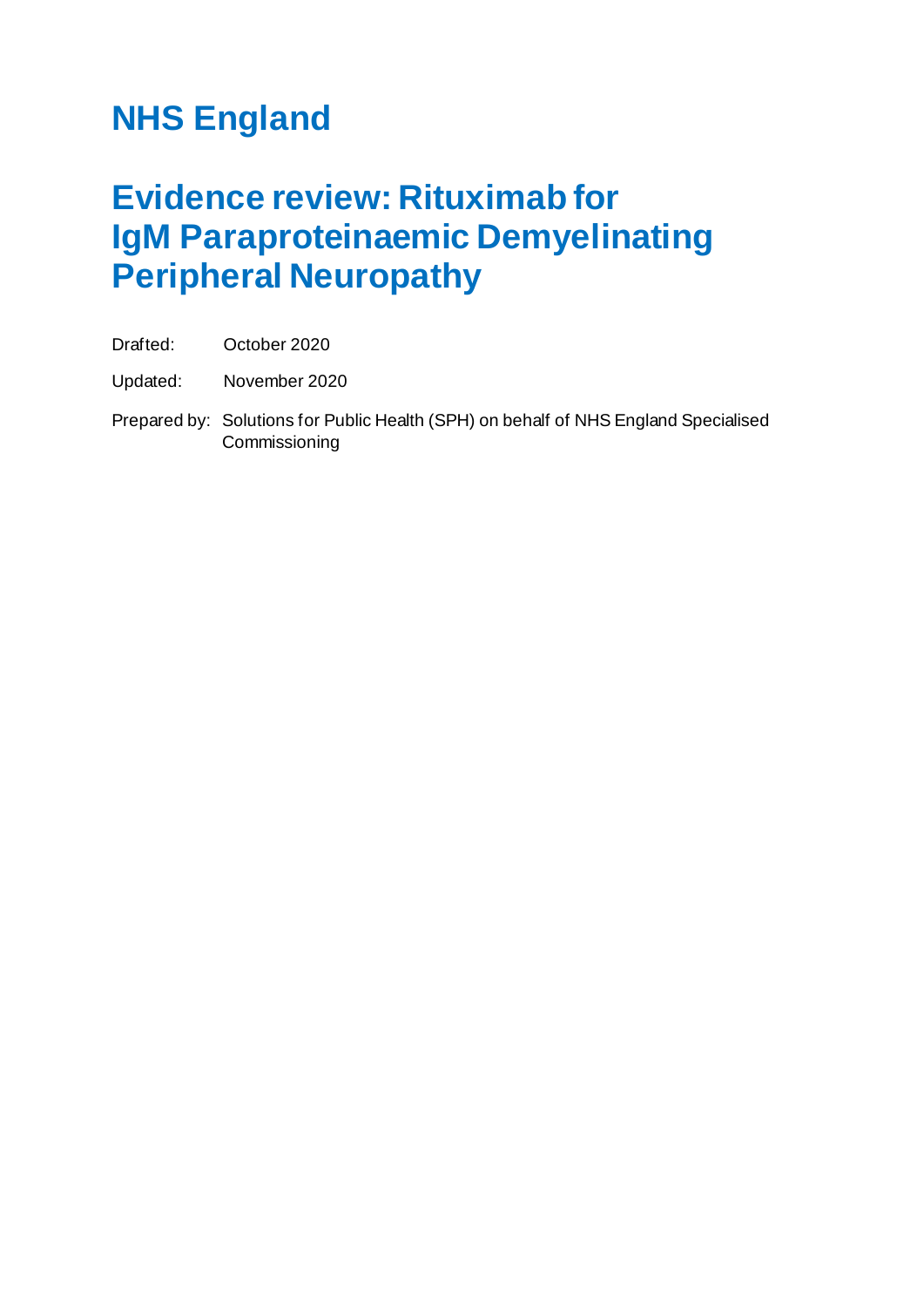# **NHS England**

# **Evidence review: Rituximab for IgM Paraproteinaemic Demyelinating Peripheral Neuropathy**

Drafted: October 2020

Updated: November 2020

Prepared by: Solutions for Public Health (SPH) on behalf of NHS England Specialised **Commissioning**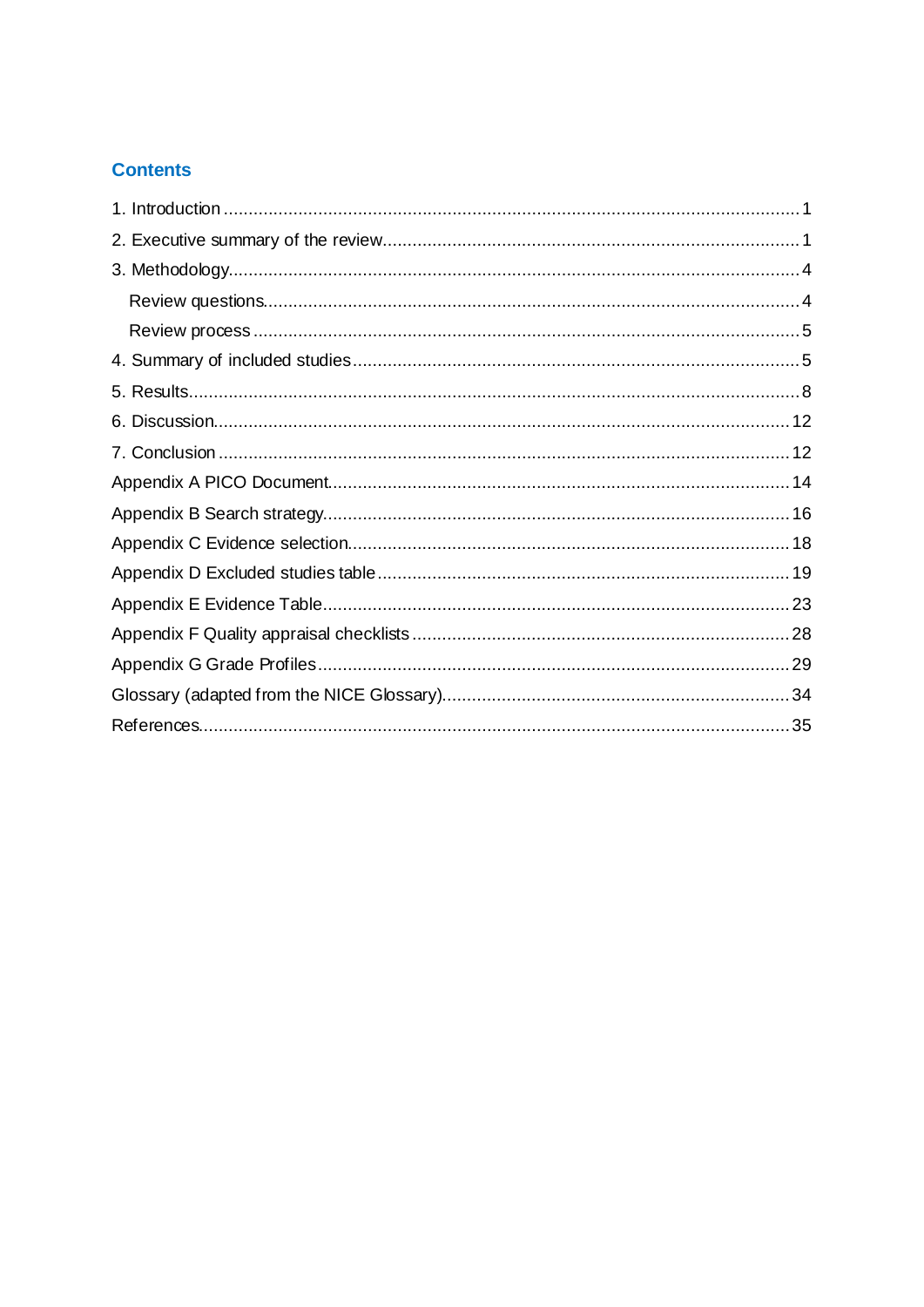## **Contents**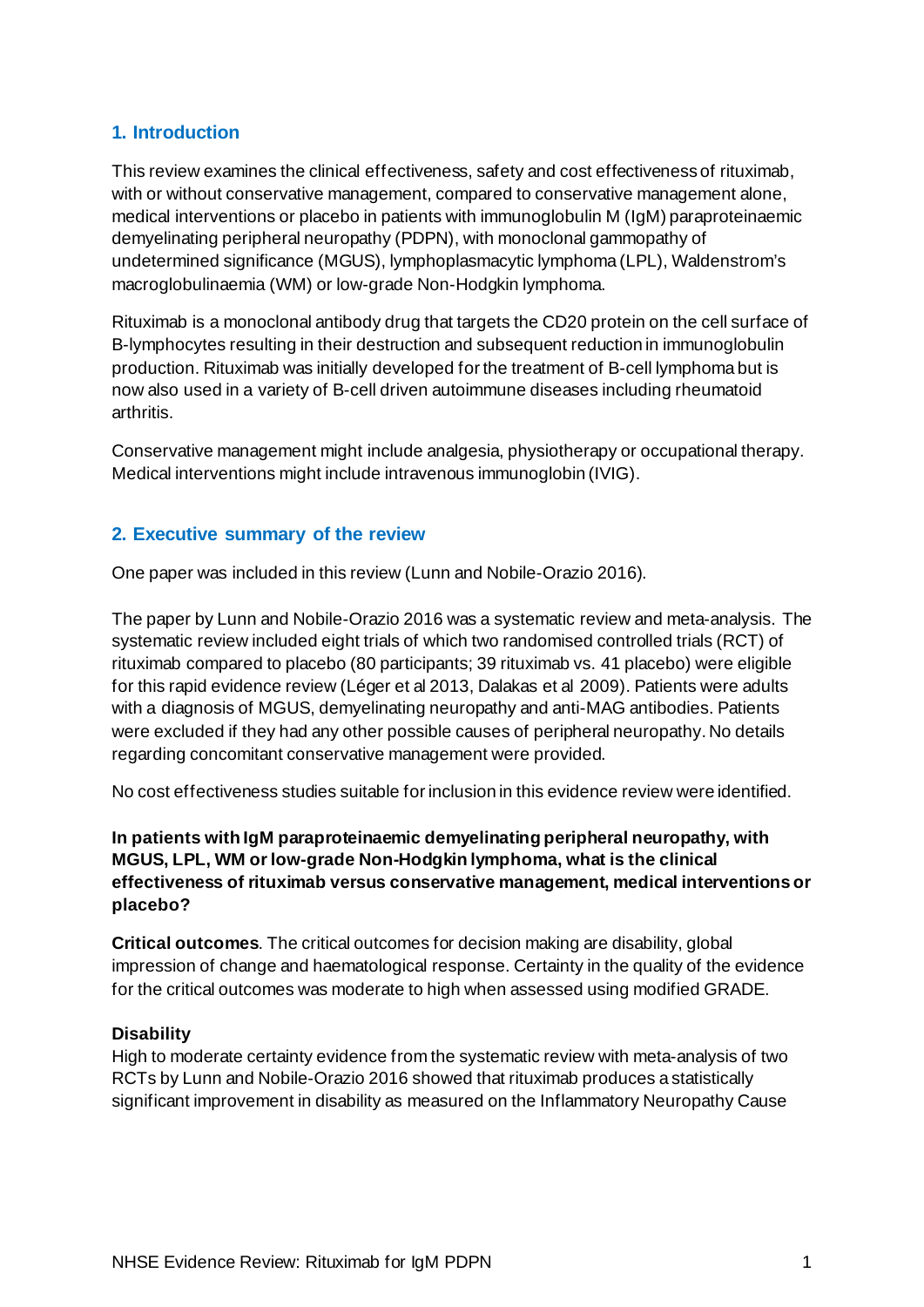## <span id="page-3-0"></span>**1. Introduction**

This review examines the clinical effectiveness, safety and cost effectiveness of rituximab, with or without conservative management, compared to conservative management alone, medical interventions or placebo in patients with immunoglobulin M (IgM) paraproteinaemic demyelinating peripheral neuropathy (PDPN), with monoclonal gammopathy of undetermined significance (MGUS), lymphoplasmacytic lymphoma (LPL), Waldenstrom's macroglobulinaemia (WM) or low-grade Non-Hodgkin lymphoma.

Rituximab is a monoclonal antibody drug that targets the CD20 protein on the cell surface of B-lymphocytes resulting in their destruction and subsequent reduction in immunoglobulin production. Rituximab was initially developed for the treatment of B-cell lymphoma but is now also used in a variety of B-cell driven autoimmune diseases including rheumatoid arthritis.

Conservative management might include analgesia, physiotherapy or occupational therapy. Medical interventions might include intravenous immunoglobin (IVIG).

## <span id="page-3-1"></span>**2. Executive summary of the review**

One paper was included in this review (Lunn and Nobile-Orazio 2016).

The paper by Lunn and Nobile-Orazio 2016 was a systematic review and meta-analysis. The systematic review included eight trials of which two randomised controlled trials (RCT) of rituximab compared to placebo (80 participants; 39 rituximab vs. 41 placebo) were eligible for this rapid evidence review (Léger et al 2013, Dalakas et al 2009). Patients were adults with a diagnosis of MGUS, demyelinating neuropathy and anti-MAG antibodies. Patients were excluded if they had any other possible causes of peripheral neuropathy. No details regarding concomitant conservative management were provided.

No cost effectiveness studies suitable for inclusion in this evidence review were identified.

## **In patients with IgM paraproteinaemic demyelinating peripheral neuropathy, with MGUS, LPL, WM or low-grade Non-Hodgkin lymphoma, what is the clinical effectiveness of rituximab versus conservative management, medical interventions or placebo?**

**Critical outcomes**. The critical outcomes for decision making are disability, global impression of change and haematological response. Certainty in the quality of the evidence for the critical outcomes was moderate to high when assessed using modified GRADE.

#### **Disability**

High to moderate certainty evidence from the systematic review with meta-analysis of two RCTs by Lunn and Nobile-Orazio 2016 showed that rituximab produces a statistically significant improvement in disability as measured on the Inflammatory Neuropathy Cause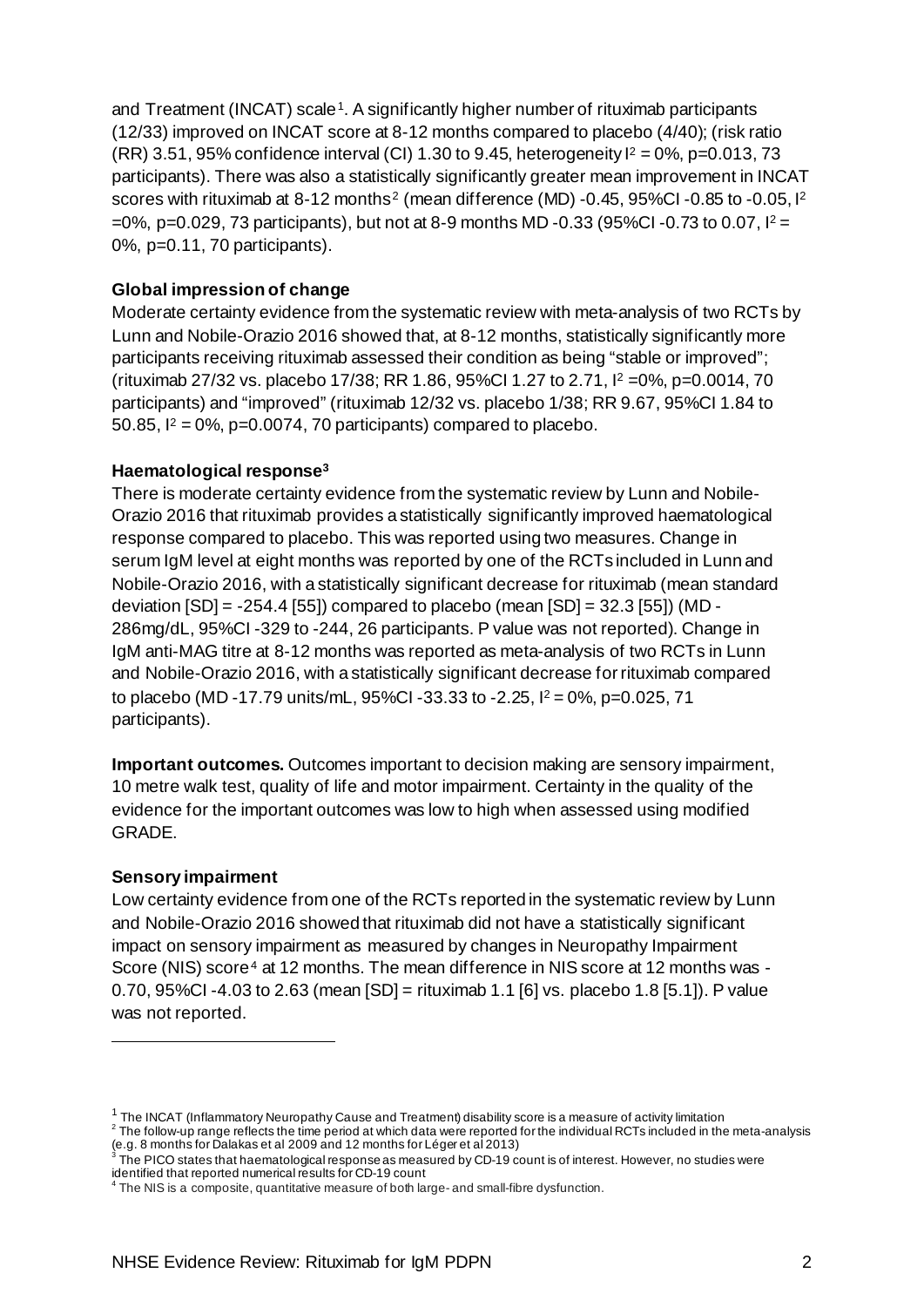and Treatment (INCAT) scale<sup>1</sup>. A significantly higher number of rituximab participants (12/33) improved on INCAT score at 8-12 months compared to placebo (4/40); (risk ratio (RR) 3.51, 95% confidence interval (CI) 1.30 to 9.45, heterogeneity  $I^2 = 0\%$ , p=0.013, 73 participants). There was also a statistically significantly greater mean improvement in INCAT scores with rituximab at 8-1[2](#page-4-1) months<sup>2</sup> (mean difference (MD) -0.45, 95%CI -0.85 to -0.05, 1<sup>2</sup>  $=0\%$ , p $=0.029$ , 73 participants), but not at 8-9 months MD -0.33 (95%CI -0.73 to 0.07,  $I^2$ 0%, p=0.11, 70 participants).

#### **Global impression of change**

Moderate certainty evidence from the systematic review with meta-analysis of two RCTs by Lunn and Nobile-Orazio 2016 showed that, at 8-12 months, statistically significantly more participants receiving rituximab assessed their condition as being "stable or improved"; (rituximab 27/32 vs. placebo 17/38; RR 1.86, 95%CI 1.27 to 2.71, I <sup>2</sup> =0%, p=0.0014, 70 participants) and "improved" (rituximab 12/32 vs. placebo 1/38; RR 9.67, 95%CI 1.84 to 50.85,  $I^2 = 0\%$ , p=0.0074, 70 participants) compared to placebo.

#### **Haematological response[3](#page-4-2)**

There is moderate certainty evidence from the systematic review by Lunn and Nobile-Orazio 2016 that rituximab provides a statistically significantly improved haematological response compared to placebo. This was reported using two measures. Change in serum IgM level at eight months was reported by one of the RCTs included in Lunn and Nobile-Orazio 2016, with a statistically significant decrease for rituximab (mean standard deviation  $[SD] = -254.4$   $[55]$  compared to placebo (mean  $[SD] = 32.3$   $[55]$ ) (MD -286mg/dL, 95%CI -329 to -244, 26 participants. P value was not reported). Change in IgM anti-MAG titre at 8-12 months was reported as meta-analysis of two RCTs in Lunn and Nobile-Orazio 2016, with a statistically significant decrease for rituximab compared to placebo (MD -17.79 units/mL, 95%CI -33.33 to -2.25, I <sup>2</sup> = 0%, p=0.025, 71 participants).

**Important outcomes.** Outcomes important to decision making are sensory impairment, 10 metre walk test, quality of life and motor impairment. Certainty in the quality of the evidence for the important outcomes was low to high when assessed using modified GRADE.

#### **Sensory impairment**

Low certainty evidence from one of the RCTs reported in the systematic review by Lunn and Nobile-Orazio 2016 showed that rituximab did not have a statistically significant impact on sensory impairment as measured by changes in Neuropathy Impairment Score (NIS) score<sup>[4](#page-4-3)</sup> at 12 months. The mean difference in NIS score at 12 months was -0.70, 95%CI -4.03 to 2.63 (mean [SD] = rituximab 1.1 [6] vs. placebo 1.8 [5.1]). P value was not reported.

<span id="page-4-1"></span><span id="page-4-0"></span> $^{-1}$  The INCAT (Inflammatory Neuropathy Cause and Treatment) disability score is a measure of activity limitation<br> $^{-2}$  The follow-up range reflects the time period at which data were reported for the individual RCTs inc (e.g. 8 months for Dalakas et al 2009 and 12 months for Léger et al 2013)

<span id="page-4-2"></span> $^3$  The PICO states that haematological response as measured by CD-19 count is of interest. However, no studies were identified that reported numerical results for CD-19 count

<span id="page-4-3"></span> $^4$  The NIS is a composite, quantitative measure of both large- and small-fibre dysfunction.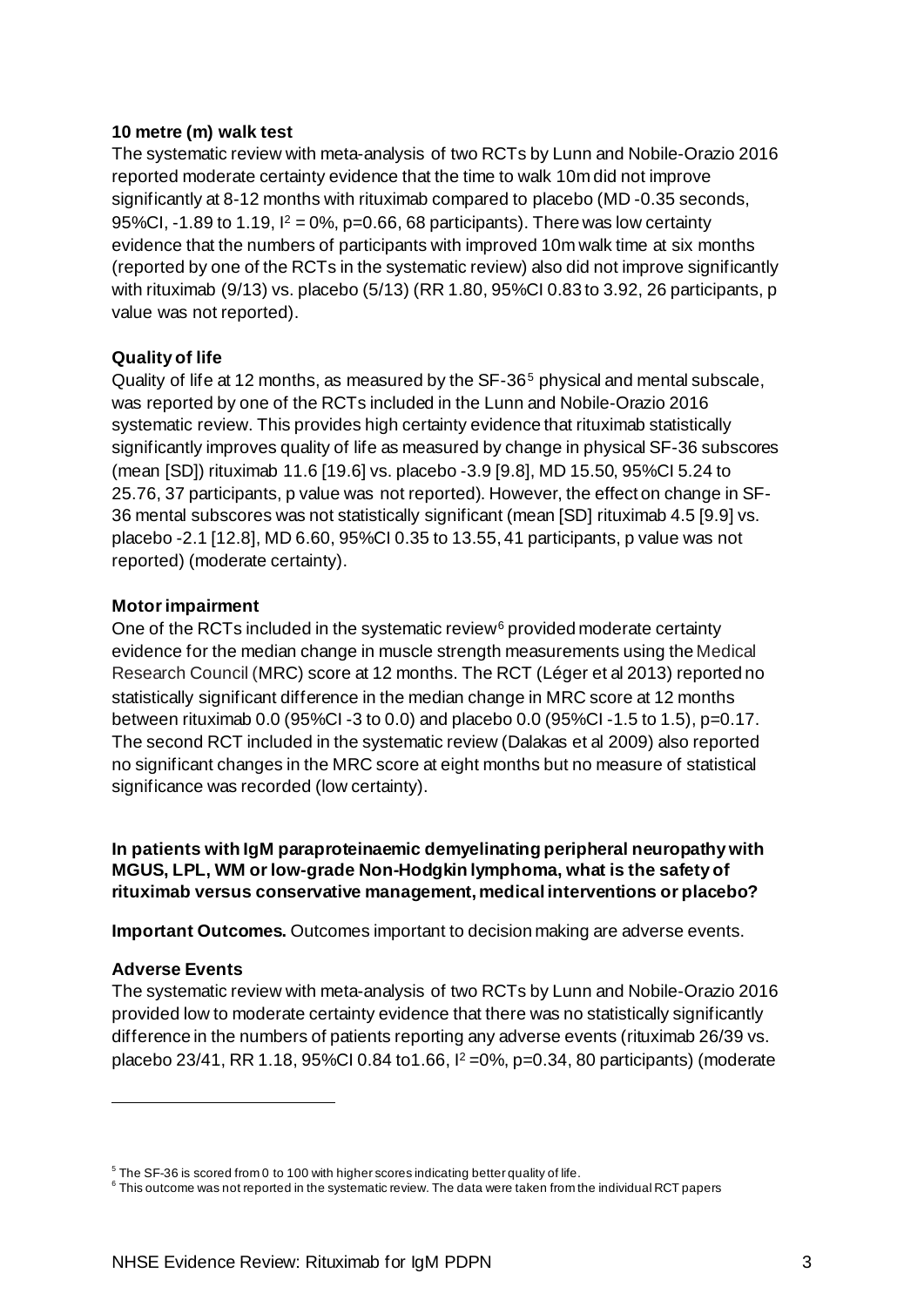#### **10 metre (m) walk test**

The systematic review with meta-analysis of two RCTs by Lunn and Nobile-Orazio 2016 reported moderate certainty evidence that the time to walk 10m did not improve significantly at 8-12 months with rituximab compared to placebo (MD -0.35 seconds, 95%CI, -1.89 to 1.19,  $I^2 = 0$ %, p=0.66, 68 participants). There was low certainty evidence that the numbers of participants with improved 10m walk time at six months (reported by one of the RCTs in the systematic review) also did not improve significantly with rituximab (9/13) vs. placebo (5/13) (RR 1.80, 95%CI 0.83 to 3.92, 26 participants, p value was not reported).

#### **Quality of life**

Quality of life at 12 months, as measured by the SF-36<sup>[5](#page-5-0)</sup> physical and mental subscale, was reported by one of the RCTs included in the Lunn and Nobile-Orazio 2016 systematic review. This provides high certainty evidence that rituximab statistically significantly improves quality of life as measured by change in physical SF-36 subscores (mean [SD]) rituximab 11.6 [19.6] vs. placebo -3.9 [9.8], MD 15.50, 95%CI 5.24 to 25.76, 37 participants, p value was not reported). However, the effect on change in SF-36 mental subscores was not statistically significant (mean [SD] rituximab 4.5 [9.9] vs. placebo -2.1 [12.8], MD 6.60, 95%CI 0.35 to 13.55, 41 participants, p value was not reported) (moderate certainty).

#### **Motor impairment**

One of the RCTs included in the systematic review<sup>[6](#page-5-1)</sup> provided moderate certainty evidence for the median change in muscle strength measurements using the Medical Research Council (MRC) score at 12 months. The RCT (Léger et al 2013) reported no statistically significant difference in the median change in MRC score at 12 months between rituximab 0.0 (95%CI -3 to 0.0) and placebo 0.0 (95%CI -1.5 to 1.5), p=0.17. The second RCT included in the systematic review (Dalakas et al 2009) also reported no significant changes in the MRC score at eight months but no measure of statistical significance was recorded (low certainty).

**In patients with IgM paraproteinaemic demyelinating peripheral neuropathy with MGUS, LPL, WM or low-grade Non-Hodgkin lymphoma, what is the safety of rituximab versus conservative management, medical interventions or placebo?**

**Important Outcomes.** Outcomes important to decision making are adverse events.

#### **Adverse Events**

The systematic review with meta-analysis of two RCTs by Lunn and Nobile-Orazio 2016 provided low to moderate certainty evidence that there was no statistically significantly difference in the numbers of patients reporting any adverse events (rituximab 26/39 vs. placebo 23/41, RR 1.18, 95%CI 0.84 to1.66, I2 =0%, p=0.34, 80 participants) (moderate

<span id="page-5-0"></span><sup>&</sup>lt;sup>5</sup> The SF-36 is scored from 0 to 100 with higher scores indicating better quality of life.

<span id="page-5-1"></span><sup>6</sup> This outcome was not reported in the systematic review. The data were taken from the individual RCT papers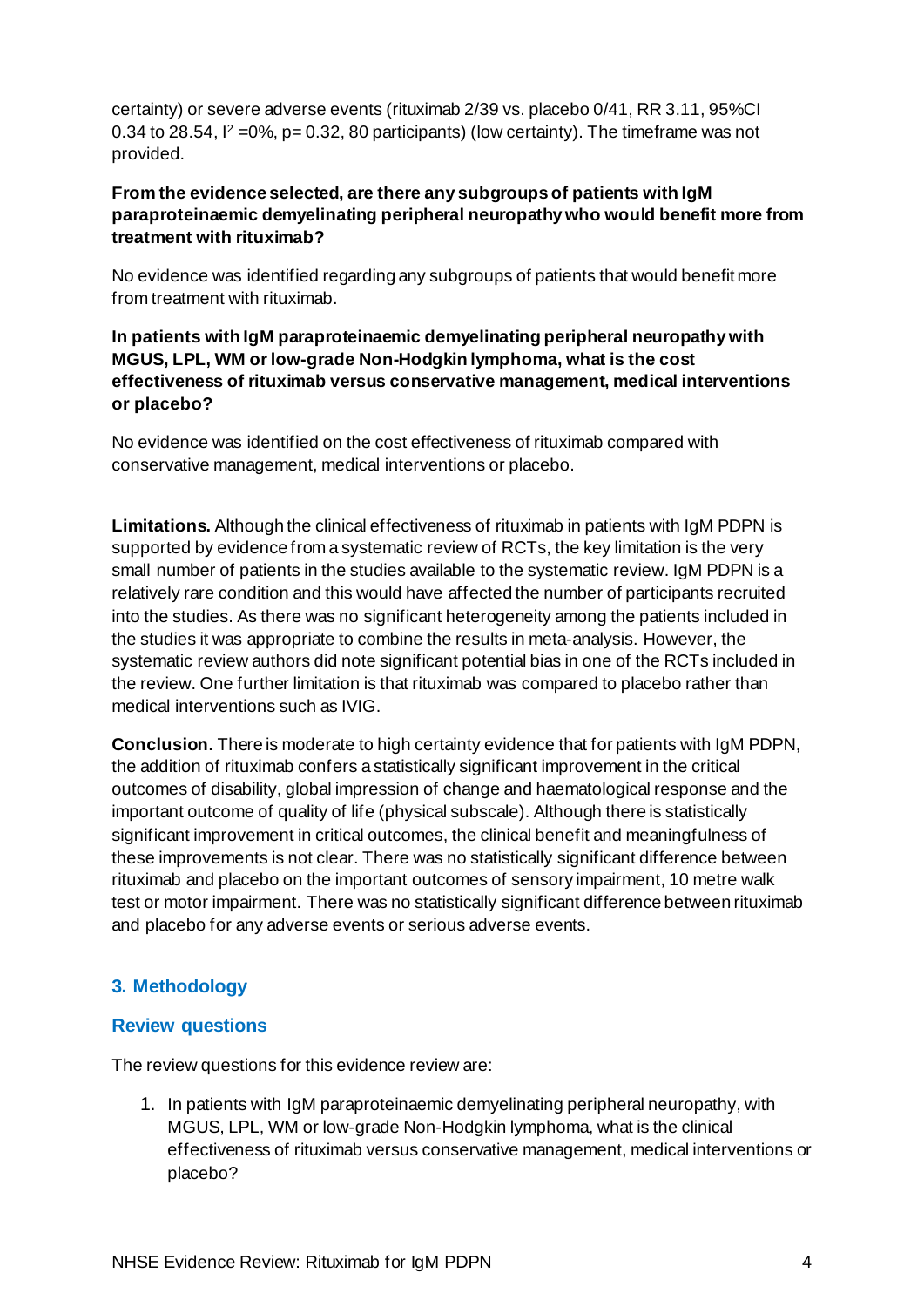certainty) or severe adverse events (rituximab 2/39 vs. placebo 0/41, RR 3.11, 95%CI 0.34 to 28.54,  $\lvert^2$  =0%, p= 0.32, 80 participants) (low certainty). The timeframe was not provided.

## **From the evidence selected, are there any subgroups of patients with IgM paraproteinaemic demyelinating peripheral neuropathy who would benefit more from treatment with rituximab?**

No evidence was identified regarding any subgroups of patients that would benefit more from treatment with rituximab.

## **In patients with IgM paraproteinaemic demyelinating peripheral neuropathy with MGUS, LPL, WM or low-grade Non-Hodgkin lymphoma, what is the cost effectiveness of rituximab versus conservative management, medical interventions or placebo?**

No evidence was identified on the cost effectiveness of rituximab compared with conservative management, medical interventions or placebo.

**Limitations.** Although the clinical effectiveness of rituximab in patients with IgM PDPN is supported by evidence from a systematic review of RCTs, the key limitation is the very small number of patients in the studies available to the systematic review. IgM PDPN is a relatively rare condition and this would have affected the number of participants recruited into the studies. As there was no significant heterogeneity among the patients included in the studies it was appropriate to combine the results in meta-analysis. However, the systematic review authors did note significant potential bias in one of the RCTs included in the review. One further limitation is that rituximab was compared to placebo rather than medical interventions such as IVIG.

**Conclusion.** There is moderate to high certainty evidence that for patients with IgM PDPN, the addition of rituximab confers a statistically significant improvement in the critical outcomes of disability, global impression of change and haematological response and the important outcome of quality of life (physical subscale). Although there is statistically significant improvement in critical outcomes, the clinical benefit and meaningfulness of these improvements is not clear. There was no statistically significant difference between rituximab and placebo on the important outcomes of sensory impairment, 10 metre walk test or motor impairment. There was no statistically significant difference between rituximab and placebo for any adverse events or serious adverse events.

## <span id="page-6-0"></span>**3. Methodology**

## <span id="page-6-1"></span>**Review questions**

The review questions for this evidence review are:

1. In patients with IgM paraproteinaemic demyelinating peripheral neuropathy, with MGUS, LPL, WM or low-grade Non-Hodgkin lymphoma, what is the clinical effectiveness of rituximab versus conservative management, medical interventions or placebo?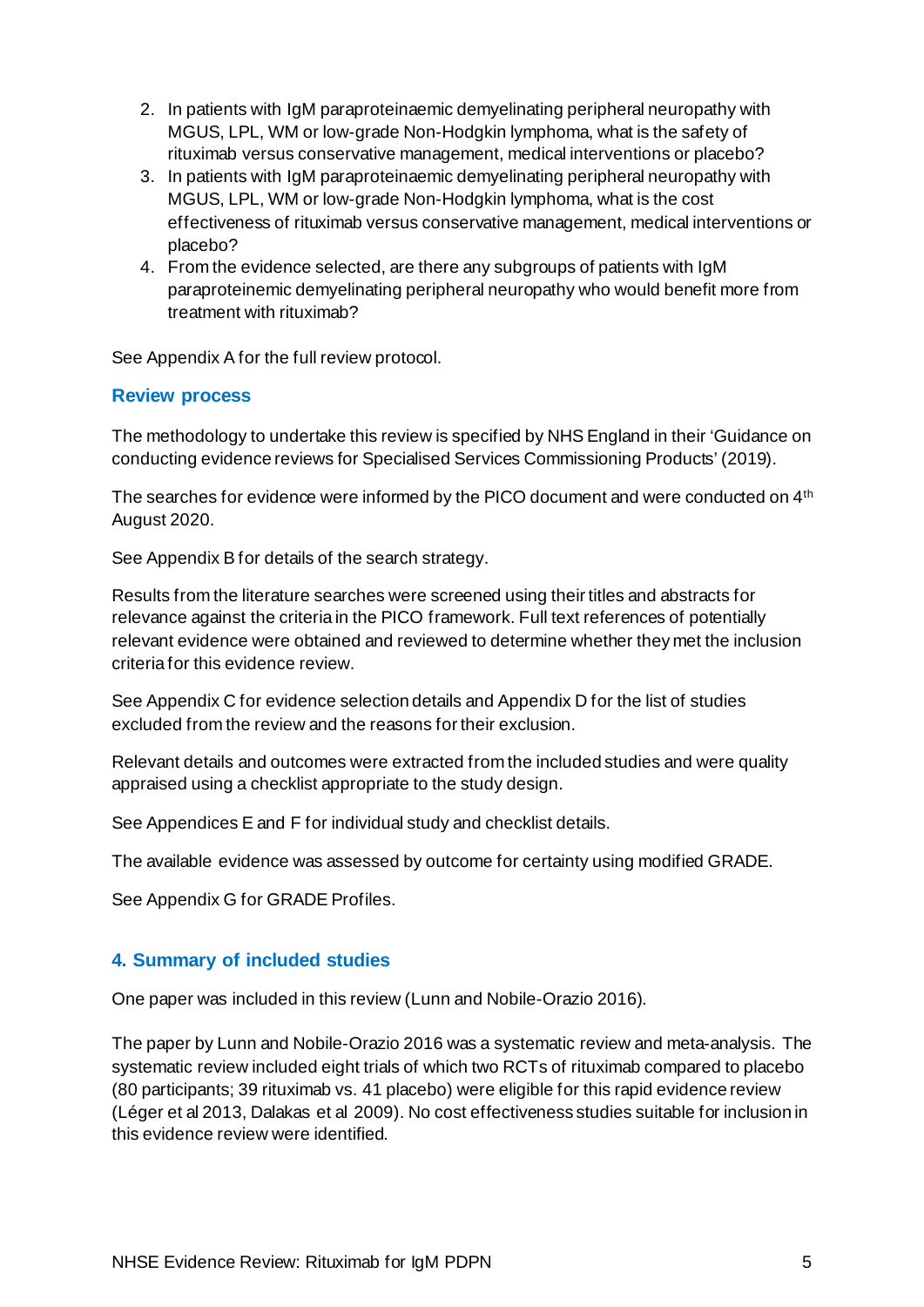- 2. In patients with IgM paraproteinaemic demyelinating peripheral neuropathy with MGUS, LPL, WM or low-grade Non-Hodgkin lymphoma, what is the safety of rituximab versus conservative management, medical interventions or placebo?
- 3. In patients with IgM paraproteinaemic demyelinating peripheral neuropathy with MGUS, LPL, WM or low-grade Non-Hodgkin lymphoma, what is the cost effectiveness of rituximab versus conservative management, medical interventions or placebo?
- 4. From the evidence selected, are there any subgroups of patients with IgM paraproteinemic demyelinating peripheral neuropathy who would benefit more from treatment with rituximab?

See Appendix A for the full review protocol.

## <span id="page-7-0"></span>**Review process**

The methodology to undertake this review is specified by NHS England in their 'Guidance on conducting evidence reviews for Specialised Services Commissioning Products' (2019).

The searches for evidence were informed by the PICO document and were conducted on 4<sup>th</sup> August 2020.

See Appendix B for details of the search strategy.

Results from the literature searches were screened using their titles and abstracts for relevance against the criteria in the PICO framework. Full text references of potentially relevant evidence were obtained and reviewed to determine whether they met the inclusion criteria for this evidence review.

See Appendix C for evidence selection details and Appendix D for the list of studies excluded from the review and the reasons for their exclusion.

Relevant details and outcomes were extracted from the included studies and were quality appraised using a checklist appropriate to the study design.

See Appendices E and F for individual study and checklist details.

The available evidence was assessed by outcome for certainty using modified GRADE.

See Appendix G for GRADE Profiles.

## <span id="page-7-1"></span>**4. Summary of included studies**

One paper was included in this review (Lunn and Nobile-Orazio 2016).

The paper by Lunn and Nobile-Orazio 2016 was a systematic review and meta-analysis. The systematic review included eight trials of which two RCTs of rituximab compared to placebo (80 participants; 39 rituximab vs. 41 placebo) were eligible for this rapid evidence review (Léger et al 2013, Dalakas et al 2009). No cost effectiveness studies suitable for inclusion in this evidence review were identified.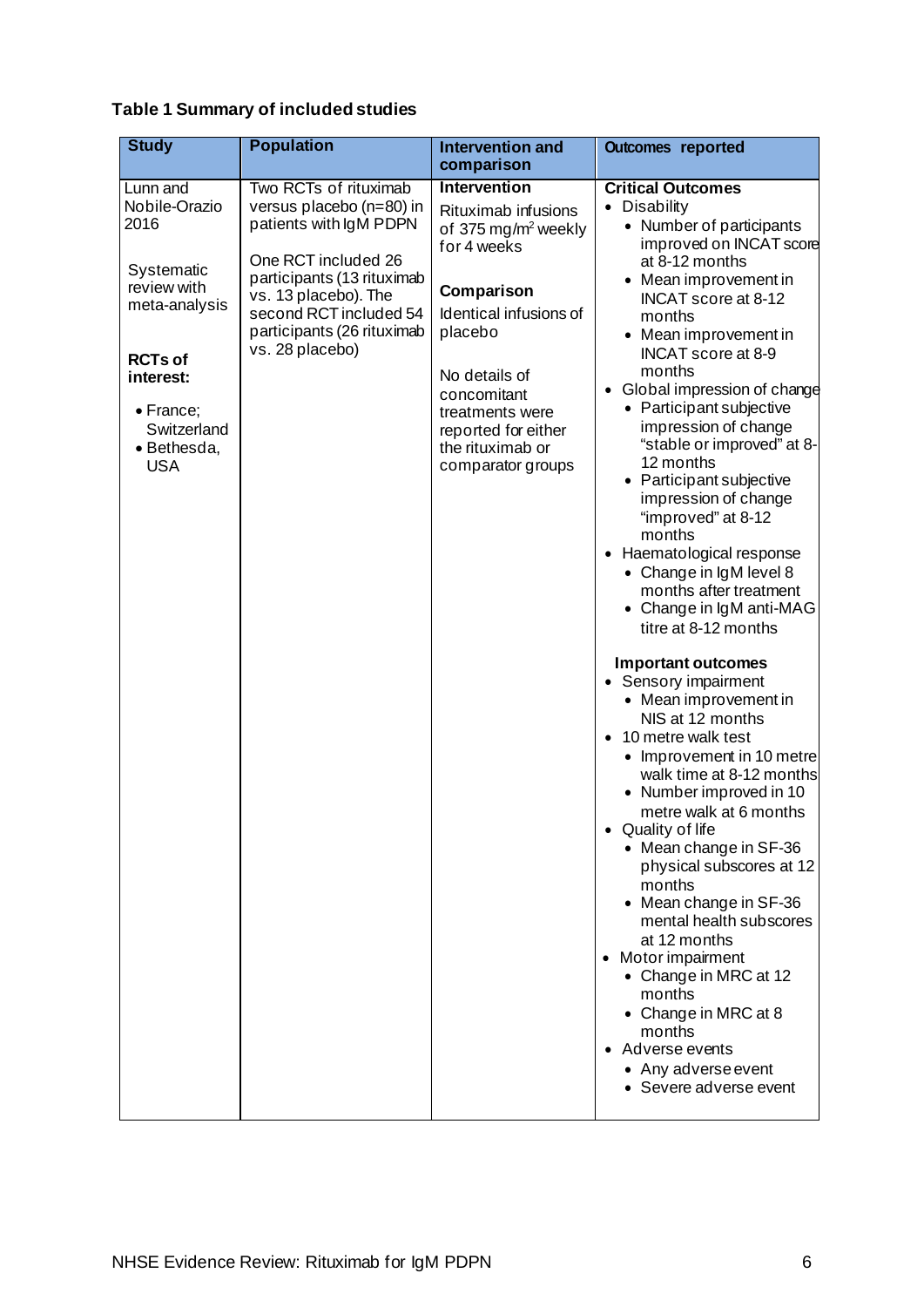## **Table 1 Summary of included studies**

| <b>Study</b>                                                                                                                                                            | <b>Population</b>                                                                                                                                                                                                                   | <b>Intervention and</b><br>comparison                                                                                                                                                                                                                       | <b>Outcomes reported</b>                                                                                                                                                                                                                                                                                                                                                                                                                                                                                                                                                                                                                                                                                                                                                                                                                                                                                                                                                                                                                                                                                                                                     |
|-------------------------------------------------------------------------------------------------------------------------------------------------------------------------|-------------------------------------------------------------------------------------------------------------------------------------------------------------------------------------------------------------------------------------|-------------------------------------------------------------------------------------------------------------------------------------------------------------------------------------------------------------------------------------------------------------|--------------------------------------------------------------------------------------------------------------------------------------------------------------------------------------------------------------------------------------------------------------------------------------------------------------------------------------------------------------------------------------------------------------------------------------------------------------------------------------------------------------------------------------------------------------------------------------------------------------------------------------------------------------------------------------------------------------------------------------------------------------------------------------------------------------------------------------------------------------------------------------------------------------------------------------------------------------------------------------------------------------------------------------------------------------------------------------------------------------------------------------------------------------|
| Lunn and<br>Nobile-Orazio<br>2016<br>Systematic<br>review with<br>meta-analysis<br><b>RCTs of</b><br>interest:<br>• France;<br>Switzerland<br>· Bethesda,<br><b>USA</b> | Two RCTs of rituximab<br>versus placebo (n=80) in<br>patients with IgM PDPN<br>One RCT included 26<br>participants (13 rituximab<br>vs. 13 placebo). The<br>second RCT included 54<br>participants (26 rituximab<br>vs. 28 placebo) | Intervention<br>Rituximab infusions<br>of 375 mg/m <sup>2</sup> weekly<br>for 4 weeks<br>Comparison<br>Identical infusions of<br>placebo<br>No details of<br>concomitant<br>treatments were<br>reported for either<br>the rituximab or<br>comparator groups | <b>Critical Outcomes</b><br>• Disability<br>• Number of participants<br>improved on INCAT score<br>at 8-12 months<br>• Mean improvement in<br>INCAT score at 8-12<br>months<br>• Mean improvement in<br>INCAT score at 8-9<br>months<br>• Global impression of change<br>• Participant subjective<br>impression of change<br>"stable or improved" at 8-<br>12 months<br>• Participant subjective<br>impression of change<br>"improved" at 8-12<br>months<br>• Haematological response<br>• Change in IgM level 8<br>months after treatment<br>• Change in IgM anti-MAG<br>titre at 8-12 months<br><b>Important outcomes</b><br>• Sensory impairment<br>• Mean improvement in<br>NIS at 12 months<br>10 metre walk test<br>• Improvement in 10 metre<br>walk time at 8-12 months<br>• Number improved in 10<br>metre walk at 6 months<br>Quality of life<br>• Mean change in SF-36<br>physical subscores at 12<br>months<br>• Mean change in SF-36<br>mental health subscores<br>at 12 months<br>• Motor impairment<br>• Change in MRC at 12<br>months<br>• Change in MRC at 8<br>months<br>• Adverse events<br>• Any adverse event<br>• Severe adverse event |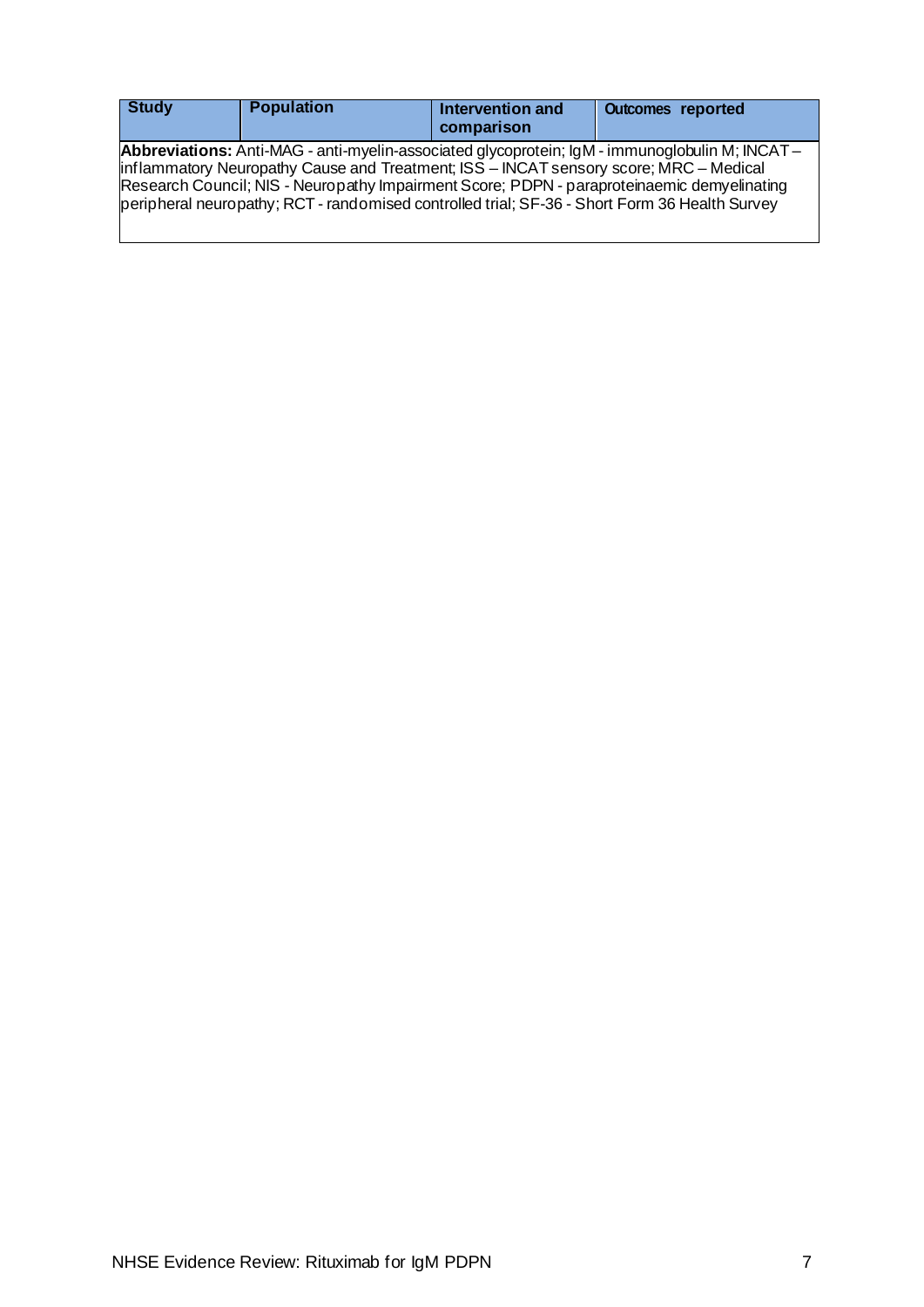<span id="page-9-0"></span>

| <b>Study</b> | <b>Population</b>                                                                                                                                                                      | Intervention and<br>comparison | <b>Outcomes reported</b>                                                                                                                                                                            |
|--------------|----------------------------------------------------------------------------------------------------------------------------------------------------------------------------------------|--------------------------------|-----------------------------------------------------------------------------------------------------------------------------------------------------------------------------------------------------|
|              | inflammatory Neuropathy Cause and Treatment; ISS - INCAT sensory score; MRC - Medical<br>peripheral neuropathy; RCT - randomised controlled trial; SF-36 - Short Form 36 Health Survey |                                | <b>Abbreviations:</b> Anti-MAG - anti-myelin-associated glycoprotein; IgM - immunoglobulin M; INCAT –<br>Research Council; NIS - Neuropathy Impairment Score; PDPN - paraproteinaemic demyelinating |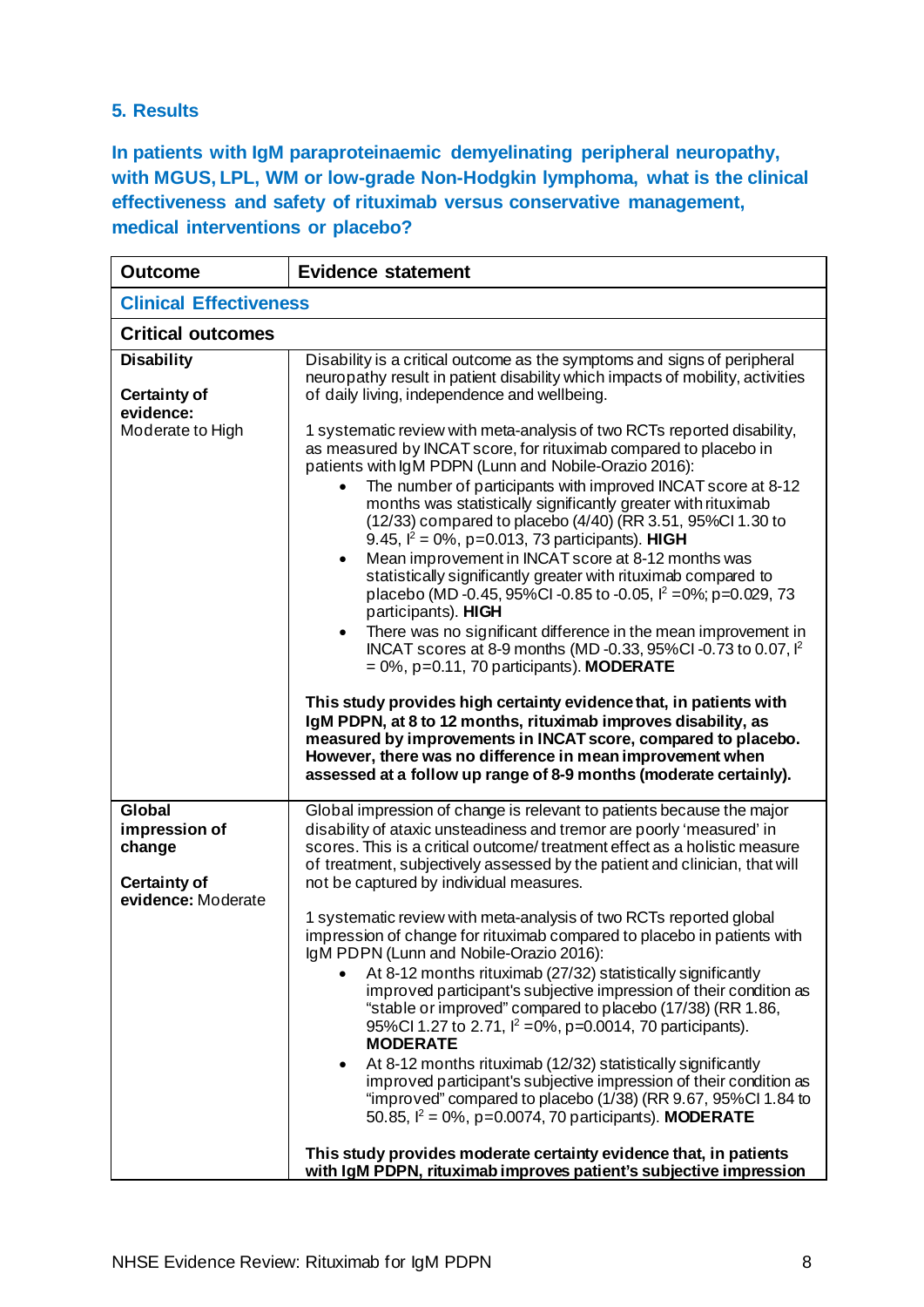## **5. Results**

**In patients with IgM paraproteinaemic demyelinating peripheral neuropathy, with MGUS, LPL, WM or low-grade Non-Hodgkin lymphoma, what is the clinical effectiveness and safety of rituximab versus conservative management, medical interventions or placebo?**

| <b>Outcome</b>                                                  | <b>Evidence statement</b>                                                                                                                                                                                                                                                                                                                                                                                                                                                                                                                                                                                                                                                                                                                                                                                                                                                                                                                                                                                                                                                                                                                                                                                                                         |  |
|-----------------------------------------------------------------|---------------------------------------------------------------------------------------------------------------------------------------------------------------------------------------------------------------------------------------------------------------------------------------------------------------------------------------------------------------------------------------------------------------------------------------------------------------------------------------------------------------------------------------------------------------------------------------------------------------------------------------------------------------------------------------------------------------------------------------------------------------------------------------------------------------------------------------------------------------------------------------------------------------------------------------------------------------------------------------------------------------------------------------------------------------------------------------------------------------------------------------------------------------------------------------------------------------------------------------------------|--|
| <b>Clinical Effectiveness</b>                                   |                                                                                                                                                                                                                                                                                                                                                                                                                                                                                                                                                                                                                                                                                                                                                                                                                                                                                                                                                                                                                                                                                                                                                                                                                                                   |  |
| <b>Critical outcomes</b>                                        |                                                                                                                                                                                                                                                                                                                                                                                                                                                                                                                                                                                                                                                                                                                                                                                                                                                                                                                                                                                                                                                                                                                                                                                                                                                   |  |
| <b>Disability</b><br><b>Certainty of</b>                        | Disability is a critical outcome as the symptoms and signs of peripheral<br>neuropathy result in patient disability which impacts of mobility, activities<br>of daily living, independence and wellbeing.                                                                                                                                                                                                                                                                                                                                                                                                                                                                                                                                                                                                                                                                                                                                                                                                                                                                                                                                                                                                                                         |  |
| evidence:<br>Moderate to High                                   | 1 systematic review with meta-analysis of two RCTs reported disability,<br>as measured by INCAT score, for rituximab compared to placebo in<br>patients with IgM PDPN (Lunn and Nobile-Orazio 2016):<br>The number of participants with improved INCAT score at 8-12<br>months was statistically significantly greater with rituximab<br>(12/33) compared to placebo (4/40) (RR 3.51, 95%Cl 1.30 to<br>9.45, $I^2 = 0\%$ , p=0.013, 73 participants). HIGH<br>Mean improvement in INCAT score at 8-12 months was<br>$\bullet$<br>statistically significantly greater with rituximab compared to<br>placebo (MD -0.45, 95%Cl -0.85 to -0.05, $l^2 = 0\%$ ; p=0.029, 73<br>participants). HIGH<br>There was no significant difference in the mean improvement in<br>$\bullet$<br>INCAT scores at 8-9 months (MD-0.33, 95%CI-0.73 to 0.07, l <sup>2</sup><br>$= 0\%$ , p=0.11, 70 participants). MODERATE<br>This study provides high certainty evidence that, in patients with<br>IgM PDPN, at 8 to 12 months, rituximab improves disability, as<br>measured by improvements in INCAT score, compared to placebo.<br>However, there was no difference in mean improvement when<br>assessed at a follow up range of 8-9 months (moderate certainly). |  |
| <b>Global</b><br>impression of<br>change<br><b>Certainty of</b> | Global impression of change is relevant to patients because the major<br>disability of ataxic unsteadiness and tremor are poorly 'measured' in<br>scores. This is a critical outcome/treatment effect as a holistic measure<br>of treatment, subjectively assessed by the patient and clinician, that will<br>not be captured by individual measures.                                                                                                                                                                                                                                                                                                                                                                                                                                                                                                                                                                                                                                                                                                                                                                                                                                                                                             |  |
| evidence: Moderate                                              | 1 systematic review with meta-analysis of two RCTs reported global<br>impression of change for rituximab compared to placebo in patients with<br>IgM PDPN (Lunn and Nobile-Orazio 2016):<br>At 8-12 months rituximab (27/32) statistically significantly<br>improved participant's subjective impression of their condition as<br>"stable or improved" compared to placebo (17/38) (RR 1.86,<br>95%Cl 1.27 to 2.71, $I^2 = 0\%$ , p=0.0014, 70 participants).<br><b>MODERATE</b><br>At 8-12 months rituximab (12/32) statistically significantly<br>٠<br>improved participant's subjective impression of their condition as<br>"improved" compared to placebo (1/38) (RR 9.67, 95%Cl 1.84 to<br>50.85, $I^2 = 0\%$ , p=0.0074, 70 participants). MODERATE<br>This study provides moderate certainty evidence that, in patients<br>with IgM PDPN, rituximab improves patient's subjective impression                                                                                                                                                                                                                                                                                                                                               |  |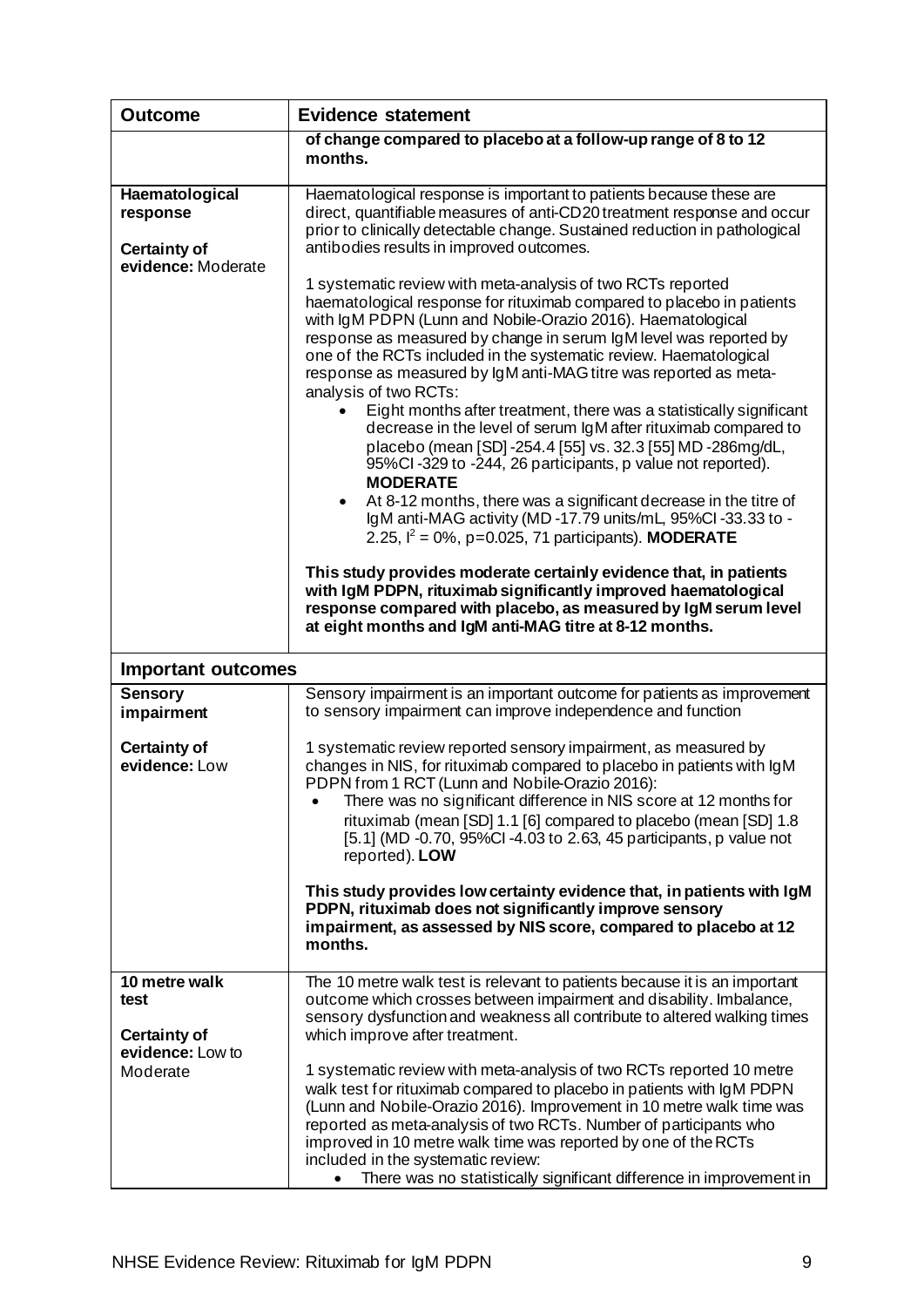| <b>Outcome</b>                                                          | <b>Evidence statement</b>                                                                                                                                                                                                                                                                                                                                                                                                                                                                                                                                                                                                                                                                                                                                                                                                                                                                                                                                                                                                                                                                                                                                                                                                                                                                                                                                      |
|-------------------------------------------------------------------------|----------------------------------------------------------------------------------------------------------------------------------------------------------------------------------------------------------------------------------------------------------------------------------------------------------------------------------------------------------------------------------------------------------------------------------------------------------------------------------------------------------------------------------------------------------------------------------------------------------------------------------------------------------------------------------------------------------------------------------------------------------------------------------------------------------------------------------------------------------------------------------------------------------------------------------------------------------------------------------------------------------------------------------------------------------------------------------------------------------------------------------------------------------------------------------------------------------------------------------------------------------------------------------------------------------------------------------------------------------------|
|                                                                         | of change compared to placebo at a follow-up range of 8 to 12<br>months.                                                                                                                                                                                                                                                                                                                                                                                                                                                                                                                                                                                                                                                                                                                                                                                                                                                                                                                                                                                                                                                                                                                                                                                                                                                                                       |
| Haematological<br>response<br><b>Certainty of</b><br>evidence: Moderate | Haematological response is important to patients because these are<br>direct, quantifiable measures of anti-CD20 treatment response and occur<br>prior to clinically detectable change. Sustained reduction in pathological<br>antibodies results in improved outcomes.<br>1 systematic review with meta-analysis of two RCTs reported<br>haematological response for rituximab compared to placebo in patients<br>with IgM PDPN (Lunn and Nobile-Orazio 2016). Haematological<br>response as measured by change in serum IgM level was reported by<br>one of the RCTs included in the systematic review. Haematological<br>response as measured by IgM anti-MAG titre was reported as meta-<br>analysis of two RCTs:<br>Eight months after treatment, there was a statistically significant<br>decrease in the level of serum IgM after rituximab compared to<br>placebo (mean [SD] -254.4 [55] vs. 32.3 [55] MD -286mg/dL,<br>95%Cl-329 to -244, 26 participants, p value not reported).<br><b>MODERATE</b><br>At 8-12 months, there was a significant decrease in the titre of<br>$\bullet$<br>IgM anti-MAG activity (MD-17.79 units/mL, 95%CI-33.33 to -<br>2.25, $I^2 = 0\%$ , p=0.025, 71 participants). MODERATE<br>This study provides moderate certainly evidence that, in patients<br>with IgM PDPN, rituximab significantly improved haematological |
|                                                                         | response compared with placebo, as measured by IgM serum level<br>at eight months and IgM anti-MAG titre at 8-12 months.                                                                                                                                                                                                                                                                                                                                                                                                                                                                                                                                                                                                                                                                                                                                                                                                                                                                                                                                                                                                                                                                                                                                                                                                                                       |
| <b>Important outcomes</b>                                               |                                                                                                                                                                                                                                                                                                                                                                                                                                                                                                                                                                                                                                                                                                                                                                                                                                                                                                                                                                                                                                                                                                                                                                                                                                                                                                                                                                |
| <b>Sensory</b><br>impairment                                            | Sensory impairment is an important outcome for patients as improvement<br>to sensory impairment can improve independence and function                                                                                                                                                                                                                                                                                                                                                                                                                                                                                                                                                                                                                                                                                                                                                                                                                                                                                                                                                                                                                                                                                                                                                                                                                          |
| <b>Certainty of</b><br>evidence: Low                                    | 1 systematic review reported sensory impairment, as measured by<br>changes in NIS, for rituximab compared to placebo in patients with IgM<br>PDPN from 1 RCT (Lunn and Nobile-Orazio 2016):<br>There was no significant difference in NIS score at 12 months for<br>rituximab (mean [SD] 1.1 [6] compared to placebo (mean [SD] 1.8<br>[5.1] (MD -0.70, 95%Cl -4.03 to 2.63, 45 participants, p value not<br>reported). LOW<br>This study provides low certainty evidence that, in patients with IgM<br>PDPN, rituximab does not significantly improve sensory<br>impairment, as assessed by NIS score, compared to placebo at 12<br>months.                                                                                                                                                                                                                                                                                                                                                                                                                                                                                                                                                                                                                                                                                                                   |
| 10 metre walk<br>test<br><b>Certainty of</b>                            | The 10 metre walk test is relevant to patients because it is an important<br>outcome which crosses between impairment and disability. Imbalance,<br>sensory dysfunction and weakness all contribute to altered walking times<br>which improve after treatment.                                                                                                                                                                                                                                                                                                                                                                                                                                                                                                                                                                                                                                                                                                                                                                                                                                                                                                                                                                                                                                                                                                 |
| evidence: Low to<br>Moderate                                            | 1 systematic review with meta-analysis of two RCTs reported 10 metre<br>walk test for rituximab compared to placebo in patients with IgM PDPN<br>(Lunn and Nobile-Orazio 2016). Improvement in 10 metre walk time was<br>reported as meta-analysis of two RCTs. Number of participants who<br>improved in 10 metre walk time was reported by one of the RCTs<br>included in the systematic review:<br>There was no statistically significant difference in improvement in                                                                                                                                                                                                                                                                                                                                                                                                                                                                                                                                                                                                                                                                                                                                                                                                                                                                                      |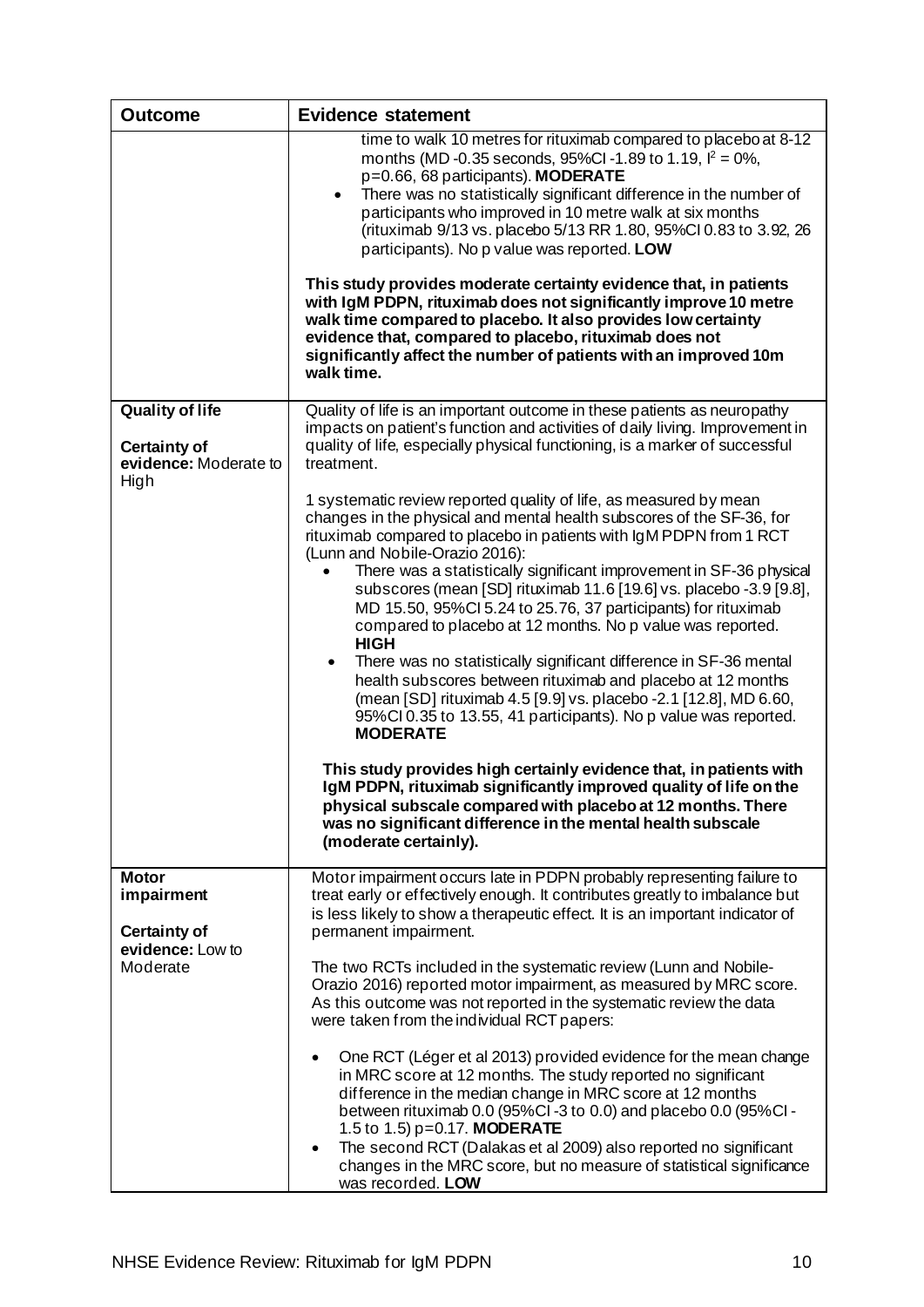| <b>Outcome</b>                                                                    | <b>Evidence statement</b>                                                                                                                                                                                                                                                                                                                                                                                                                                                                                                                                                                                                                                                                                                                                                                                                                                                                                                                                                                                                                                                                                                                                  |
|-----------------------------------------------------------------------------------|------------------------------------------------------------------------------------------------------------------------------------------------------------------------------------------------------------------------------------------------------------------------------------------------------------------------------------------------------------------------------------------------------------------------------------------------------------------------------------------------------------------------------------------------------------------------------------------------------------------------------------------------------------------------------------------------------------------------------------------------------------------------------------------------------------------------------------------------------------------------------------------------------------------------------------------------------------------------------------------------------------------------------------------------------------------------------------------------------------------------------------------------------------|
|                                                                                   | time to walk 10 metres for rituximab compared to placebo at 8-12<br>months (MD-0.35 seconds, 95%CI-1.89 to 1.19, $I^2 = 0\%$ ,<br>p=0.66, 68 participants). MODERATE<br>There was no statistically significant difference in the number of<br>$\bullet$<br>participants who improved in 10 metre walk at six months<br>(rituximab 9/13 vs. placebo 5/13 RR 1.80, 95%Cl 0.83 to 3.92, 26<br>participants). No p value was reported. LOW<br>This study provides moderate certainty evidence that, in patients<br>with IgM PDPN, rituximab does not significantly improve 10 metre<br>walk time compared to placebo. It also provides low certainty<br>evidence that, compared to placebo, rituximab does not<br>significantly affect the number of patients with an improved 10m<br>walk time.                                                                                                                                                                                                                                                                                                                                                               |
|                                                                                   |                                                                                                                                                                                                                                                                                                                                                                                                                                                                                                                                                                                                                                                                                                                                                                                                                                                                                                                                                                                                                                                                                                                                                            |
| <b>Quality of life</b><br><b>Certainty of</b><br>evidence: Moderate to<br>High    | Quality of life is an important outcome in these patients as neuropathy<br>impacts on patient's function and activities of daily living. Improvement in<br>quality of life, especially physical functioning, is a marker of successful<br>treatment.                                                                                                                                                                                                                                                                                                                                                                                                                                                                                                                                                                                                                                                                                                                                                                                                                                                                                                       |
|                                                                                   | 1 systematic review reported quality of life, as measured by mean<br>changes in the physical and mental health subscores of the SF-36, for<br>rituximab compared to placebo in patients with IgM PDPN from 1 RCT<br>(Lunn and Nobile-Orazio 2016):<br>There was a statistically significant improvement in SF-36 physical<br>subscores (mean [SD] rituximab 11.6 [19.6] vs. placebo -3.9 [9.8],<br>MD 15.50, 95%Cl 5.24 to 25.76, 37 participants) for rituximab<br>compared to placebo at 12 months. No p value was reported.<br><b>HIGH</b><br>There was no statistically significant difference in SF-36 mental<br>$\bullet$<br>health subscores between rituximab and placebo at 12 months<br>(mean [SD] rituximab 4.5 [9.9] vs. placebo -2.1 [12.8], MD 6.60,<br>95%CI 0.35 to 13.55, 41 participants). No p value was reported.<br><b>MODERATE</b><br>This study provides high certainly evidence that, in patients with<br>IgM PDPN, rituximab significantly improved quality of life on the<br>physical subscale compared with placebo at 12 months. There<br>was no significant difference in the mental health subscale<br>(moderate certainly). |
| <b>Motor</b><br>impairment<br><b>Certainty of</b><br>evidence: Low to<br>Moderate | Motor impairment occurs late in PDPN probably representing failure to<br>treat early or effectively enough. It contributes greatly to imbalance but<br>is less likely to show a therapeutic effect. It is an important indicator of<br>permanent impairment.                                                                                                                                                                                                                                                                                                                                                                                                                                                                                                                                                                                                                                                                                                                                                                                                                                                                                               |
|                                                                                   | The two RCTs included in the systematic review (Lunn and Nobile-<br>Orazio 2016) reported motor impairment, as measured by MRC score.<br>As this outcome was not reported in the systematic review the data<br>were taken from the individual RCT papers:                                                                                                                                                                                                                                                                                                                                                                                                                                                                                                                                                                                                                                                                                                                                                                                                                                                                                                  |
|                                                                                   | One RCT (Léger et al 2013) provided evidence for the mean change<br>in MRC score at 12 months. The study reported no significant<br>difference in the median change in MRC score at 12 months<br>between rituximab 0.0 (95%Cl-3 to 0.0) and placebo 0.0 (95%Cl-<br>1.5 to 1.5) p=0.17. MODERATE<br>The second RCT (Dalakas et al 2009) also reported no significant<br>$\bullet$<br>changes in the MRC score, but no measure of statistical significance<br>was recorded. LOW                                                                                                                                                                                                                                                                                                                                                                                                                                                                                                                                                                                                                                                                              |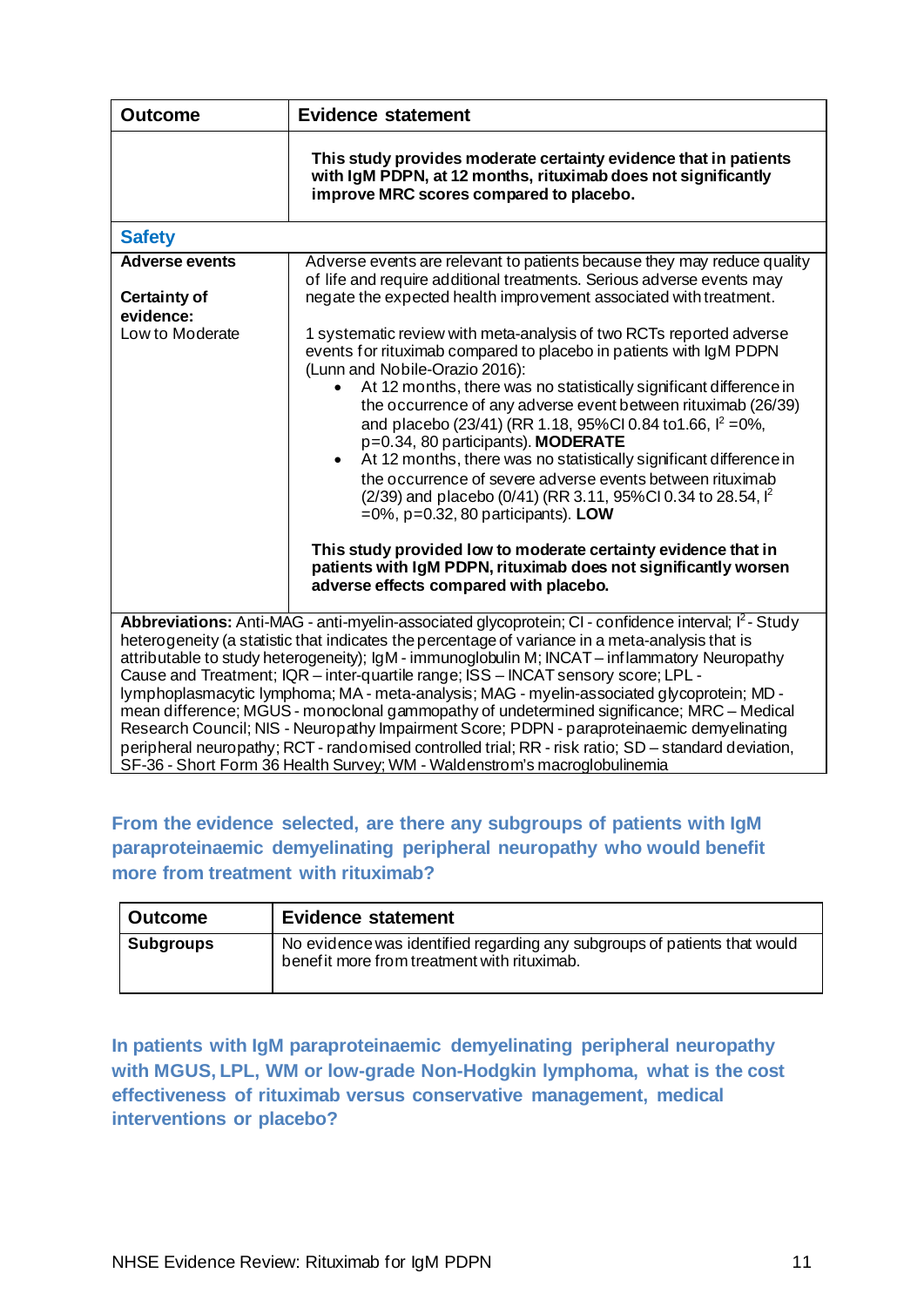| <b>Outcome</b>                                                                                                                                                                                                                                                                                                                                                                                                                                                                                                                                                                                                                                                                                                                                                                                                                                                                        | <b>Evidence statement</b>                                                                                                                                                                                                                                                                                                                                                                                                                                                                                                                                                                                                                                                                                                                                                                                                                                                                          |  |
|---------------------------------------------------------------------------------------------------------------------------------------------------------------------------------------------------------------------------------------------------------------------------------------------------------------------------------------------------------------------------------------------------------------------------------------------------------------------------------------------------------------------------------------------------------------------------------------------------------------------------------------------------------------------------------------------------------------------------------------------------------------------------------------------------------------------------------------------------------------------------------------|----------------------------------------------------------------------------------------------------------------------------------------------------------------------------------------------------------------------------------------------------------------------------------------------------------------------------------------------------------------------------------------------------------------------------------------------------------------------------------------------------------------------------------------------------------------------------------------------------------------------------------------------------------------------------------------------------------------------------------------------------------------------------------------------------------------------------------------------------------------------------------------------------|--|
|                                                                                                                                                                                                                                                                                                                                                                                                                                                                                                                                                                                                                                                                                                                                                                                                                                                                                       | This study provides moderate certainty evidence that in patients<br>with IgM PDPN, at 12 months, rituximab does not significantly<br>improve MRC scores compared to placebo.                                                                                                                                                                                                                                                                                                                                                                                                                                                                                                                                                                                                                                                                                                                       |  |
| <b>Safety</b>                                                                                                                                                                                                                                                                                                                                                                                                                                                                                                                                                                                                                                                                                                                                                                                                                                                                         |                                                                                                                                                                                                                                                                                                                                                                                                                                                                                                                                                                                                                                                                                                                                                                                                                                                                                                    |  |
| <b>Adverse events</b><br><b>Certainty of</b>                                                                                                                                                                                                                                                                                                                                                                                                                                                                                                                                                                                                                                                                                                                                                                                                                                          | Adverse events are relevant to patients because they may reduce quality<br>of life and require additional treatments. Serious adverse events may<br>negate the expected health improvement associated with treatment.                                                                                                                                                                                                                                                                                                                                                                                                                                                                                                                                                                                                                                                                              |  |
| evidence:<br>Low to Moderate                                                                                                                                                                                                                                                                                                                                                                                                                                                                                                                                                                                                                                                                                                                                                                                                                                                          | 1 systematic review with meta-analysis of two RCTs reported adverse<br>events for rituximab compared to placebo in patients with IgM PDPN<br>(Lunn and Nobile-Orazio 2016):<br>At 12 months, there was no statistically significant difference in<br>$\bullet$<br>the occurrence of any adverse event between rituximab (26/39)<br>and placebo (23/41) (RR 1.18, 95%CI 0.84 to 1.66, $\frac{1}{2}$ = 0%,<br>p=0.34, 80 participants). MODERATE<br>At 12 months, there was no statistically significant difference in<br>$\bullet$<br>the occurrence of severe adverse events between rituximab<br>(2/39) and placebo (0/41) (RR 3.11, 95%Cl 0.34 to 28.54, l <sup>2</sup><br>$=0\%$ , p=0.32, 80 participants). LOW<br>This study provided low to moderate certainty evidence that in<br>patients with IgM PDPN, rituximab does not significantly worsen<br>adverse effects compared with placebo. |  |
| Abbreviations: Anti-MAG - anti-myelin-associated glycoprotein; CI - confidence interval; I <sup>2</sup> - Study<br>heterogeneity (a statistic that indicates the percentage of variance in a meta-analysis that is<br>attributable to study heterogeneity); IgM - immunoglobulin M; INCAT – inflammatory Neuropathy<br>Cause and Treatment; IQR - inter-quartile range; ISS - INCAT sensory score; LPL -<br>lymphoplasmacytic lymphoma; MA - meta-analysis; MAG - myelin-associated glycoprotein; MD -<br>mean difference; MGUS - monoclonal gammopathy of undetermined significance; MRC - Medical<br>Research Council; NIS - Neuropathy Impairment Score; PDPN - paraproteinaemic demyelinating<br>peripheral neuropathy; RCT - randomised controlled trial; RR - risk ratio; SD - standard deviation,<br>SF-36 - Short Form 36 Health Survey; WM - Waldenstrom's macroglobulinemia |                                                                                                                                                                                                                                                                                                                                                                                                                                                                                                                                                                                                                                                                                                                                                                                                                                                                                                    |  |

## **From the evidence selected, are there any subgroups of patients with IgM paraproteinaemic demyelinating peripheral neuropathy who would benefit more from treatment with rituximab?**

| <b>Outcome</b>   | <b>Evidence statement</b>                                                                                                 |
|------------------|---------------------------------------------------------------------------------------------------------------------------|
| <b>Subgroups</b> | No evidence was identified regarding any subgroups of patients that would<br>benef it more from treatment with rituximab. |

**In patients with IgM paraproteinaemic demyelinating peripheral neuropathy with MGUS, LPL, WM or low-grade Non-Hodgkin lymphoma, what is the cost effectiveness of rituximab versus conservative management, medical interventions or placebo?**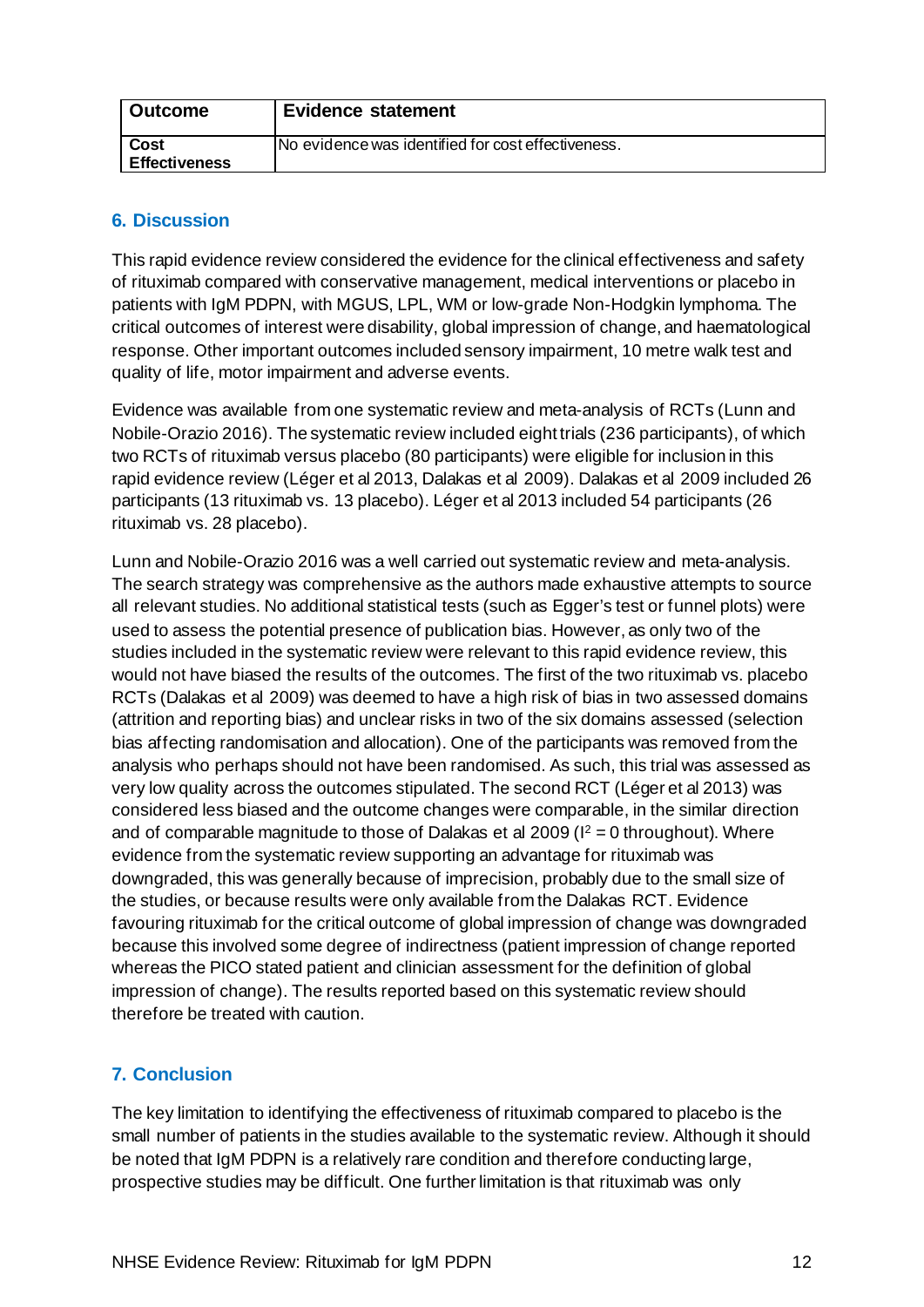| <b>Outcome</b>       | <b>Evidence statement</b>                          |
|----------------------|----------------------------------------------------|
| <b>Cost</b>          | No evidence was identified for cost effectiveness. |
| <b>Effectiveness</b> |                                                    |

## <span id="page-14-0"></span>**6. Discussion**

This rapid evidence review considered the evidence for the clinical effectiveness and safety of rituximab compared with conservative management, medical interventions or placebo in patients with IgM PDPN, with MGUS, LPL, WM or low-grade Non-Hodgkin lymphoma. The critical outcomes of interest were disability, global impression of change, and haematological response. Other important outcomes included sensory impairment, 10 metre walk test and quality of life, motor impairment and adverse events.

Evidence was available from one systematic review and meta-analysis of RCTs (Lunn and Nobile-Orazio 2016). The systematic review included eight trials (236 participants), of which two RCTs of rituximab versus placebo (80 participants) were eligible for inclusion in this rapid evidence review (Léger et al 2013, Dalakas et al 2009). Dalakas et al 2009 included 26 participants (13 rituximab vs. 13 placebo). Léger et al 2013 included 54 participants (26 rituximab vs. 28 placebo).

Lunn and Nobile-Orazio 2016 was a well carried out systematic review and meta-analysis. The search strategy was comprehensive as the authors made exhaustive attempts to source all relevant studies. No additional statistical tests (such as Egger's test or funnel plots) were used to assess the potential presence of publication bias. However, as only two of the studies included in the systematic review were relevant to this rapid evidence review, this would not have biased the results of the outcomes. The first of the two rituximab vs. placebo RCTs (Dalakas et al 2009) was deemed to have a high risk of bias in two assessed domains (attrition and reporting bias) and unclear risks in two of the six domains assessed (selection bias affecting randomisation and allocation). One of the participants was removed from the analysis who perhaps should not have been randomised. As such, this trial was assessed as very low quality across the outcomes stipulated. The second RCT (Léger et al 2013) was considered less biased and the outcome changes were comparable, in the similar direction and of comparable magnitude to those of Dalakas et al 2009 ( $I^2 = 0$  throughout). Where evidence from the systematic review supporting an advantage for rituximab was downgraded, this was generally because of imprecision, probably due to the small size of the studies, or because results were only available from the Dalakas RCT. Evidence favouring rituximab for the critical outcome of global impression of change was downgraded because this involved some degree of indirectness (patient impression of change reported whereas the PICO stated patient and clinician assessment for the definition of global impression of change). The results reported based on this systematic review should therefore be treated with caution.

## <span id="page-14-1"></span>**7. Conclusion**

The key limitation to identifying the effectiveness of rituximab compared to placebo is the small number of patients in the studies available to the systematic review. Although it should be noted that IgM PDPN is a relatively rare condition and therefore conducting large, prospective studies may be difficult. One further limitation is that rituximab was only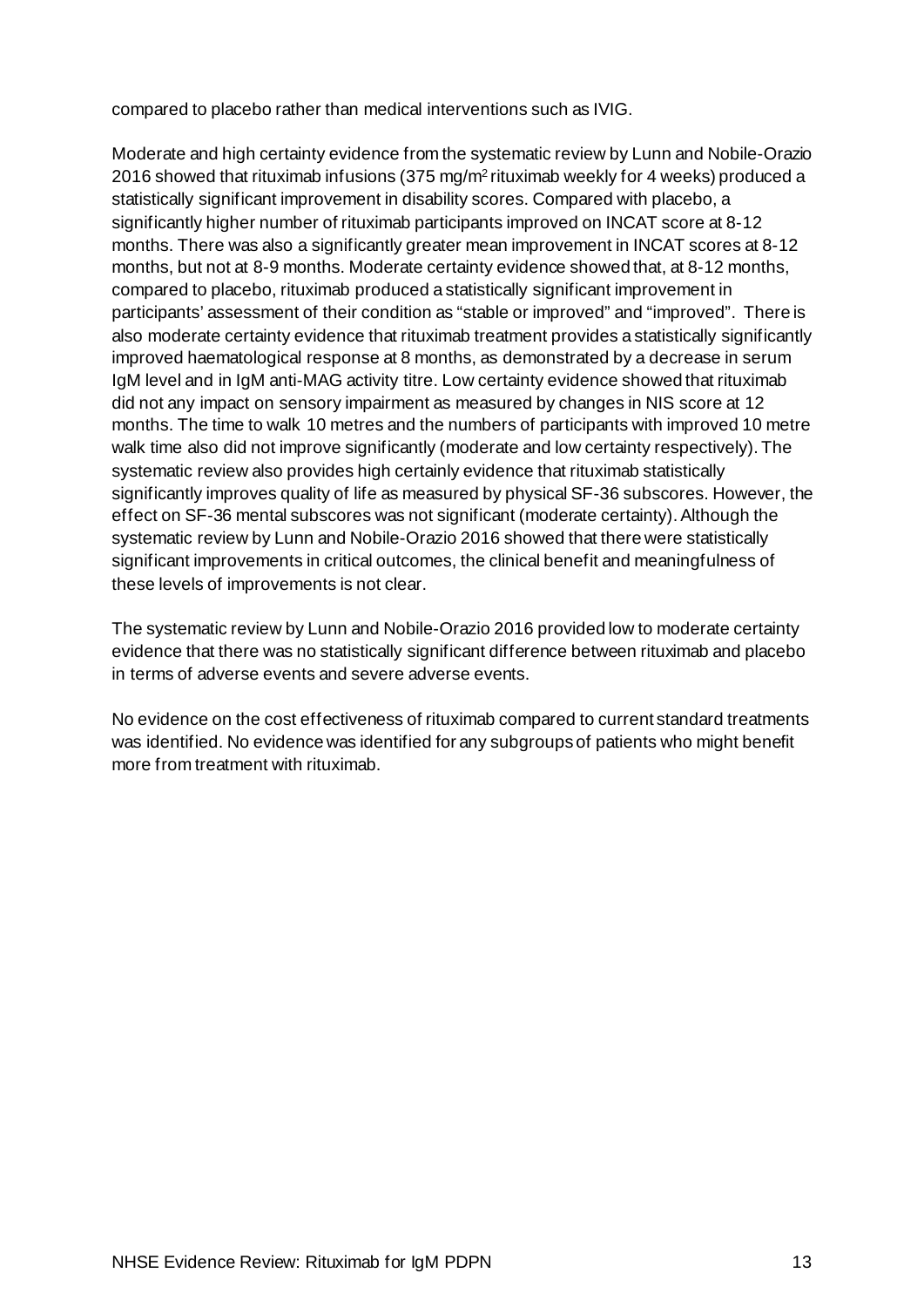compared to placebo rather than medical interventions such as IVIG.

Moderate and high certainty evidence from the systematic review by Lunn and Nobile-Orazio 2016 showed that rituximab infusions (375 mg/m2 rituximab weekly for 4 weeks) produced a statistically significant improvement in disability scores. Compared with placebo, a significantly higher number of rituximab participants improved on INCAT score at 8-12 months. There was also a significantly greater mean improvement in INCAT scores at 8-12 months, but not at 8-9 months. Moderate certainty evidence showed that, at 8-12 months, compared to placebo, rituximab produced a statistically significant improvement in participants' assessment of their condition as "stable or improved" and "improved". There is also moderate certainty evidence that rituximab treatment provides a statistically significantly improved haematological response at 8 months, as demonstrated by a decrease in serum IgM level and in IgM anti-MAG activity titre. Low certainty evidence showed that rituximab did not any impact on sensory impairment as measured by changes in NIS score at 12 months. The time to walk 10 metres and the numbers of participants with improved 10 metre walk time also did not improve significantly (moderate and low certainty respectively). The systematic review also provides high certainly evidence that rituximab statistically significantly improves quality of life as measured by physical SF-36 subscores. However, the effect on SF-36 mental subscores was not significant (moderate certainty).Although the systematic review by Lunn and Nobile-Orazio 2016 showed that there were statistically significant improvements in critical outcomes, the clinical benefit and meaningfulness of these levels of improvements is not clear.

The systematic review by Lunn and Nobile-Orazio 2016 provided low to moderate certainty evidence that there was no statistically significant difference between rituximab and placebo in terms of adverse events and severe adverse events.

No evidence on the cost effectiveness of rituximab compared to current standard treatments was identified. No evidence was identified for any subgroups of patients who might benefit more from treatment with rituximab.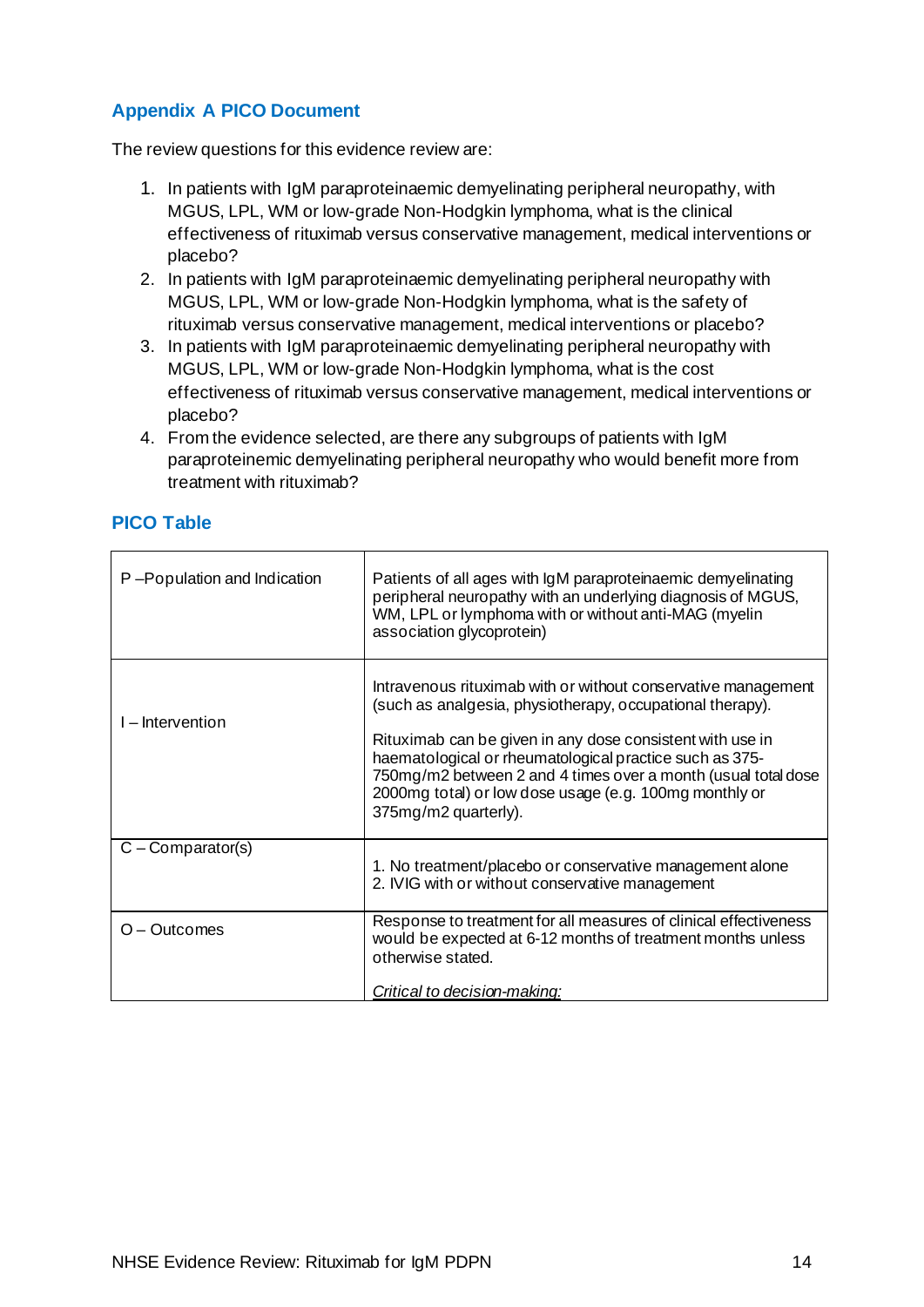## <span id="page-16-0"></span>**Appendix A PICO Document**

The review questions for this evidence review are:

- 1. In patients with IgM paraproteinaemic demyelinating peripheral neuropathy, with MGUS, LPL, WM or low-grade Non-Hodgkin lymphoma, what is the clinical effectiveness of rituximab versus conservative management, medical interventions or placebo?
- 2. In patients with IgM paraproteinaemic demyelinating peripheral neuropathy with MGUS, LPL, WM or low-grade Non-Hodgkin lymphoma, what is the safety of rituximab versus conservative management, medical interventions or placebo?
- 3. In patients with IgM paraproteinaemic demyelinating peripheral neuropathy with MGUS, LPL, WM or low-grade Non-Hodgkin lymphoma, what is the cost effectiveness of rituximab versus conservative management, medical interventions or placebo?
- 4. From the evidence selected, are there any subgroups of patients with IgM paraproteinemic demyelinating peripheral neuropathy who would benefit more from treatment with rituximab?

| P-Population and Indication | Patients of all ages with IgM paraproteinaemic demyelinating<br>peripheral neuropathy with an underlying diagnosis of MGUS,<br>WM, LPL or lymphoma with or without anti-MAG (myelin<br>association glycoprotein)                                                                                                                                                                                      |
|-----------------------------|-------------------------------------------------------------------------------------------------------------------------------------------------------------------------------------------------------------------------------------------------------------------------------------------------------------------------------------------------------------------------------------------------------|
| I – Intervention            | Intravenous rituximab with or without conservative management<br>(such as analgesia, physiotherapy, occupational therapy).<br>Rituximab can be given in any dose consistent with use in<br>haematological or rheumatological practice such as 375-<br>750mg/m2 between 2 and 4 times over a month (usual total dose<br>2000mg total) or low dose usage (e.g. 100mg monthly or<br>375mg/m2 quarterly). |
| $C$ – Comparator(s)         | 1. No treatment/placebo or conservative management alone<br>2. IVIG with or without conservative management                                                                                                                                                                                                                                                                                           |
| $O - Outcomes$              | Response to treatment for all measures of clinical effectiveness<br>would be expected at 6-12 months of treatment months unless<br>otherwise stated.<br>Critical to decision-making:                                                                                                                                                                                                                  |

## **PICO Table**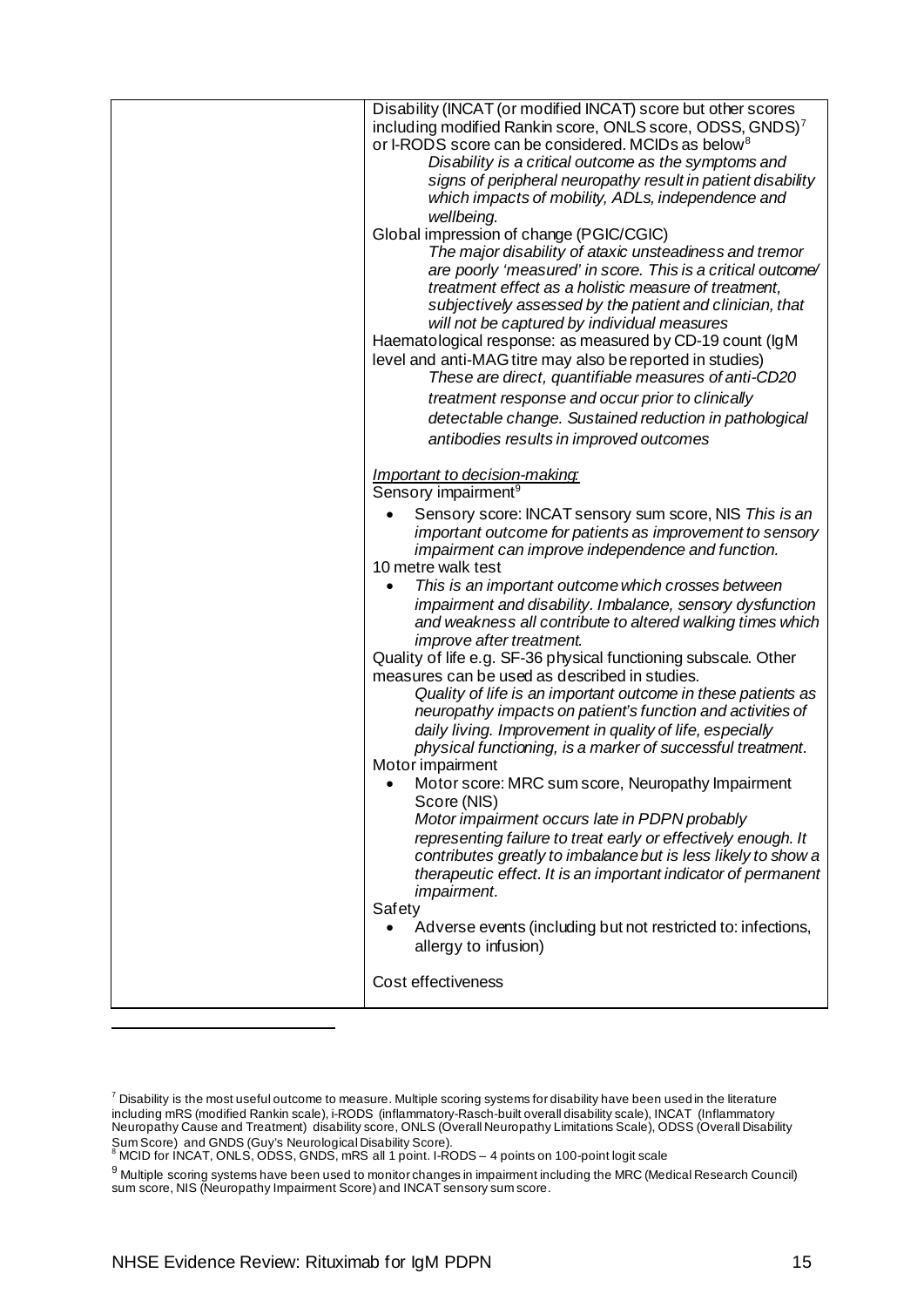| Disability (INCAT (or modified INCAT) score but other scores<br>including modified Rankin score, ONLS score, ODSS, GNDS) <sup>7</sup><br>or I-RODS score can be considered. MCIDs as below <sup>8</sup><br>Disability is a critical outcome as the symptoms and<br>signs of peripheral neuropathy result in patient disability<br>which impacts of mobility, ADLs, independence and<br>wellbeing.<br>Global impression of change (PGIC/CGIC)<br>The major disability of ataxic unsteadiness and tremor<br>are poorly 'measured' in score. This is a critical outcome/<br>treatment effect as a holistic measure of treatment,<br>subjectively assessed by the patient and clinician, that<br>will not be captured by individual measures<br>Haematological response: as measured by CD-19 count (IgM<br>level and anti-MAG titre may also be reported in studies)<br>These are direct, quantifiable measures of anti-CD20 |
|---------------------------------------------------------------------------------------------------------------------------------------------------------------------------------------------------------------------------------------------------------------------------------------------------------------------------------------------------------------------------------------------------------------------------------------------------------------------------------------------------------------------------------------------------------------------------------------------------------------------------------------------------------------------------------------------------------------------------------------------------------------------------------------------------------------------------------------------------------------------------------------------------------------------------|
| treatment response and occur prior to clinically                                                                                                                                                                                                                                                                                                                                                                                                                                                                                                                                                                                                                                                                                                                                                                                                                                                                          |
| detectable change. Sustained reduction in pathological                                                                                                                                                                                                                                                                                                                                                                                                                                                                                                                                                                                                                                                                                                                                                                                                                                                                    |
| antibodies results in improved outcomes                                                                                                                                                                                                                                                                                                                                                                                                                                                                                                                                                                                                                                                                                                                                                                                                                                                                                   |
| Important to decision-making:<br>Sensory impairment <sup>9</sup>                                                                                                                                                                                                                                                                                                                                                                                                                                                                                                                                                                                                                                                                                                                                                                                                                                                          |
| Sensory score: INCAT sensory sum score, NIS This is an<br>important outcome for patients as improvement to sensory<br>impairment can improve independence and function.<br>10 metre walk test                                                                                                                                                                                                                                                                                                                                                                                                                                                                                                                                                                                                                                                                                                                             |
| This is an important outcome which crosses between<br>impairment and disability. Imbalance, sensory dysfunction<br>and weakness all contribute to altered walking times which<br><i>improve after treatment.</i>                                                                                                                                                                                                                                                                                                                                                                                                                                                                                                                                                                                                                                                                                                          |
| Quality of life e.g. SF-36 physical functioning subscale. Other<br>measures can be used as described in studies.                                                                                                                                                                                                                                                                                                                                                                                                                                                                                                                                                                                                                                                                                                                                                                                                          |
| Quality of life is an important outcome in these patients as<br>neuropathy impacts on patient's function and activities of<br>daily living. Improvement in quality of life, especially<br>physical functioning, is a marker of successful treatment.                                                                                                                                                                                                                                                                                                                                                                                                                                                                                                                                                                                                                                                                      |
| Motor impairment<br>Motor score: MRC sum score, Neuropathy Impairment<br>Score (NIS)                                                                                                                                                                                                                                                                                                                                                                                                                                                                                                                                                                                                                                                                                                                                                                                                                                      |
| Motor impairment occurs late in PDPN probably<br>representing failure to treat early or effectively enough. It<br>contributes greatly to imbalance but is less likely to show a<br>therapeutic effect. It is an important indicator of permanent<br><i>impairment.</i><br>Safety                                                                                                                                                                                                                                                                                                                                                                                                                                                                                                                                                                                                                                          |
| Adverse events (including but not restricted to: infections,<br>allergy to infusion)                                                                                                                                                                                                                                                                                                                                                                                                                                                                                                                                                                                                                                                                                                                                                                                                                                      |
| Cost effectiveness                                                                                                                                                                                                                                                                                                                                                                                                                                                                                                                                                                                                                                                                                                                                                                                                                                                                                                        |

<span id="page-17-0"></span> $^7$  Disability is the most useful outcome to measure. Multiple scoring systems for disability have been used in the literature including mRS (modified Rankin scale), i-RODS (inflammatory-Rasch-built overall disability scale), INCAT (Inflammatory Neuropathy Cause and Treatment) disability score, ONLS (Overall Neuropathy Limitations Scale), ODSS (Overall Disability Sum Score) and GNDS (Guy's Neurological Disability Score). <sup>8</sup> MCID for INCAT, ONLS, ODSS, GNDS, mRS all 1 point. I-RODS – 4 points on 100-point logit scale

<span id="page-17-2"></span><span id="page-17-1"></span><sup>9</sup> Multiple scoring systems have been used to monitor changes in impairment including the MRC (Medical Research Council) sum score, NIS (Neuropathy Impairment Score) and INCAT sensory sum score.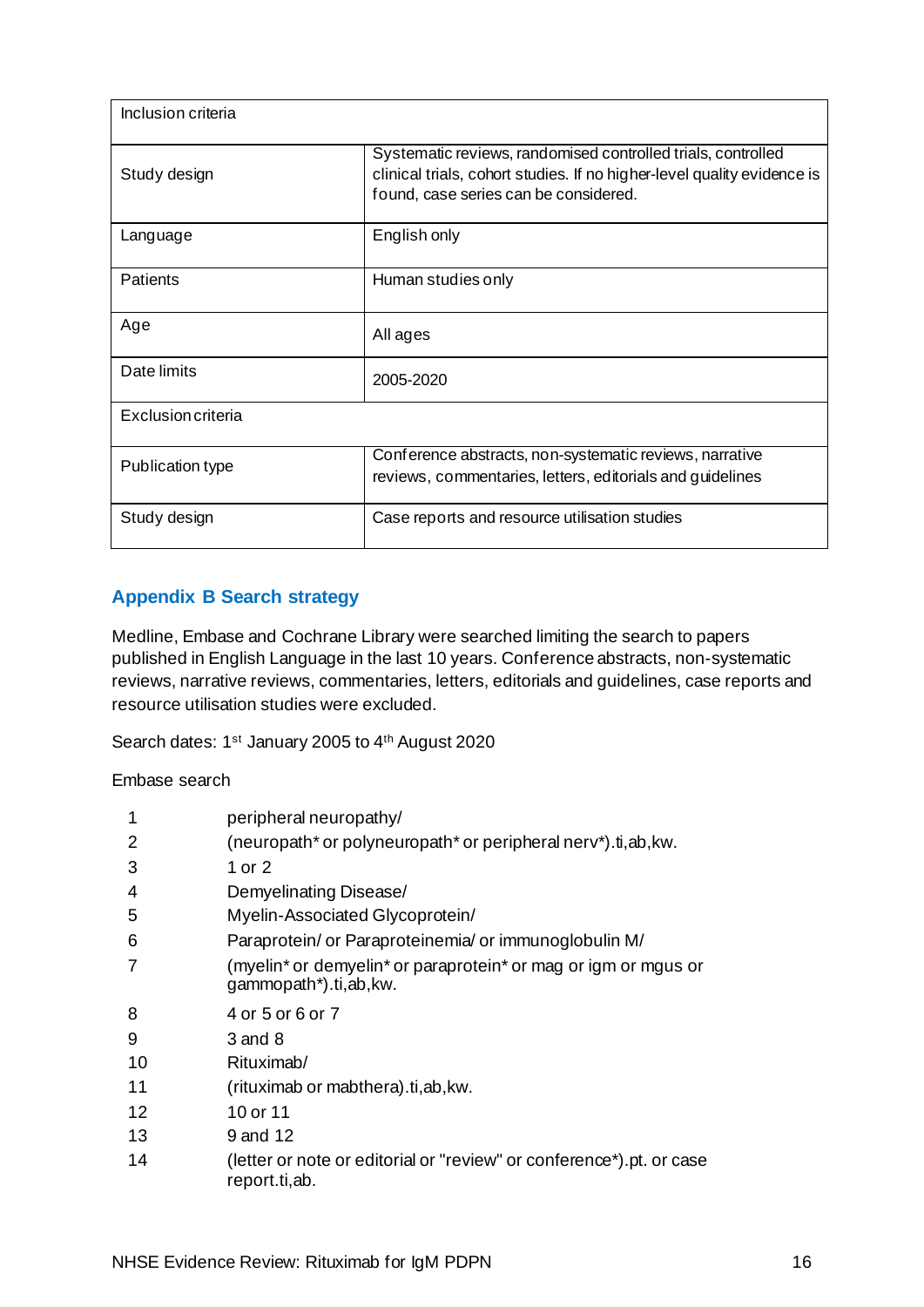| Inclusion criteria |                                                                                                                                                                                  |
|--------------------|----------------------------------------------------------------------------------------------------------------------------------------------------------------------------------|
| Study design       | Systematic reviews, randomised controlled trials, controlled<br>clinical trials, cohort studies. If no higher-level quality evidence is<br>found, case series can be considered. |
| Language           | English only                                                                                                                                                                     |
| <b>Patients</b>    | Human studies only                                                                                                                                                               |
| Age                | All ages                                                                                                                                                                         |
| Date limits        | 2005-2020                                                                                                                                                                        |
| Exclusion criteria |                                                                                                                                                                                  |
| Publication type   | Conference abstracts, non-systematic reviews, narrative<br>reviews, commentaries, letters, editorials and guidelines                                                             |
| Study design       | Case reports and resource utilisation studies                                                                                                                                    |

## <span id="page-18-0"></span>**Appendix B Search strategy**

Medline, Embase and Cochrane Library were searched limiting the search to papers published in English Language in the last 10 years. Conference abstracts, non-systematic reviews, narrative reviews, commentaries, letters, editorials and guidelines, case reports and resource utilisation studies were excluded.

Search dates: 1<sup>st</sup> January 2005 to 4<sup>th</sup> August 2020

Embase search

| 1  | peripheral neuropathy/                                                                                                      |
|----|-----------------------------------------------------------------------------------------------------------------------------|
| 2  | (neuropath* or polyneuropath* or peripheral nerv*).ti, ab, kw.                                                              |
| 3  | 1 or 2                                                                                                                      |
| 4  | Demyelinating Disease/                                                                                                      |
| 5  | Myelin-Associated Glycoprotein/                                                                                             |
| 6  | Paraprotein/ or Paraproteinemia/ or immunoglobulin M/                                                                       |
| 7  | (myelin <sup>*</sup> or demyelin <sup>*</sup> or paraprotein <sup>*</sup> or mag or igm or mgus or<br>gammopath*).ti,ab,kw. |
| 8  | 4 or 5 or 6 or 7                                                                                                            |
| 9  | 3 and 8                                                                                                                     |
| 10 | Rituximab/                                                                                                                  |
| 11 | (rituximab or mabthera).ti, ab, kw.                                                                                         |
| 12 | 10 or 11                                                                                                                    |
| 13 | 9 and 12                                                                                                                    |
| 14 | (letter or note or editorial or "review" or conference*).pt. or case<br>report.ti,ab.                                       |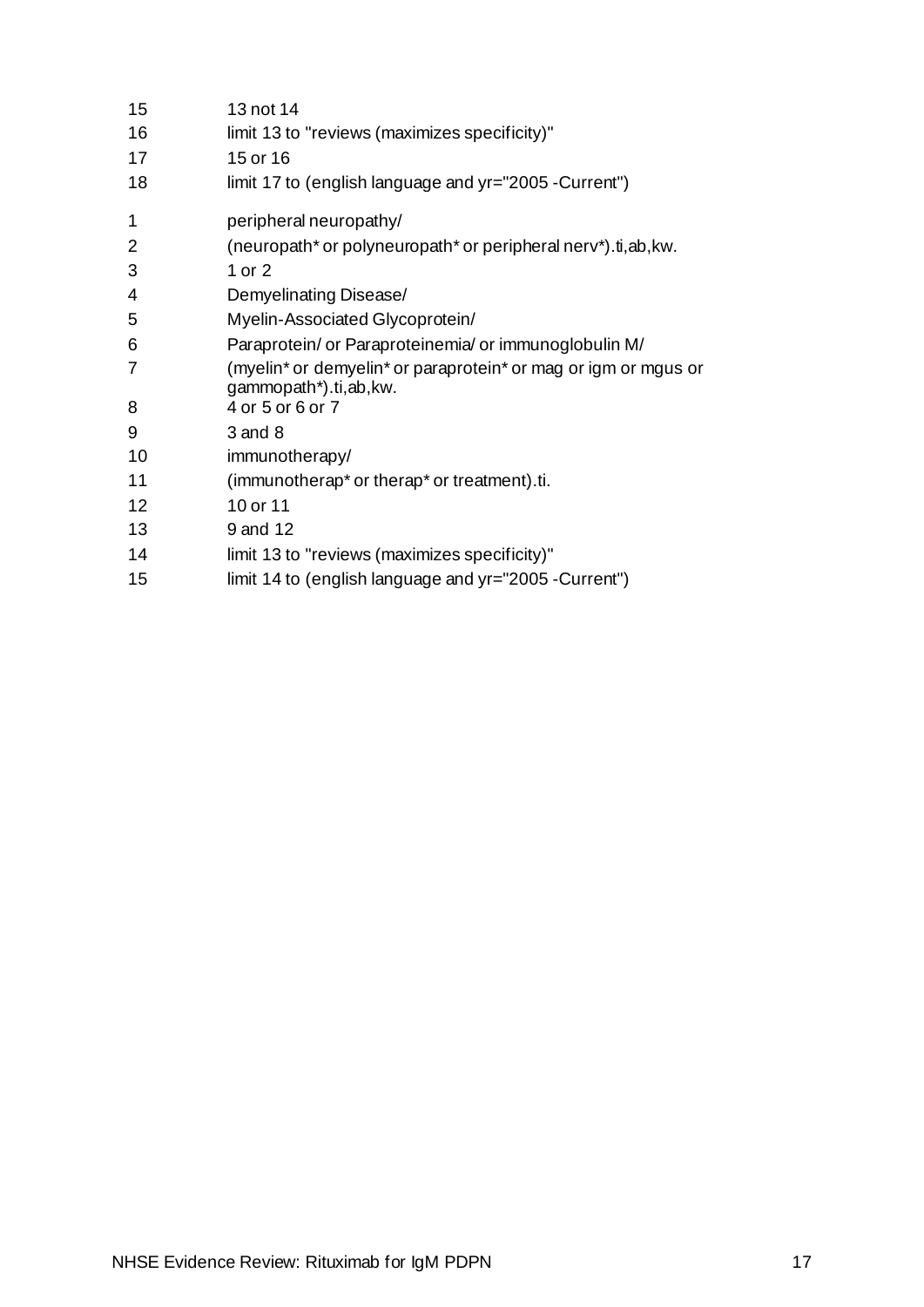| 15             | 13 not 14                                                                                                                   |
|----------------|-----------------------------------------------------------------------------------------------------------------------------|
| 16             | limit 13 to "reviews (maximizes specificity)"                                                                               |
| 17             | 15 or 16                                                                                                                    |
| 18             | limit 17 to (english language and yr="2005 - Current")                                                                      |
| 1              | peripheral neuropathy/                                                                                                      |
| $\overline{2}$ | (neuropath* or polyneuropath* or peripheral nerv*).ti,ab, kw.                                                               |
| 3              | 1 or $2$                                                                                                                    |
| 4              | Demyelinating Disease/                                                                                                      |
| 5              | Myelin-Associated Glycoprotein/                                                                                             |
| 6              | Paraprotein/ or Paraproteinemia/ or immunoglobulin M/                                                                       |
| 7              | (myelin <sup>*</sup> or demyelin <sup>*</sup> or paraprotein <sup>*</sup> or mag or igm or mgus or<br>gammopath*).ti,ab,kw. |
| 8              | 4 or 5 or 6 or 7                                                                                                            |
| 9              | $3$ and $8$                                                                                                                 |
| 10             | immunotherapy/                                                                                                              |
| 11             | (immunotherap <sup>*</sup> or therap <sup>*</sup> or treatment).ti.                                                         |
| 12             | 10 or 11                                                                                                                    |
| 13             | 9 and 12                                                                                                                    |
| 14             | limit 13 to "reviews (maximizes specificity)"                                                                               |
| 15             | limit 14 to (english language and yr="2005 - Current")                                                                      |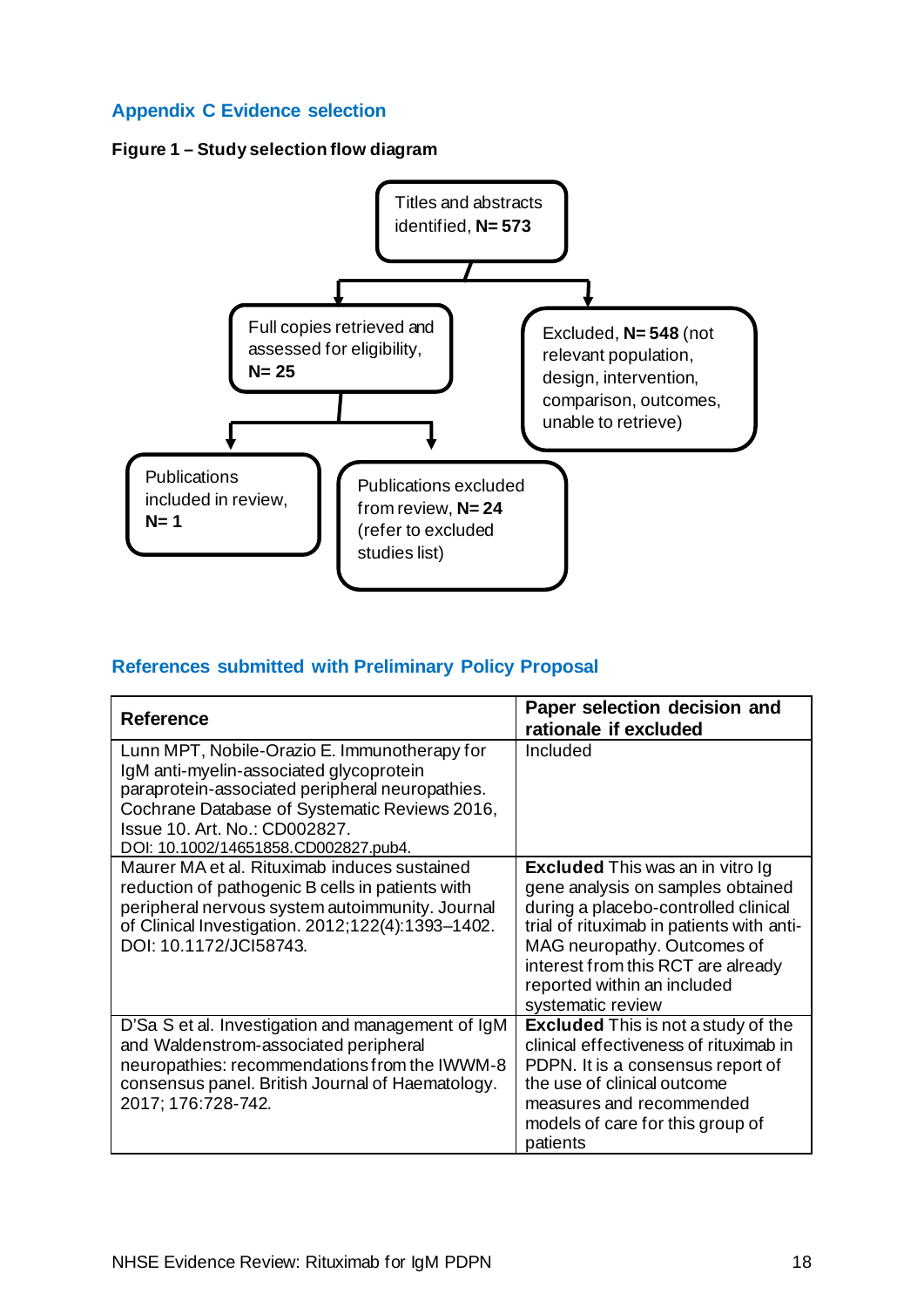## <span id="page-20-0"></span>**Appendix C Evidence selection**

## **Figure 1 – Study selection flow diagram**



## **References submitted with Preliminary Policy Proposal**

| Reference                                                                                                                                                                                                                                                            | Paper selection decision and<br>rationale if excluded                                                                                                                                                                                                                                      |
|----------------------------------------------------------------------------------------------------------------------------------------------------------------------------------------------------------------------------------------------------------------------|--------------------------------------------------------------------------------------------------------------------------------------------------------------------------------------------------------------------------------------------------------------------------------------------|
| Lunn MPT, Nobile-Orazio E. Immunotherapy for<br>IgM anti-myelin-associated glycoprotein<br>paraprotein-associated peripheral neuropathies.<br>Cochrane Database of Systematic Reviews 2016,<br>Issue 10. Art. No.: CD002827.<br>DOI: 10.1002/14651858.CD002827.pub4. | Included                                                                                                                                                                                                                                                                                   |
| Maurer MA et al. Rituximab induces sustained<br>reduction of pathogenic B cells in patients with<br>peripheral nervous system autoimmunity. Journal<br>of Clinical Investigation. 2012;122(4):1393-1402.<br>DOI: 10.1172/JCI58743.                                   | <b>Excluded</b> This was an in vitro Ig<br>gene analysis on samples obtained<br>during a placebo-controlled clinical<br>trial of rituximab in patients with anti-<br>MAG neuropathy. Outcomes of<br>interest from this RCT are already<br>reported within an included<br>systematic review |
| D'Sa S et al. Investigation and management of IgM<br>and Waldenstrom-associated peripheral<br>neuropathies: recommendations from the IWWM-8<br>consensus panel. British Journal of Haematology.<br>2017; 176:728-742.                                                | <b>Excluded</b> This is not a study of the<br>clinical effectiveness of rituximab in<br>PDPN. It is a consensus report of<br>the use of clinical outcome<br>measures and recommended<br>models of care for this group of<br>patients                                                       |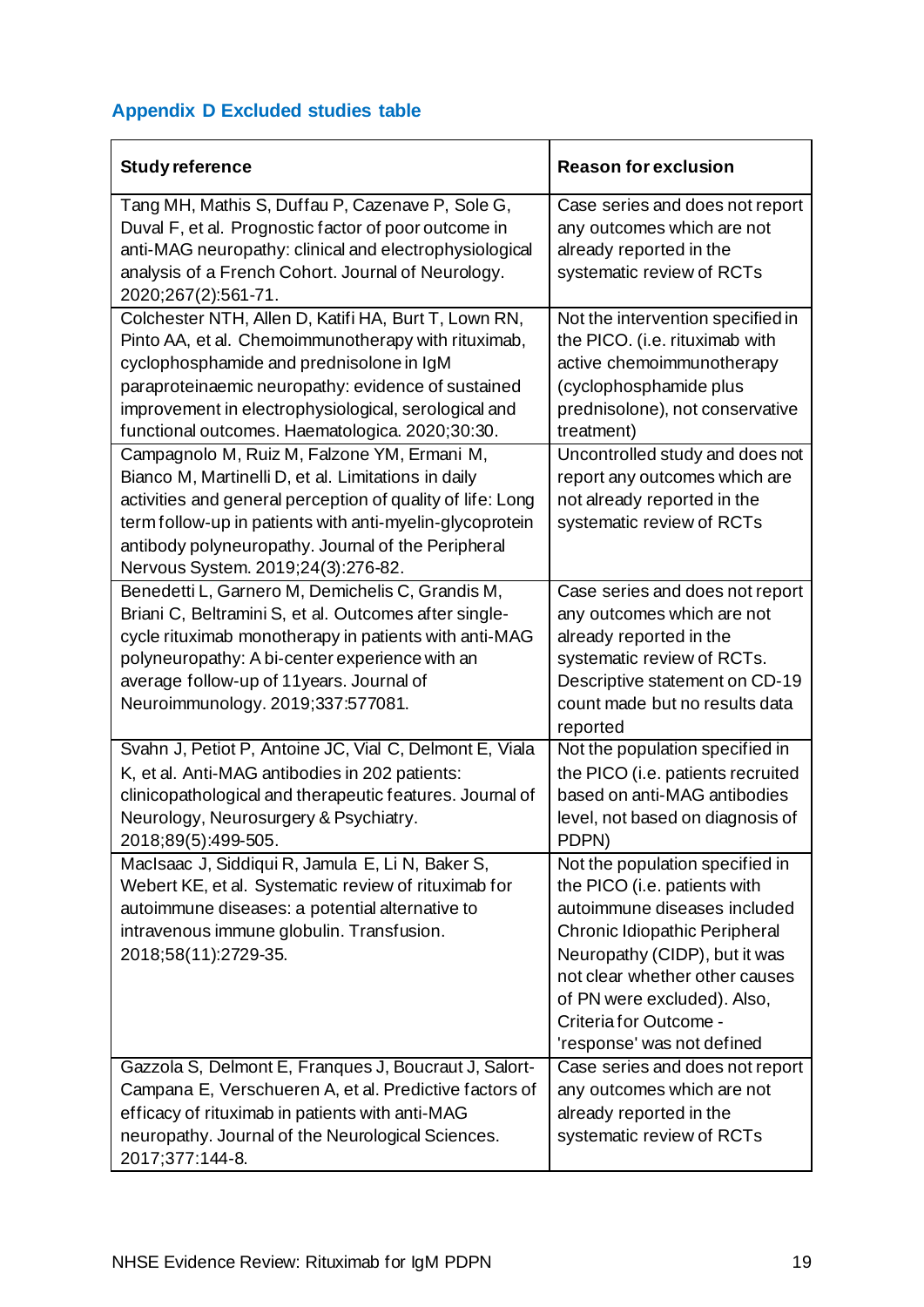## <span id="page-21-0"></span>**Appendix D Excluded studies table**

| <b>Study reference</b>                                                                                                                                                                                                                                                                                                   | <b>Reason for exclusion</b>                                                                                                                                                                                                                                                                |
|--------------------------------------------------------------------------------------------------------------------------------------------------------------------------------------------------------------------------------------------------------------------------------------------------------------------------|--------------------------------------------------------------------------------------------------------------------------------------------------------------------------------------------------------------------------------------------------------------------------------------------|
| Tang MH, Mathis S, Duffau P, Cazenave P, Sole G,<br>Duval F, et al. Prognostic factor of poor outcome in<br>anti-MAG neuropathy: clinical and electrophysiological<br>analysis of a French Cohort. Journal of Neurology.<br>2020;267(2):561-71.                                                                          | Case series and does not report<br>any outcomes which are not<br>already reported in the<br>systematic review of RCTs                                                                                                                                                                      |
| Colchester NTH, Allen D, Katifi HA, Burt T, Lown RN,<br>Pinto AA, et al. Chemoimmunotherapy with rituximab,<br>cyclophosphamide and prednisolone in IgM<br>paraproteinaemic neuropathy: evidence of sustained<br>improvement in electrophysiological, serological and<br>functional outcomes. Haematologica. 2020;30:30. | Not the intervention specified in<br>the PICO. (i.e. rituximab with<br>active chemoimmunotherapy<br>(cyclophosphamide plus<br>prednisolone), not conservative<br>treatment)                                                                                                                |
| Campagnolo M, Ruiz M, Falzone YM, Ermani M,<br>Bianco M, Martinelli D, et al. Limitations in daily<br>activities and general perception of quality of life: Long<br>term follow-up in patients with anti-myelin-glycoprotein<br>antibody polyneuropathy. Journal of the Peripheral<br>Nervous System. 2019;24(3):276-82. | Uncontrolled study and does not<br>report any outcomes which are<br>not already reported in the<br>systematic review of RCTs                                                                                                                                                               |
| Benedetti L, Garnero M, Demichelis C, Grandis M,<br>Briani C, Beltramini S, et al. Outcomes after single-<br>cycle rituximab monotherapy in patients with anti-MAG<br>polyneuropathy: A bi-center experience with an<br>average follow-up of 11years. Journal of<br>Neuroimmunology. 2019;337:577081.                    | Case series and does not report<br>any outcomes which are not<br>already reported in the<br>systematic review of RCTs.<br>Descriptive statement on CD-19<br>count made but no results data<br>reported                                                                                     |
| Svahn J, Petiot P, Antoine JC, Vial C, Delmont E, Viala<br>K, et al. Anti-MAG antibodies in 202 patients:<br>clinicopathological and therapeutic features. Journal of<br>Neurology, Neurosurgery & Psychiatry.<br>2018;89(5):499-505.                                                                                    | Not the population specified in<br>the PICO (i.e. patients recruited<br>based on anti-MAG antibodies<br>level, not based on diagnosis of<br>PDPN)                                                                                                                                          |
| MacIsaac J, Siddiqui R, Jamula E, Li N, Baker S,<br>Webert KE, et al. Systematic review of rituximab for<br>autoimmune diseases: a potential alternative to<br>intravenous immune globulin. Transfusion.<br>2018;58(11):2729-35.                                                                                         | Not the population specified in<br>the PICO (i.e. patients with<br>autoimmune diseases included<br>Chronic Idiopathic Peripheral<br>Neuropathy (CIDP), but it was<br>not clear whether other causes<br>of PN were excluded). Also,<br>Criteria for Outcome -<br>'response' was not defined |
| Gazzola S, Delmont E, Franques J, Boucraut J, Salort-<br>Campana E, Verschueren A, et al. Predictive factors of<br>efficacy of rituximab in patients with anti-MAG<br>neuropathy. Journal of the Neurological Sciences.<br>2017;377:144-8.                                                                               | Case series and does not report<br>any outcomes which are not<br>already reported in the<br>systematic review of RCTs                                                                                                                                                                      |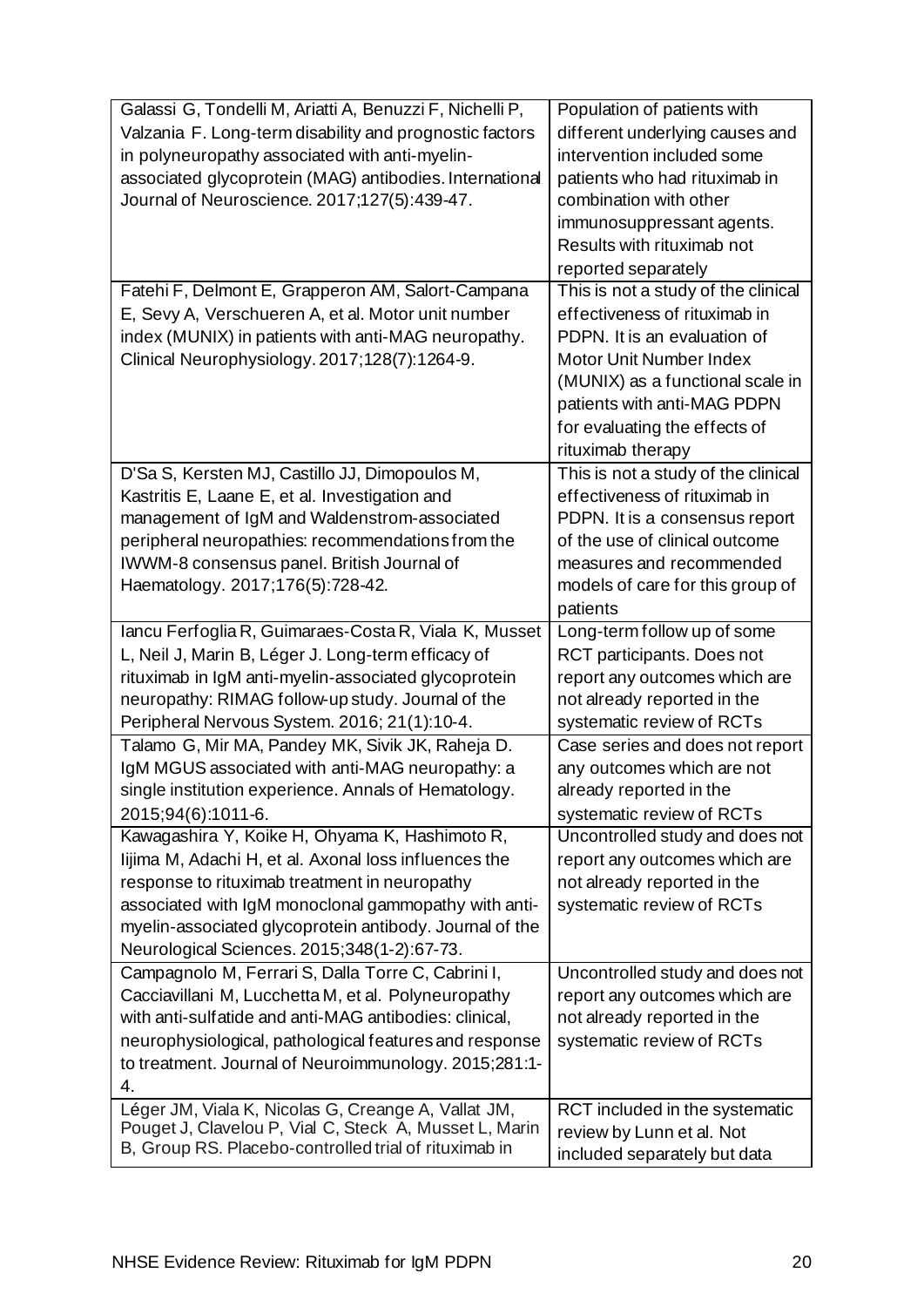| Galassi G, Tondelli M, Ariatti A, Benuzzi F, Nichelli P, | Population of patients with         |
|----------------------------------------------------------|-------------------------------------|
| Valzania F. Long-term disability and prognostic factors  | different underlying causes and     |
| in polyneuropathy associated with anti-myelin-           | intervention included some          |
| associated glycoprotein (MAG) antibodies. International  | patients who had rituximab in       |
| Journal of Neuroscience. 2017;127(5):439-47.             | combination with other              |
|                                                          | immunosuppressant agents.           |
|                                                          | Results with rituximab not          |
|                                                          | reported separately                 |
|                                                          |                                     |
| Fatehi F, Delmont E, Grapperon AM, Salort-Campana        | This is not a study of the clinical |
| E, Sevy A, Verschueren A, et al. Motor unit number       | effectiveness of rituximab in       |
| index (MUNIX) in patients with anti-MAG neuropathy.      | PDPN. It is an evaluation of        |
| Clinical Neurophysiology. 2017;128(7):1264-9.            | Motor Unit Number Index             |
|                                                          | (MUNIX) as a functional scale in    |
|                                                          | patients with anti-MAG PDPN         |
|                                                          | for evaluating the effects of       |
|                                                          | rituximab therapy                   |
| D'Sa S, Kersten MJ, Castillo JJ, Dimopoulos M,           | This is not a study of the clinical |
| Kastritis E, Laane E, et al. Investigation and           | effectiveness of rituximab in       |
| management of IgM and Waldenstrom-associated             | PDPN. It is a consensus report      |
| peripheral neuropathies: recommendations from the        | of the use of clinical outcome      |
| IWWM-8 consensus panel. British Journal of               | measures and recommended            |
| Haematology. 2017;176(5):728-42.                         | models of care for this group of    |
|                                                          | patients                            |
| Iancu Ferfoglia R, Guimaraes-Costa R, Viala K, Musset    | Long-term follow up of some         |
| L, Neil J, Marin B, Léger J. Long-term efficacy of       | RCT participants. Does not          |
| rituximab in IgM anti-myelin-associated glycoprotein     | report any outcomes which are       |
| neuropathy: RIMAG follow-up study. Journal of the        | not already reported in the         |
| Peripheral Nervous System. 2016; 21(1):10-4.             | systematic review of RCTs           |
| Talamo G, Mir MA, Pandey MK, Sivik JK, Raheja D.         | Case series and does not report     |
| IgM MGUS associated with anti-MAG neuropathy: a          | any outcomes which are not          |
| single institution experience. Annals of Hematology.     | already reported in the             |
| 2015;94(6):1011-6.                                       | systematic review of RCTs           |
| Kawagashira Y, Koike H, Ohyama K, Hashimoto R,           | Uncontrolled study and does not     |
| lijima M, Adachi H, et al. Axonal loss influences the    | report any outcomes which are       |
| response to rituximab treatment in neuropathy            | not already reported in the         |
| associated with IgM monoclonal gammopathy with anti-     | systematic review of RCTs           |
| myelin-associated glycoprotein antibody. Journal of the  |                                     |
| Neurological Sciences. 2015;348(1-2):67-73.              |                                     |
| Campagnolo M, Ferrari S, Dalla Torre C, Cabrini I,       | Uncontrolled study and does not     |
| Cacciavillani M, Lucchetta M, et al. Polyneuropathy      | report any outcomes which are       |
| with anti-sulfatide and anti-MAG antibodies: clinical,   | not already reported in the         |
| neurophysiological, pathological features and response   | systematic review of RCTs           |
| to treatment. Journal of Neuroimmunology. 2015;281:1-    |                                     |
| 4.                                                       |                                     |
| Léger JM, Viala K, Nicolas G, Creange A, Vallat JM,      | RCT included in the systematic      |
| Pouget J, Clavelou P, Vial C, Steck A, Musset L, Marin   |                                     |
| B, Group RS. Placebo-controlled trial of rituximab in    | review by Lunn et al. Not           |
|                                                          | included separately but data        |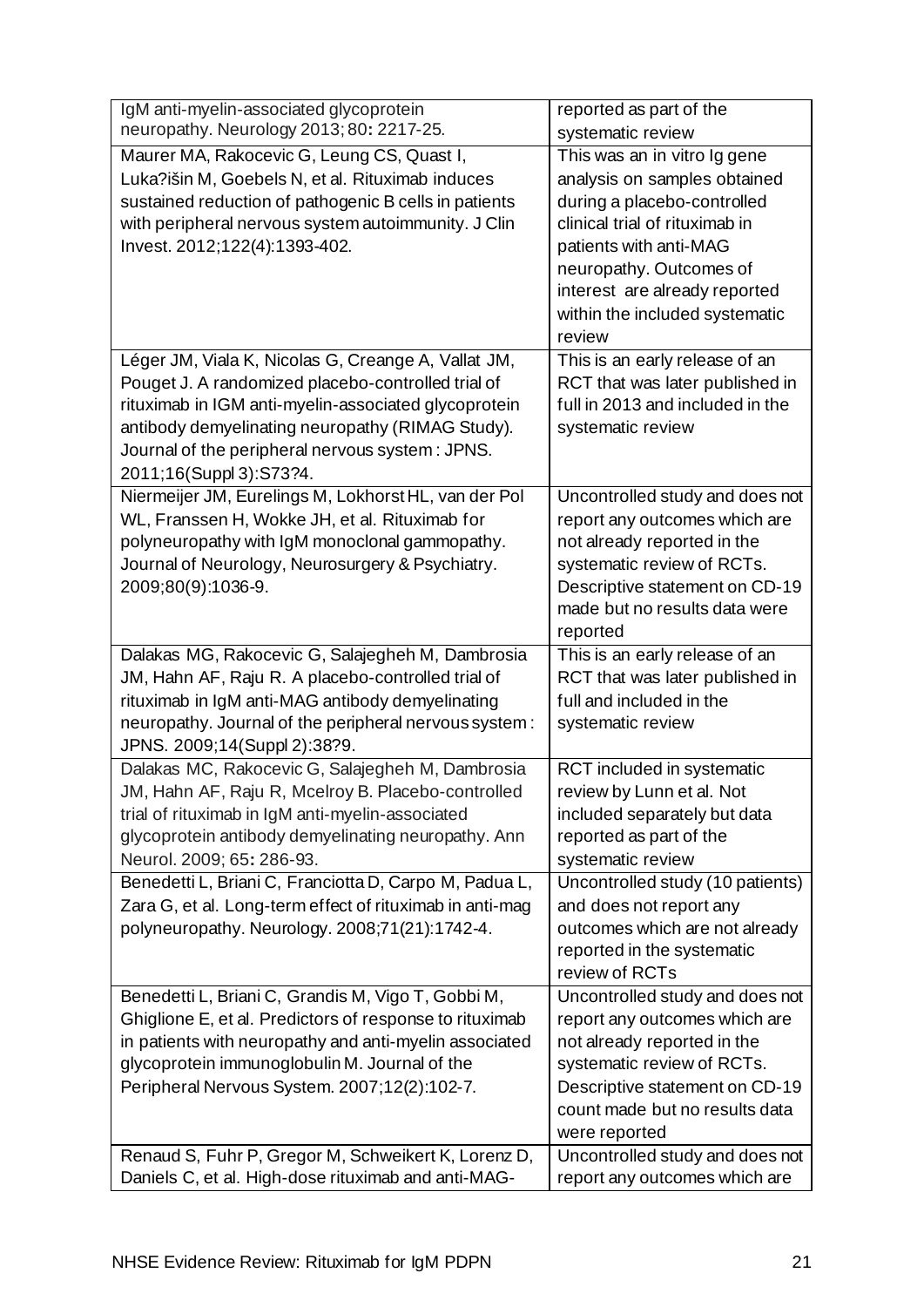| IgM anti-myelin-associated glycoprotein                  | reported as part of the          |
|----------------------------------------------------------|----------------------------------|
| neuropathy. Neurology 2013; 80: 2217-25.                 | systematic review                |
| Maurer MA, Rakocevic G, Leung CS, Quast I,               | This was an in vitro Ig gene     |
| Luka?išin M, Goebels N, et al. Rituximab induces         | analysis on samples obtained     |
| sustained reduction of pathogenic B cells in patients    | during a placebo-controlled      |
| with peripheral nervous system autoimmunity. J Clin      | clinical trial of rituximab in   |
| Invest. 2012;122(4):1393-402.                            | patients with anti-MAG           |
|                                                          | neuropathy. Outcomes of          |
|                                                          | interest are already reported    |
|                                                          | within the included systematic   |
|                                                          | review                           |
| Léger JM, Viala K, Nicolas G, Creange A, Vallat JM,      | This is an early release of an   |
| Pouget J. A randomized placebo-controlled trial of       | RCT that was later published in  |
| rituximab in IGM anti-myelin-associated glycoprotein     | full in 2013 and included in the |
| antibody demyelinating neuropathy (RIMAG Study).         | systematic review                |
| Journal of the peripheral nervous system: JPNS.          |                                  |
| 2011;16(Suppl 3):S73?4.                                  |                                  |
| Niermeijer JM, Eurelings M, Lokhorst HL, van der Pol     | Uncontrolled study and does not  |
| WL, Franssen H, Wokke JH, et al. Rituximab for           | report any outcomes which are    |
| polyneuropathy with IgM monoclonal gammopathy.           | not already reported in the      |
| Journal of Neurology, Neurosurgery & Psychiatry.         | systematic review of RCTs.       |
| 2009;80(9):1036-9.                                       | Descriptive statement on CD-19   |
|                                                          | made but no results data were    |
|                                                          | reported                         |
| Dalakas MG, Rakocevic G, Salajegheh M, Dambrosia         | This is an early release of an   |
| JM, Hahn AF, Raju R. A placebo-controlled trial of       | RCT that was later published in  |
| rituximab in IgM anti-MAG antibody demyelinating         | full and included in the         |
| neuropathy. Journal of the peripheral nervous system:    | systematic review                |
| JPNS. 2009;14(Suppl 2):38?9.                             |                                  |
| Dalakas MC, Rakocevic G, Salajegheh M, Dambrosia         | RCT included in systematic       |
| JM, Hahn AF, Raju R, Mcelroy B. Placebo-controlled       | review by Lunn et al. Not        |
| trial of rituximab in IgM anti-myelin-associated         | included separately but data     |
| glycoprotein antibody demyelinating neuropathy. Ann      | reported as part of the          |
| Neurol. 2009; 65: 286-93.                                | systematic review                |
| Benedetti L, Briani C, Franciotta D, Carpo M, Padua L,   | Uncontrolled study (10 patients) |
| Zara G, et al. Long-term effect of rituximab in anti-mag | and does not report any          |
| polyneuropathy. Neurology. 2008;71(21):1742-4.           | outcomes which are not already   |
|                                                          | reported in the systematic       |
|                                                          | review of RCTs                   |
| Benedetti L, Briani C, Grandis M, Vigo T, Gobbi M,       | Uncontrolled study and does not  |
| Ghiglione E, et al. Predictors of response to rituximab  | report any outcomes which are    |
| in patients with neuropathy and anti-myelin associated   | not already reported in the      |
| glycoprotein immunoglobulin M. Journal of the            | systematic review of RCTs.       |
| Peripheral Nervous System. 2007;12(2):102-7.             | Descriptive statement on CD-19   |
|                                                          | count made but no results data   |
|                                                          | were reported                    |
| Renaud S, Fuhr P, Gregor M, Schweikert K, Lorenz D,      | Uncontrolled study and does not  |
| Daniels C, et al. High-dose rituximab and anti-MAG-      | report any outcomes which are    |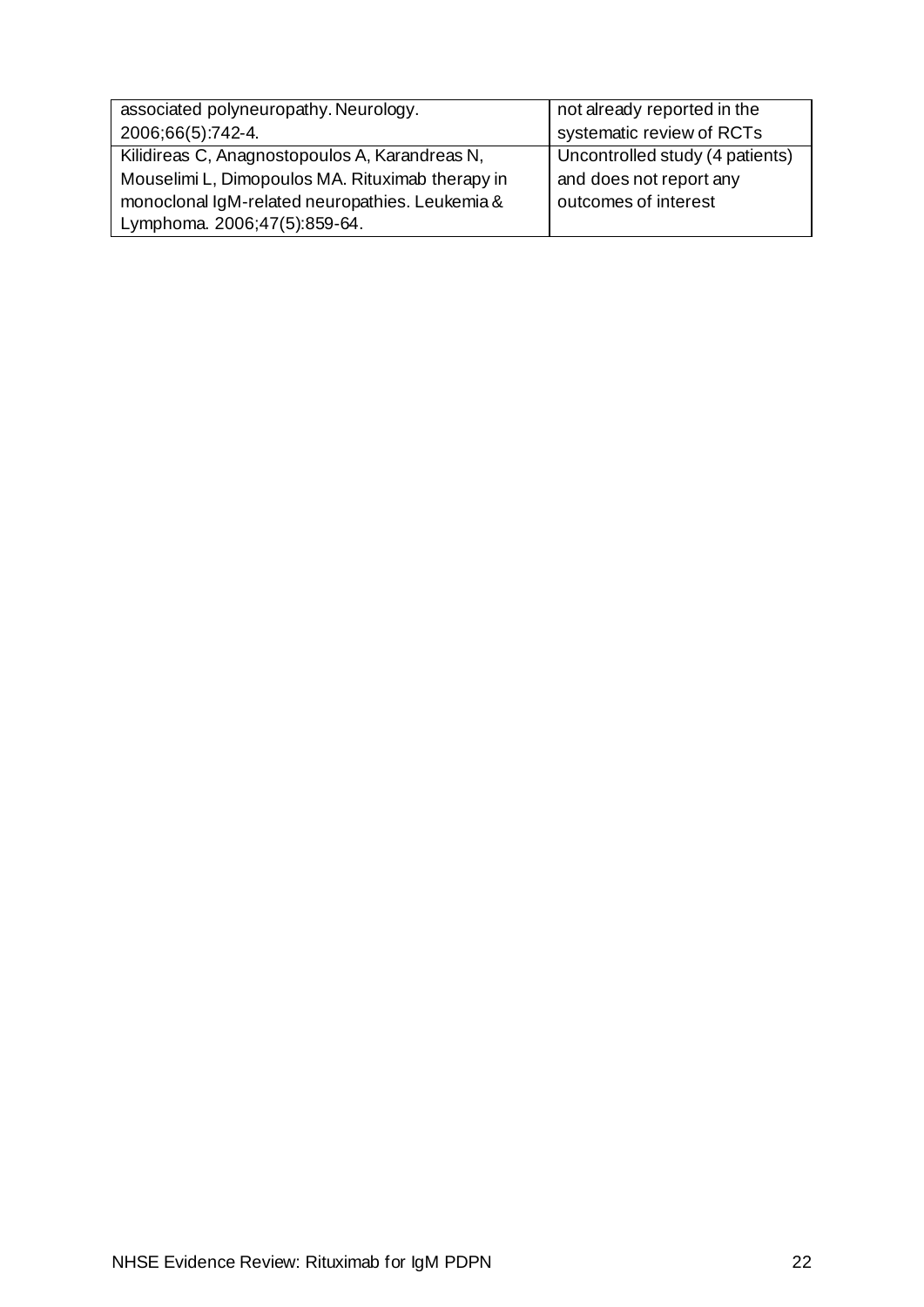| associated polyneuropathy. Neurology.            | not already reported in the     |
|--------------------------------------------------|---------------------------------|
| 2006;66(5):742-4.                                | systematic review of RCTs       |
| Kilidireas C, Anagnostopoulos A, Karandreas N,   | Uncontrolled study (4 patients) |
| Mouselimi L, Dimopoulos MA. Rituximab therapy in | and does not report any         |
| monoclonal IgM-related neuropathies. Leukemia &  | outcomes of interest            |
| Lymphoma. 2006;47(5):859-64.                     |                                 |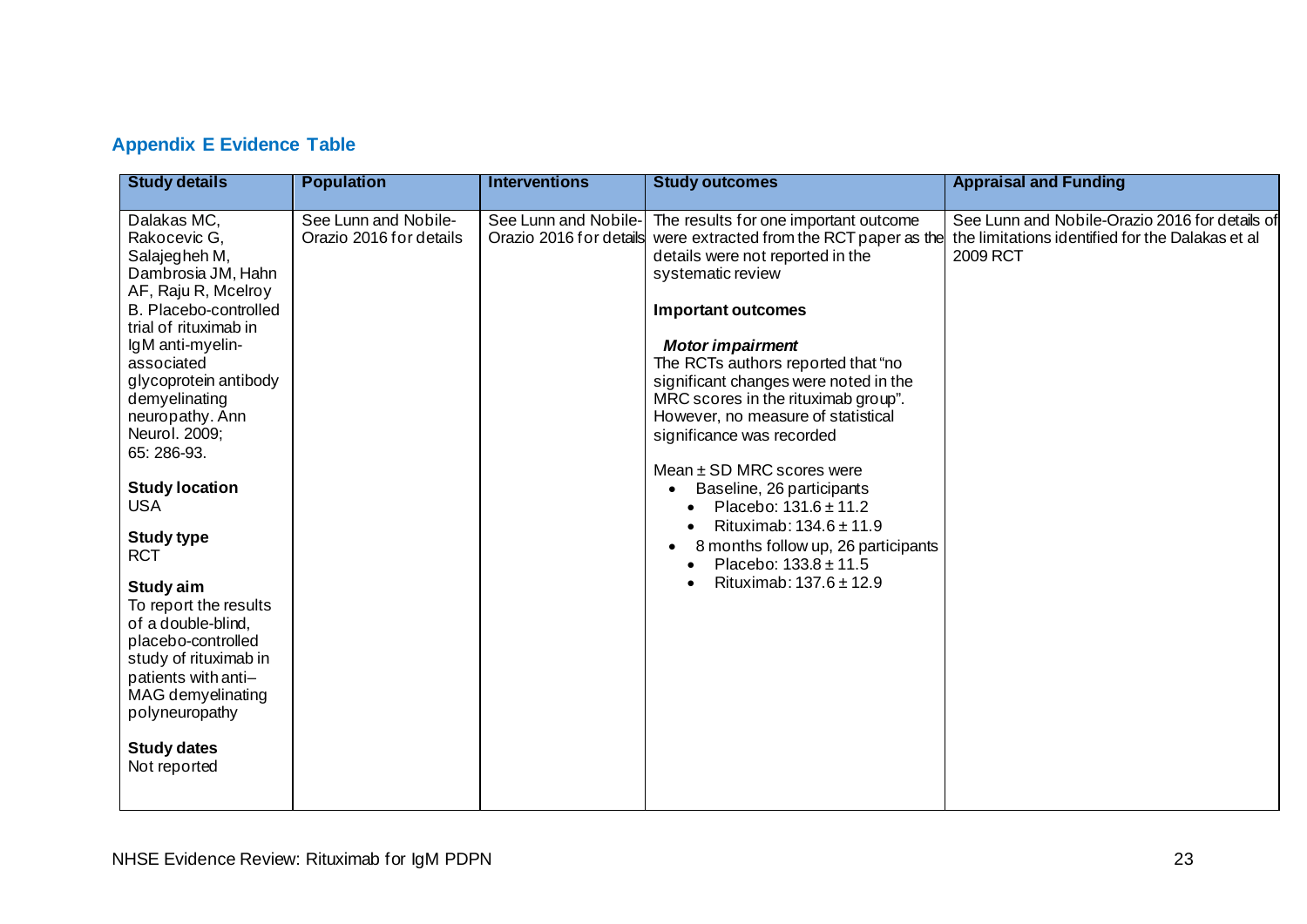## **Appendix E Evidence Table**

<span id="page-25-0"></span>

| <b>Study details</b>                                                                                                                                                                                                                                                                                                                                                                                                                                                                                                                                                | <b>Population</b>                               | <b>Interventions</b>                            | <b>Study outcomes</b>                                                                                                                                                                                                                                                                                                                                                                                                                                                                                                                                                                                                    | <b>Appraisal and Funding</b>                                                                                   |
|---------------------------------------------------------------------------------------------------------------------------------------------------------------------------------------------------------------------------------------------------------------------------------------------------------------------------------------------------------------------------------------------------------------------------------------------------------------------------------------------------------------------------------------------------------------------|-------------------------------------------------|-------------------------------------------------|--------------------------------------------------------------------------------------------------------------------------------------------------------------------------------------------------------------------------------------------------------------------------------------------------------------------------------------------------------------------------------------------------------------------------------------------------------------------------------------------------------------------------------------------------------------------------------------------------------------------------|----------------------------------------------------------------------------------------------------------------|
| Dalakas MC,<br>Rakocevic G,<br>Salajegheh M,<br>Dambrosia JM, Hahn<br>AF, Raju R, Mcelroy<br>B. Placebo-controlled<br>trial of rituximab in<br>IgM anti-myelin-<br>associated<br>glycoprotein antibody<br>demyelinating<br>neuropathy. Ann<br>Neurol. 2009;<br>65: 286-93.<br><b>Study location</b><br><b>USA</b><br><b>Study type</b><br><b>RCT</b><br>Study aim<br>To report the results<br>of a double-blind,<br>placebo-controlled<br>study of rituximab in<br>patients with anti-<br>MAG demyelinating<br>polyneuropathy<br><b>Study dates</b><br>Not reported | See Lunn and Nobile-<br>Orazio 2016 for details | See Lunn and Nobile-<br>Orazio 2016 for details | The results for one important outcome<br>were extracted from the RCT paper as the<br>details were not reported in the<br>systematic review<br><b>Important outcomes</b><br><b>Motor impairment</b><br>The RCTs authors reported that "no<br>significant changes were noted in the<br>MRC scores in the rituximab group".<br>However, no measure of statistical<br>significance was recorded<br>Mean $\pm$ SD MRC scores were<br>Baseline, 26 participants<br>Placebo: $131.6 \pm 11.2$<br>Rituximab: $134.6 \pm 11.9$<br>8 months follow up, 26 participants<br>Placebo: $133.8 \pm 11.5$<br>Rituximab: $137.6 \pm 12.9$ | See Lunn and Nobile-Orazio 2016 for details of<br>the limitations identified for the Dalakas et al<br>2009 RCT |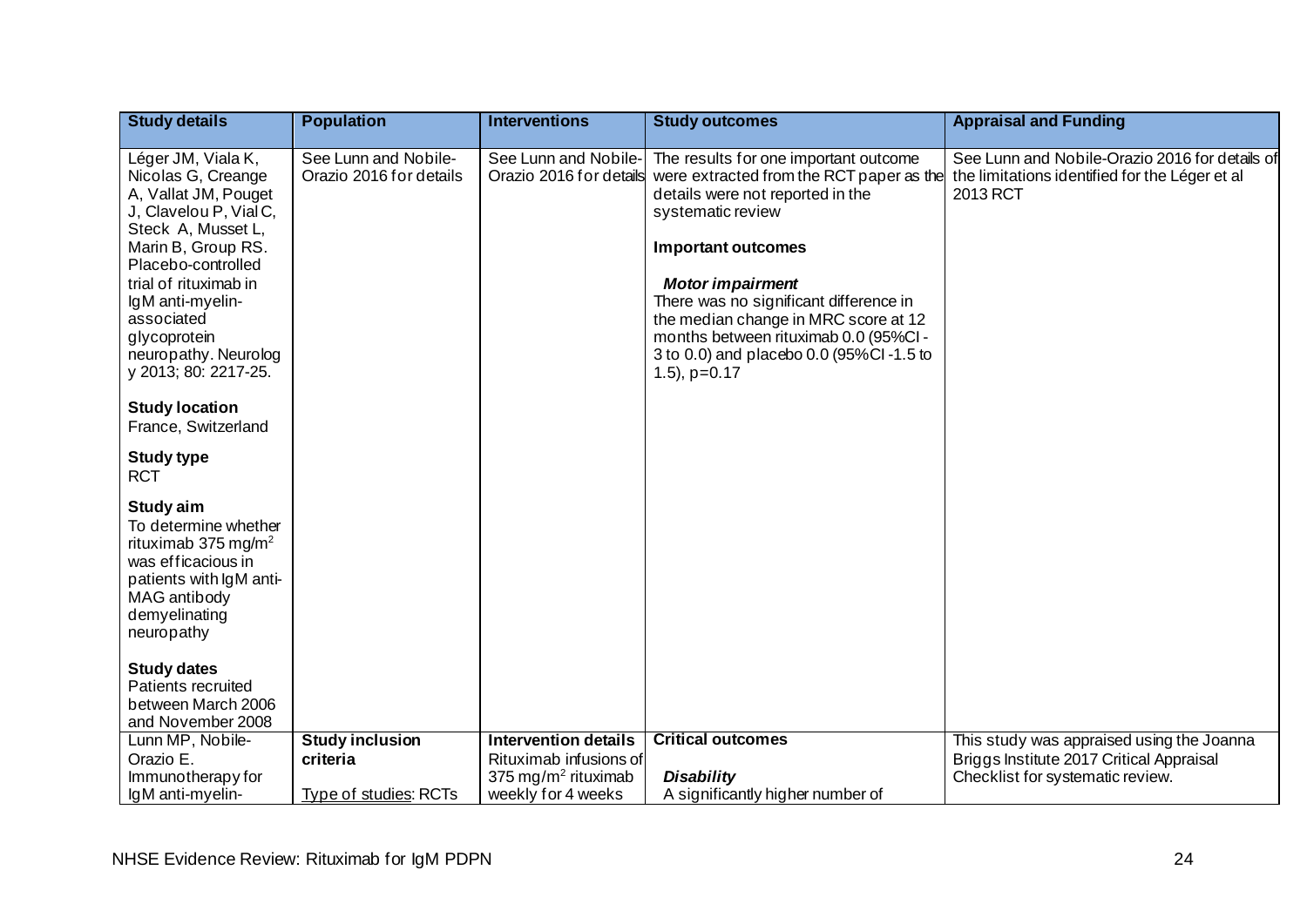| <b>Study details</b>                                                                                                                                                                                                                                                                                                                    | <b>Population</b>                               | <b>Interventions</b>                                      | <b>Study outcomes</b>                                                                                                                                                                                                                                                                                                                                                                          | <b>Appraisal and Funding</b>                                                                                 |
|-----------------------------------------------------------------------------------------------------------------------------------------------------------------------------------------------------------------------------------------------------------------------------------------------------------------------------------------|-------------------------------------------------|-----------------------------------------------------------|------------------------------------------------------------------------------------------------------------------------------------------------------------------------------------------------------------------------------------------------------------------------------------------------------------------------------------------------------------------------------------------------|--------------------------------------------------------------------------------------------------------------|
| Léger JM, Viala K,<br>Nicolas G, Creange<br>A, Vallat JM, Pouget<br>J, Clavelou P, Vial C,<br>Steck A, Musset L,<br>Marin B, Group RS.<br>Placebo-controlled<br>trial of rituximab in<br>IgM anti-myelin-<br>associated<br>glycoprotein<br>neuropathy. Neurolog<br>y 2013; 80: 2217-25.<br><b>Study location</b><br>France, Switzerland | See Lunn and Nobile-<br>Orazio 2016 for details | See Lunn and Nobile-<br>Orazio 2016 for details           | The results for one important outcome<br>were extracted from the RCT paper as the<br>details were not reported in the<br>systematic review<br><b>Important outcomes</b><br><b>Motor impairment</b><br>There was no significant difference in<br>the median change in MRC score at 12<br>months between rituximab 0.0 (95%CI -<br>3 to 0.0) and placebo 0.0 (95%Cl-1.5 to<br>$(1.5)$ , $p=0.17$ | See Lunn and Nobile-Orazio 2016 for details of<br>the limitations identified for the Léger et al<br>2013 RCT |
| <b>Study type</b><br><b>RCT</b><br>Study aim<br>To determine whether<br>rituximab 375 mg/m <sup>2</sup><br>was efficacious in<br>patients with IgM anti-<br>MAG antibody<br>demyelinating<br>neuropathy<br><b>Study dates</b><br><b>Patients recruited</b><br>between March 2006<br>and November 2008                                   |                                                 |                                                           |                                                                                                                                                                                                                                                                                                                                                                                                |                                                                                                              |
| Lunn MP, Nobile-                                                                                                                                                                                                                                                                                                                        | <b>Study inclusion</b>                          | <b>Intervention details</b>                               | <b>Critical outcomes</b>                                                                                                                                                                                                                                                                                                                                                                       | This study was appraised using the Joanna                                                                    |
| Orazio E.<br>Immunotherapy for                                                                                                                                                                                                                                                                                                          | criteria                                        | Rituximab infusions of<br>375 mg/m <sup>2</sup> rituximab | <b>Disability</b>                                                                                                                                                                                                                                                                                                                                                                              | Briggs Institute 2017 Critical Appraisal<br>Checklist for systematic review.                                 |
| IgM anti-myelin-                                                                                                                                                                                                                                                                                                                        | <b>Type of studies: RCTs</b>                    | weekly for 4 weeks                                        | A significantly higher number of                                                                                                                                                                                                                                                                                                                                                               |                                                                                                              |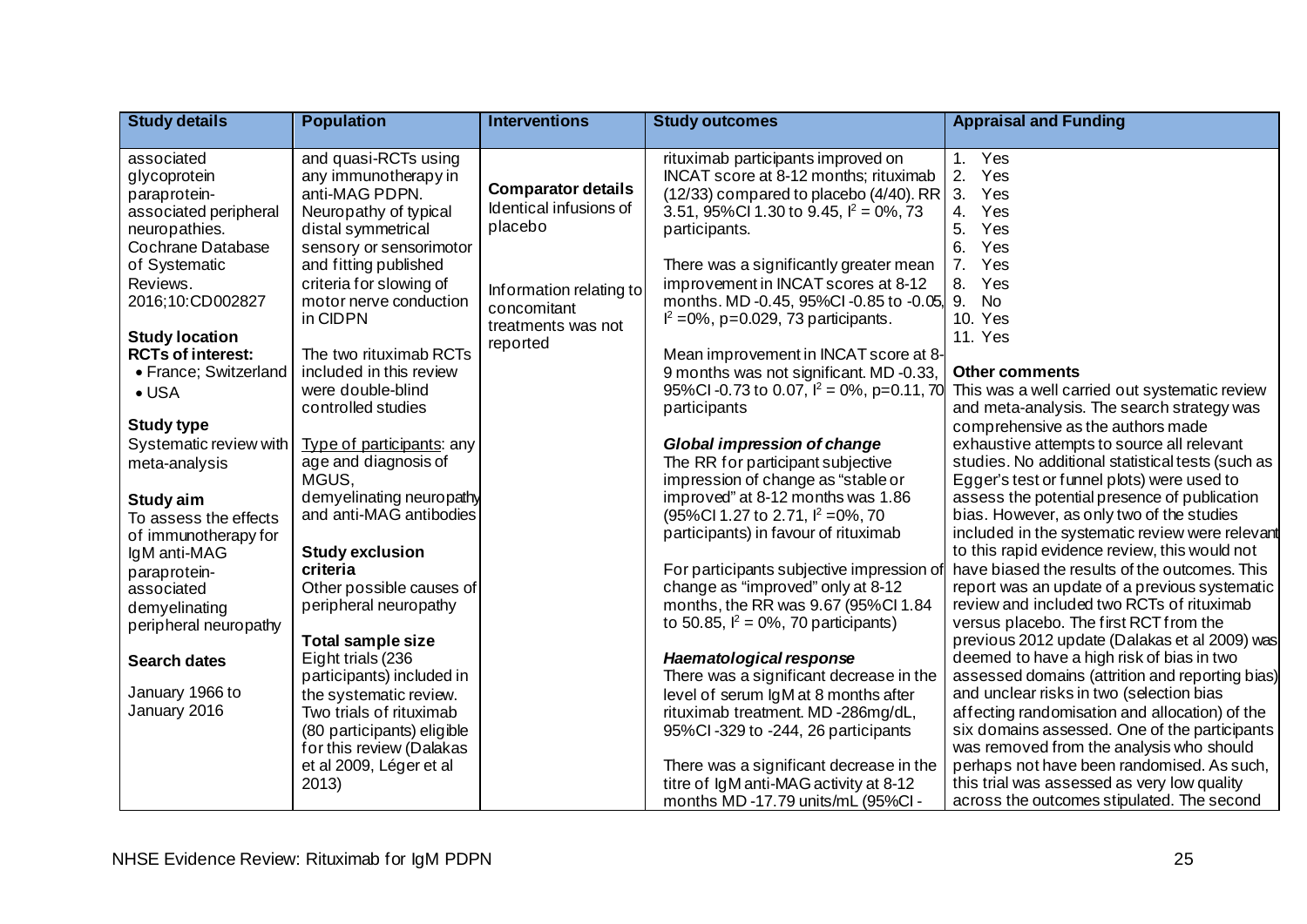| <b>Study details</b>                                                                                                                                                     | <b>Population</b>                                                                                                                                                                                                                  | <b>Interventions</b>                                                                                     | <b>Study outcomes</b>                                                                                                                                                                                                                                                                                                                                                                        | <b>Appraisal and Funding</b>                                                                                                                                                                                                                                                                                                                                                                                                         |
|--------------------------------------------------------------------------------------------------------------------------------------------------------------------------|------------------------------------------------------------------------------------------------------------------------------------------------------------------------------------------------------------------------------------|----------------------------------------------------------------------------------------------------------|----------------------------------------------------------------------------------------------------------------------------------------------------------------------------------------------------------------------------------------------------------------------------------------------------------------------------------------------------------------------------------------------|--------------------------------------------------------------------------------------------------------------------------------------------------------------------------------------------------------------------------------------------------------------------------------------------------------------------------------------------------------------------------------------------------------------------------------------|
| associated<br>glycoprotein<br>paraprotein-<br>associated peripheral<br>neuropathies.<br><b>Cochrane Database</b><br>of Systematic<br>Reviews.<br>2016;10:CD002827        | and quasi-RCTs using<br>any immunotherapy in<br>anti-MAG PDPN.<br>Neuropathy of typical<br>distal symmetrical<br>sensory or sensorimotor<br>and fitting published<br>criteria for slowing of<br>motor nerve conduction<br>in CIDPN | <b>Comparator details</b><br>Identical infusions of<br>placebo<br>Information relating to<br>concomitant | rituximab participants improved on<br>INCAT score at 8-12 months; rituximab<br>$(12/33)$ compared to placebo $(4/40)$ . RR $\overline{\phantom{a}}$ 3.<br>3.51, 95%Cl 1.30 to 9.45, $I^2 = 0\%$ , 73<br>participants.<br>There was a significantly greater mean<br>improvement in INCAT scores at 8-12<br>months. MD -0.45, 95%CI -0.85 to -0.05,<br>$I^2 = 0\%$ , p=0.029, 73 participants. | 1. Yes<br>2. Yes<br>Yes<br>$\overline{4}$ .<br>Yes<br>5.<br>Yes<br>6.<br>Yes<br>7.<br>Yes<br>8.<br>Yes<br>9.<br><b>No</b><br>10. Yes                                                                                                                                                                                                                                                                                                 |
| <b>Study location</b><br><b>RCTs of interest:</b><br>• France; Switzerland<br>$\bullet$ USA<br><b>Study type</b><br>Systematic review with<br>meta-analysis<br>Study aim | The two rituximab RCTs<br>included in this review<br>were double-blind<br>controlled studies<br>Type of participants: any<br>age and diagnosis of<br>MGUS.<br>demyelinating neuropathy                                             | treatments was not<br>reported                                                                           | Mean improvement in INCAT score at 8-<br>9 months was not significant. MD-0.33,<br>95%Cl -0.73 to 0.07, $I^2 = 0\%$ , p=0.11, 70<br>participants<br>Global impression of change<br>The RR for participant subjective<br>impression of change as "stable or<br>improved" at 8-12 months was 1.86                                                                                              | <b>11. Yes</b><br><b>Other comments</b><br>This was a well carried out systematic review<br>and meta-analysis. The search strategy was<br>comprehensive as the authors made<br>exhaustive attempts to source all relevant<br>studies. No additional statistical tests (such as<br>Egger's test or funnel plots) were used to<br>assess the potential presence of publication                                                         |
| To assess the effects<br>of immunotherapy for<br>IgM anti-MAG<br>paraprotein-<br>associated<br>demyelinating<br>peripheral neuropathy<br><b>Search dates</b>             | and anti-MAG antibodies<br><b>Study exclusion</b><br>criteria<br>Other possible causes of<br>peripheral neuropathy<br><b>Total sample size</b><br>Eight trials (236                                                                |                                                                                                          | $(95\%$ Cl 1.27 to 2.71, $I^2 = 0\%$ , 70<br>participants) in favour of rituximab<br>For participants subjective impression of<br>change as "improved" only at 8-12<br>months, the RR was 9.67 (95%Cl 1.84<br>to 50.85, $I^2 = 0\%$ , 70 participants)<br>Haematological response                                                                                                            | bias. However, as only two of the studies<br>included in the systematic review were relevant<br>to this rapid evidence review, this would not<br>have biased the results of the outcomes. This<br>report was an update of a previous systematic<br>review and included two RCTs of rituximab<br>versus placebo. The first RCT from the<br>previous 2012 update (Dalakas et al 2009) was<br>deemed to have a high risk of bias in two |
| January 1966 to<br>January 2016                                                                                                                                          | participants) included in<br>the systematic review.<br>Two trials of rituximab<br>(80 participants) eligible<br>for this review (Dalakas<br>et al 2009, Léger et al<br>2013)                                                       |                                                                                                          | There was a significant decrease in the<br>level of serum IgM at 8 months after<br>rituximab treatment. MD-286mg/dL,<br>95%Cl-329 to -244, 26 participants<br>There was a significant decrease in the<br>titre of IgM anti-MAG activity at 8-12<br>months MD-17.79 units/mL (95%CI-                                                                                                          | assessed domains (attrition and reporting bias)<br>and unclear risks in two (selection bias<br>affecting randomisation and allocation) of the<br>six domains assessed. One of the participants<br>was removed from the analysis who should<br>perhaps not have been randomised. As such,<br>this trial was assessed as very low quality<br>across the outcomes stipulated. The second                                                |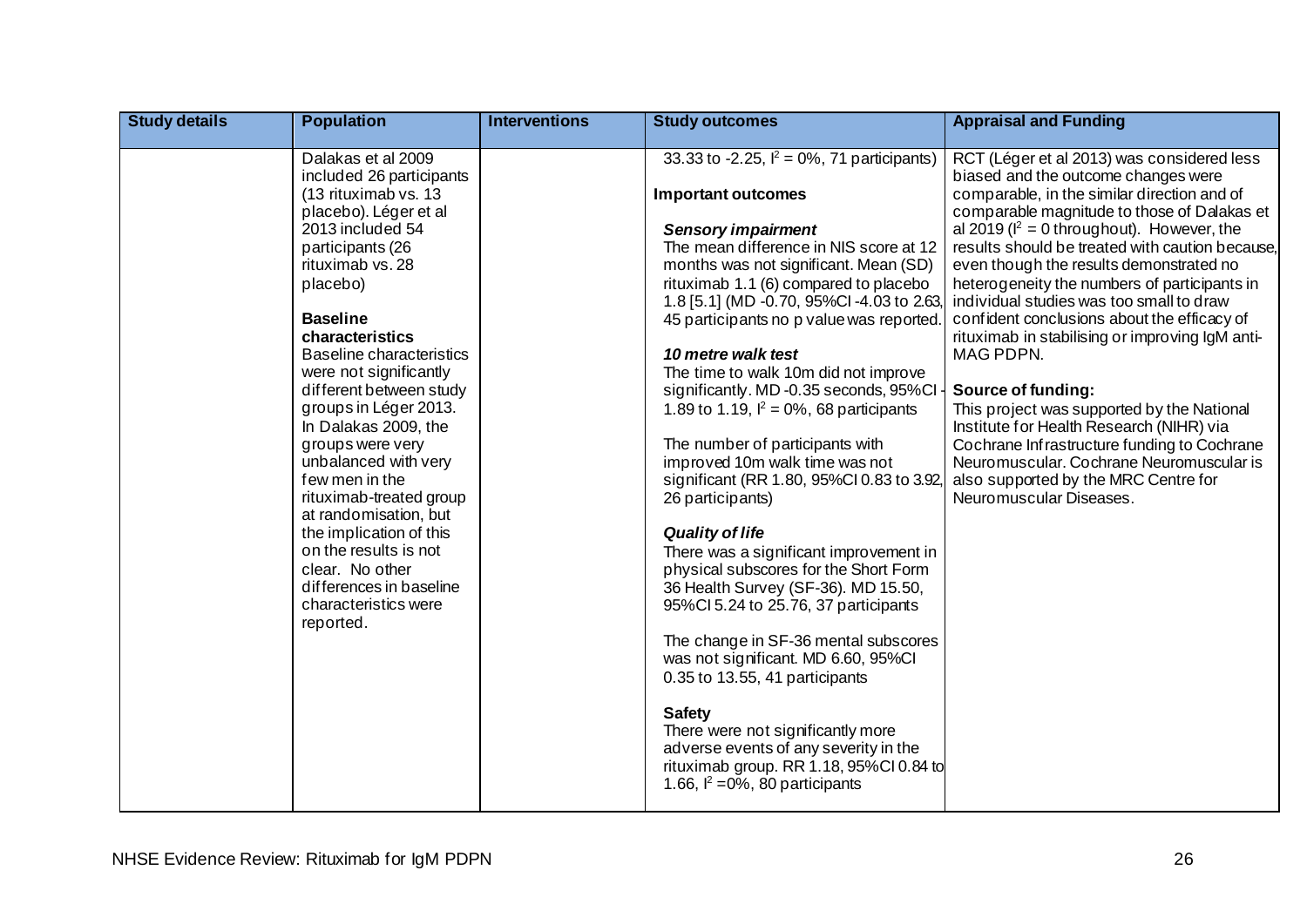| <b>Study details</b> | <b>Population</b>                                                                                                                                                                                                                                                                                                                                                                                                                                                                                                                                                                                               | <b>Interventions</b> | <b>Study outcomes</b>                                                                                                                                                                                                                                                                                                                                                                                                                                                                                                                                                                                                                                                                                                                                                                                                                                                                                                                                                                                                                                                                                                      | <b>Appraisal and Funding</b>                                                                                                                                                                                                                                                                                                                                                                                                                                                                                                                                                                                                                                                                                                                                                                                            |
|----------------------|-----------------------------------------------------------------------------------------------------------------------------------------------------------------------------------------------------------------------------------------------------------------------------------------------------------------------------------------------------------------------------------------------------------------------------------------------------------------------------------------------------------------------------------------------------------------------------------------------------------------|----------------------|----------------------------------------------------------------------------------------------------------------------------------------------------------------------------------------------------------------------------------------------------------------------------------------------------------------------------------------------------------------------------------------------------------------------------------------------------------------------------------------------------------------------------------------------------------------------------------------------------------------------------------------------------------------------------------------------------------------------------------------------------------------------------------------------------------------------------------------------------------------------------------------------------------------------------------------------------------------------------------------------------------------------------------------------------------------------------------------------------------------------------|-------------------------------------------------------------------------------------------------------------------------------------------------------------------------------------------------------------------------------------------------------------------------------------------------------------------------------------------------------------------------------------------------------------------------------------------------------------------------------------------------------------------------------------------------------------------------------------------------------------------------------------------------------------------------------------------------------------------------------------------------------------------------------------------------------------------------|
|                      | Dalakas et al 2009<br>included 26 participants<br>(13 rituximab vs. 13<br>placebo). Léger et al<br>2013 included 54<br>participants (26<br>rituximab vs. 28<br>placebo)<br><b>Baseline</b><br>characteristics<br><b>Baseline characteristics</b><br>were not significantly<br>different between study<br>groups in Léger 2013.<br>In Dalakas 2009, the<br>groups were very<br>unbalanced with very<br>few men in the<br>rituximab-treated group<br>at randomisation, but<br>the implication of this<br>on the results is not<br>clear. No other<br>differences in baseline<br>characteristics were<br>reported. |                      | 33.33 to -2.25, $I^2 = 0\%$ , 71 participants)<br><b>Important outcomes</b><br><b>Sensory impairment</b><br>The mean difference in NIS score at 12<br>months was not significant. Mean (SD)<br>rituximab 1.1 (6) compared to placebo<br>1.8 [5.1] (MD -0.70, 95%Cl -4.03 to 2.63,<br>45 participants no p value was reported.<br>10 metre walk test<br>The time to walk 10m did not improve<br>significantly. MD -0.35 seconds, 95%Cl -<br>1.89 to 1.19, $I^2 = 0\%$ , 68 participants<br>The number of participants with<br>improved 10m walk time was not<br>significant (RR 1.80, 95%Cl 0.83 to 3.92,<br>26 participants)<br><b>Quality of life</b><br>There was a significant improvement in<br>physical subscores for the Short Form<br>36 Health Survey (SF-36). MD 15.50,<br>95%Cl 5.24 to 25.76, 37 participants<br>The change in SF-36 mental subscores<br>was not significant. MD 6.60, 95%CI<br>0.35 to 13.55, 41 participants<br><b>Safety</b><br>There were not significantly more<br>adverse events of any severity in the<br>rituximab group. RR 1.18, 95%Cl 0.84 to<br>1.66, $I^2 = 0\%$ , 80 participants | RCT (Léger et al 2013) was considered less<br>biased and the outcome changes were<br>comparable, in the similar direction and of<br>comparable magnitude to those of Dalakas et<br>al 2019 ( $I^2 = 0$ throughout). However, the<br>results should be treated with caution because,<br>even though the results demonstrated no<br>heterogeneity the numbers of participants in<br>individual studies was too small to draw<br>confident conclusions about the efficacy of<br>rituximab in stabilising or improving IgM anti-<br>MAG PDPN.<br>Source of funding:<br>This project was supported by the National<br>Institute for Health Research (NIHR) via<br>Cochrane Infrastructure funding to Cochrane<br>Neuromuscular. Cochrane Neuromuscular is<br>also supported by the MRC Centre for<br>Neuromuscular Diseases. |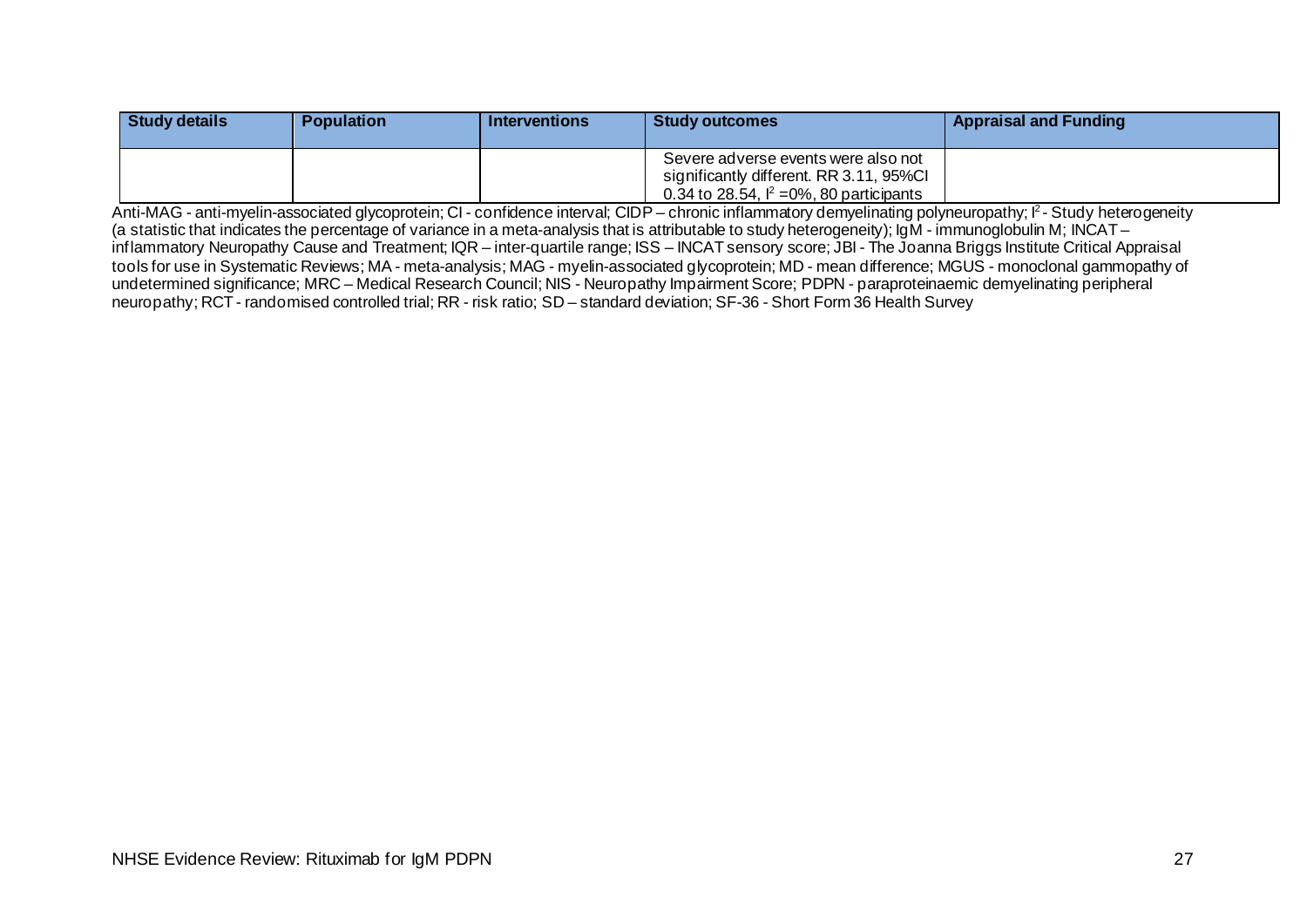| <b>Study details</b> | <b>Population</b> | <b>Interventions</b> | <b>Study outcomes</b>                                                                                                          | <b>Appraisal and Funding</b> |
|----------------------|-------------------|----------------------|--------------------------------------------------------------------------------------------------------------------------------|------------------------------|
|                      |                   |                      | Severe adverse events were also not<br>significantly different. RR 3.11, 95%CI<br>0.34 to 28.54, $I^2 = 0\%$ , 80 participants |                              |

Anti-MAG - anti-myelin-associated glycoprotein; CI - confidence interval; CIDP – chronic inflammatory demyelinating polyneuropathy; I<sup>2</sup> - Study heterogeneity (a statistic that indicates the percentage of variance in a meta-analysis that is attributable to study heterogeneity); IgM - immunoglobulin M; INCAT – inflammatory Neuropathy Cause and Treatment; IQR – inter-quartile range; ISS – INCAT sensory score; JBI - The Joanna Briggs Institute Critical Appraisal tools for use in Systematic Reviews; MA - meta-analysis; MAG - myelin-associated glycoprotein; MD - mean difference; MGUS - monoclonal gammopathy of undetermined significance; MRC – Medical Research Council; NIS - Neuropathy Impairment Score; PDPN - paraproteinaemic demyelinating peripheral neuropathy; RCT - randomised controlled trial; RR - risk ratio; SD – standard deviation; SF-36 - Short Form 36 Health Survey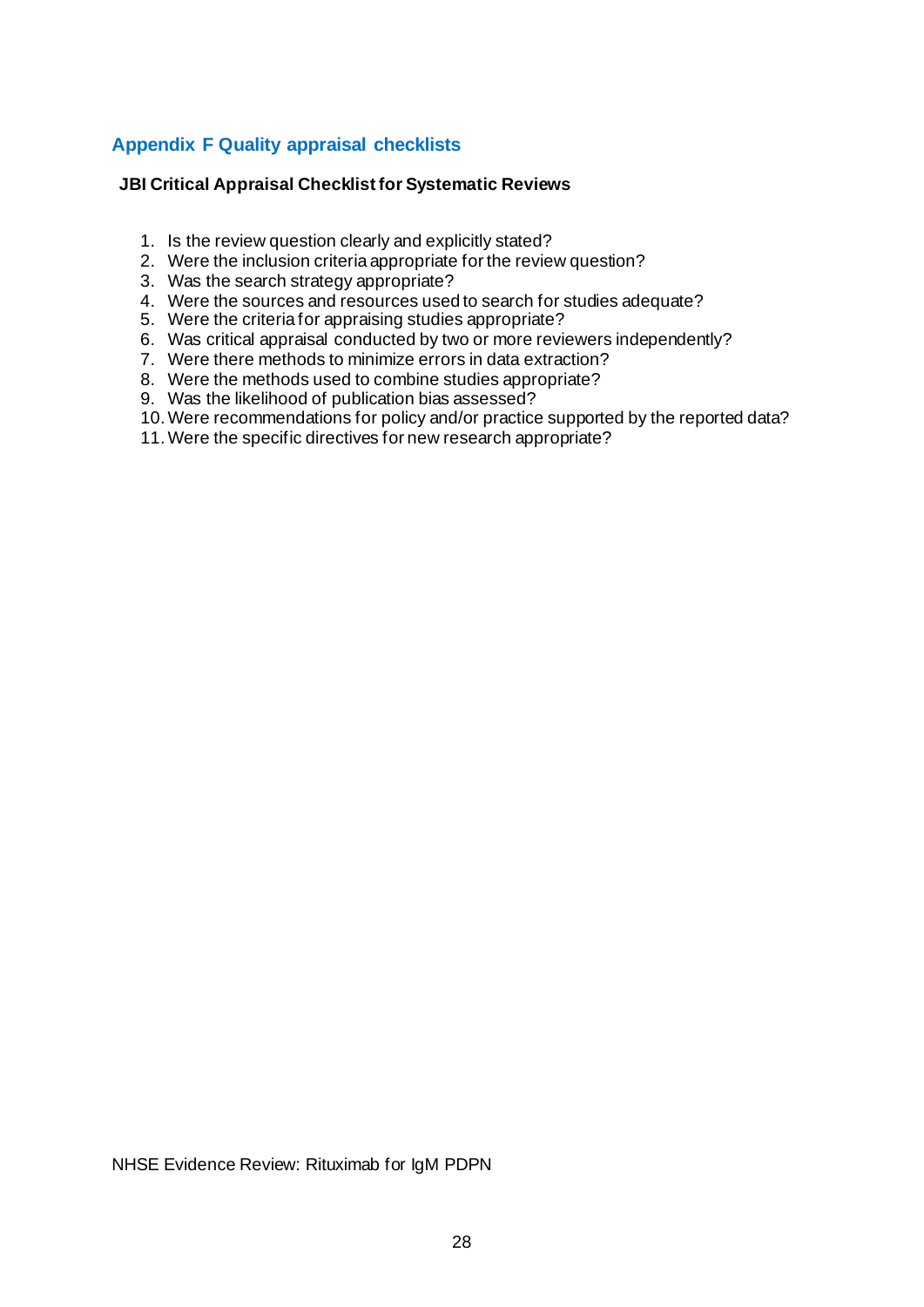## <span id="page-30-0"></span>**Appendix F Quality appraisal checklists**

#### **JBI Critical Appraisal Checklist for Systematic Reviews**

- 1. Is the review question clearly and explicitly stated?
- 2. Were the inclusion criteria appropriate for the review question?
- 3. Was the search strategy appropriate?
- 4. Were the sources and resources used to search for studies adequate?
- 5. Were the criteria for appraising studies appropriate?
- 6. Was critical appraisal conducted by two or more reviewers independently?
- 7. Were there methods to minimize errors in data extraction?
- 8. Were the methods used to combine studies appropriate?
- 9. Was the likelihood of publication bias assessed?
- 10.Were recommendations for policy and/or practice supported by the reported data?
- 11.Were the specific directives for new research appropriate?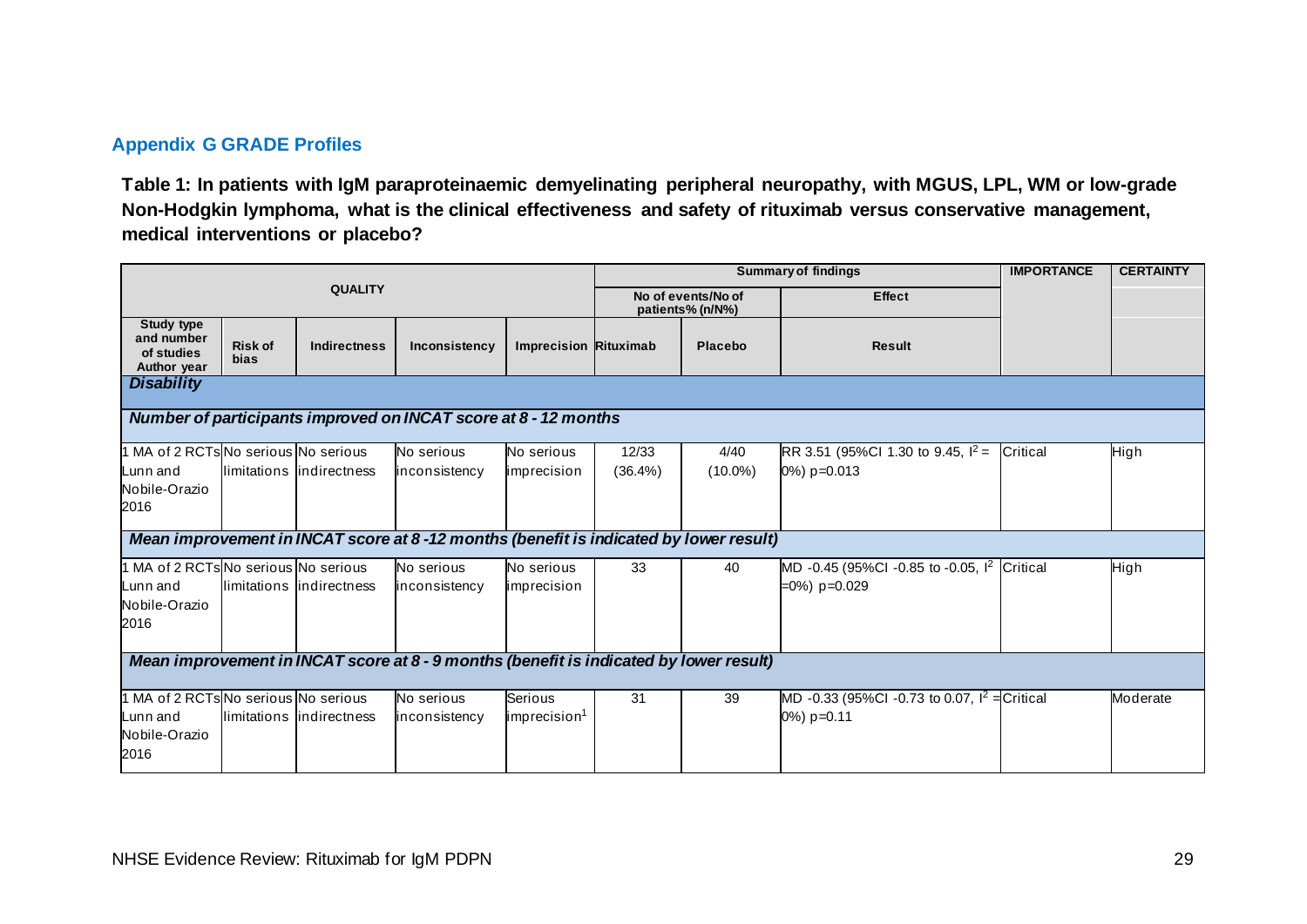## **Appendix G GRADE Profiles**

**Table 1: In patients with IgM paraproteinaemic demyelinating peripheral neuropathy, with MGUS, LPL, WM or low-grade Non-Hodgkin lymphoma, what is the clinical effectiveness and safety of rituximab versus conservative management, medical interventions or placebo?**

<span id="page-31-0"></span>

|                                                                                        |                               |                           |                                                                                       |                                     | <b>Summary of findings</b> |                                        |                                                                             | <b>IMPORTANCE</b> | <b>CERTAINTY</b> |  |
|----------------------------------------------------------------------------------------|-------------------------------|---------------------------|---------------------------------------------------------------------------------------|-------------------------------------|----------------------------|----------------------------------------|-----------------------------------------------------------------------------|-------------------|------------------|--|
| <b>QUALITY</b>                                                                         |                               |                           |                                                                                       |                                     |                            | No of events/No of<br>patients% (n/N%) | <b>Effect</b>                                                               |                   |                  |  |
| <b>Study type</b><br>and number<br>of studies<br>Author year                           | <b>Risk of</b><br><b>bias</b> | <b>Indirectness</b>       | Inconsistency                                                                         | Imprecision Rituximab               |                            | Placebo                                | <b>Result</b>                                                               |                   |                  |  |
| <b>Disability</b>                                                                      |                               |                           |                                                                                       |                                     |                            |                                        |                                                                             |                   |                  |  |
|                                                                                        |                               |                           | Number of participants improved on INCAT score at 8 - 12 months                       |                                     |                            |                                        |                                                                             |                   |                  |  |
| 1 MA of 2 RCTs No serious No serious<br>Lunn and<br>Nobile-Orazio<br>2016              |                               | limitations lindirectness | No serious<br>inconsistency                                                           | No serious<br>imprecision           | 12/33<br>$(36.4\%)$        | 4/40<br>$(10.0\%)$                     | RR 3.51 (95%Cl 1.30 to 9.45, $I^2 =$<br>0%) p=0.013                         | Critical          | High             |  |
|                                                                                        |                               |                           | Mean improvement in INCAT score at 8-12 months (benefit is indicated by lower result) |                                     |                            |                                        |                                                                             |                   |                  |  |
| 1 MA of 2 RCTs No serious No serious<br>Lunn and<br>Nobile-Orazio<br>2016              |                               | limitations indirectness  | No serious<br>inconsistency                                                           | No serious<br>imprecision           | 33                         | 40                                     | MD -0.45 (95%CI -0.85 to -0.05, l <sup>2</sup> Critical<br>$=0\%$ ) p=0.029 |                   | High             |  |
| Mean improvement in INCAT score at 8 - 9 months (benefit is indicated by lower result) |                               |                           |                                                                                       |                                     |                            |                                        |                                                                             |                   |                  |  |
| 1 MA of 2 RCTs No serious No serious<br>Lunn and<br>Nobile-Orazio<br>2016              |                               | limitations lindirectness | No serious<br>inconsistency                                                           | Serious<br>imprecision <sup>1</sup> | 31                         | 39                                     | MD -0.33 (95%CI -0.73 to 0.07, $I^2 =$ Critical<br>0%) p=0.11               |                   | Moderate         |  |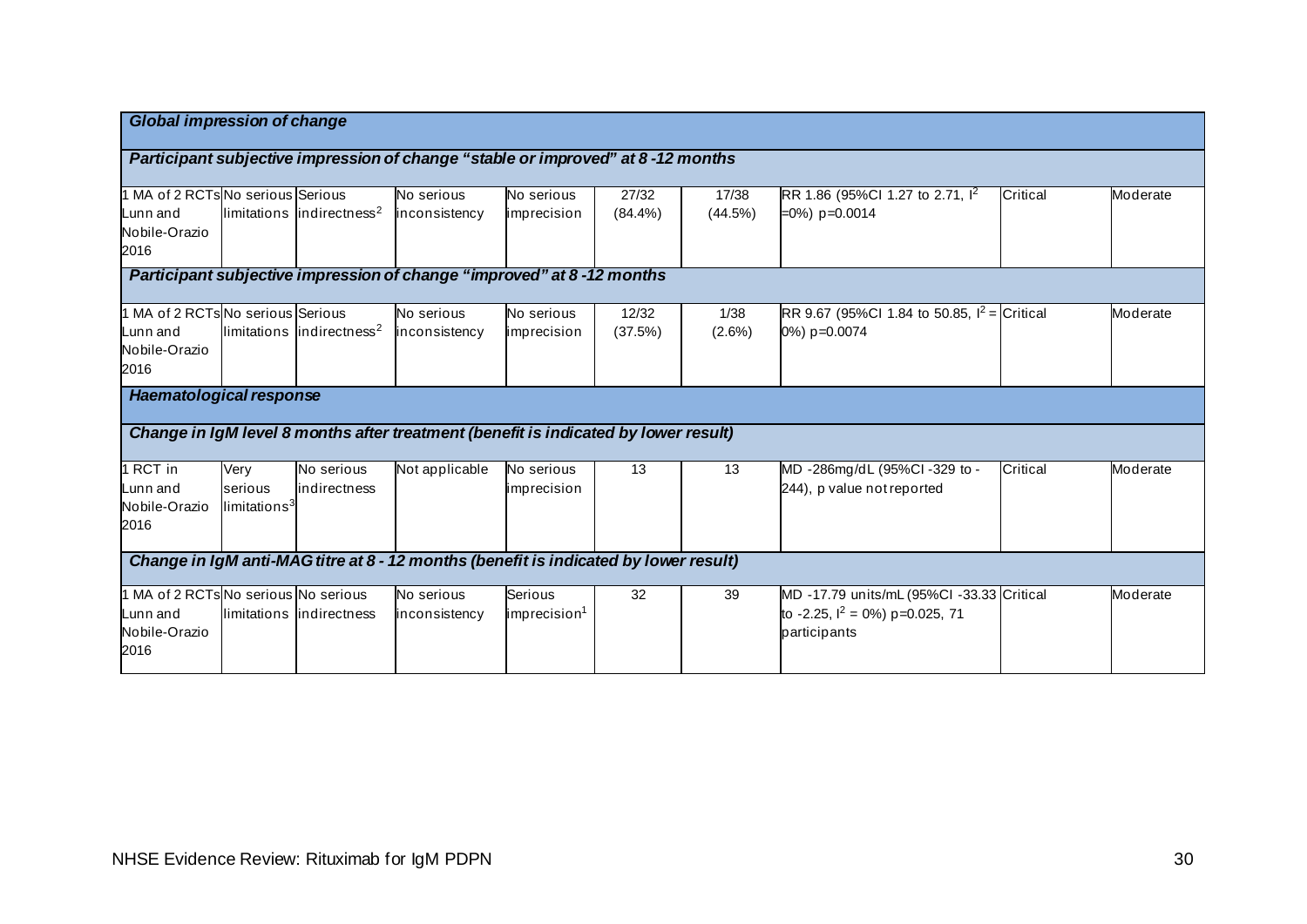| <b>Global impression of change</b>   |                          |                                       |                                                                                      |                          |            |           |                                                |          |          |
|--------------------------------------|--------------------------|---------------------------------------|--------------------------------------------------------------------------------------|--------------------------|------------|-----------|------------------------------------------------|----------|----------|
|                                      |                          |                                       |                                                                                      |                          |            |           |                                                |          |          |
|                                      |                          |                                       | Participant subjective impression of change "stable or improved" at 8-12 months      |                          |            |           |                                                |          |          |
| 1 MA of 2 RCTs No serious Serious    |                          |                                       | No serious                                                                           | No serious               | 27/32      | 17/38     | RR 1.86 (95%CI 1.27 to 2.71, $I^2$             | Critical | Moderate |
| Lunn and                             |                          | limitations indirectness <sup>2</sup> | inconsistency                                                                        | imprecision              | $(84.4\%)$ | (44.5%)   | $=0\%$ ) p=0.0014                              |          |          |
| Nobile-Orazio<br>2016                |                          |                                       |                                                                                      |                          |            |           |                                                |          |          |
|                                      |                          |                                       | Participant subjective impression of change "improved" at 8-12 months                |                          |            |           |                                                |          |          |
| 1 MA of 2 RCTs No serious Serious    |                          |                                       | No serious                                                                           | No serious               | 12/32      | 1/38      | RR 9.67 (95%Cl 1.84 to 50.85, $I^2 =$ Critical |          | Moderate |
| Lunn and                             |                          | limitations indirectness <sup>2</sup> | inconsistency                                                                        | imprecision              | (37.5%)    | $(2.6\%)$ | 0%) p=0.0074                                   |          |          |
| Nobile-Orazio<br>2016                |                          |                                       |                                                                                      |                          |            |           |                                                |          |          |
| <b>Haematological response</b>       |                          |                                       |                                                                                      |                          |            |           |                                                |          |          |
|                                      |                          |                                       | Change in IgM level 8 months after treatment (benefit is indicated by lower result)  |                          |            |           |                                                |          |          |
| 1 RCT in                             | Very                     | No serious                            | Not applicable                                                                       | No serious               | 13         | 13        | MD -286mg/dL (95%Cl -329 to -                  | Critical | Moderate |
| Lunn and                             | serious                  | indirectness                          |                                                                                      | imprecision              |            |           | 244), p value not reported                     |          |          |
| Nobile-Orazio<br>2016                | limitations <sup>3</sup> |                                       |                                                                                      |                          |            |           |                                                |          |          |
|                                      |                          |                                       | Change in IgM anti-MAG titre at 8 - 12 months (benefit is indicated by lower result) |                          |            |           |                                                |          |          |
| 1 MA of 2 RCTs No serious No serious |                          |                                       | No serious                                                                           | Serious                  | 32         | 39        | MD -17.79 units/mL (95%CI -33.33 Critical      |          | Moderate |
| Lunn and                             |                          | llimitations lindirectness            | inconsistency                                                                        | imprecision <sup>1</sup> |            |           | to -2.25, $I^2 = 0\%$ ) p=0.025, 71            |          |          |
| Nobile-Orazio                        |                          |                                       |                                                                                      |                          |            |           | participants                                   |          |          |
| 2016                                 |                          |                                       |                                                                                      |                          |            |           |                                                |          |          |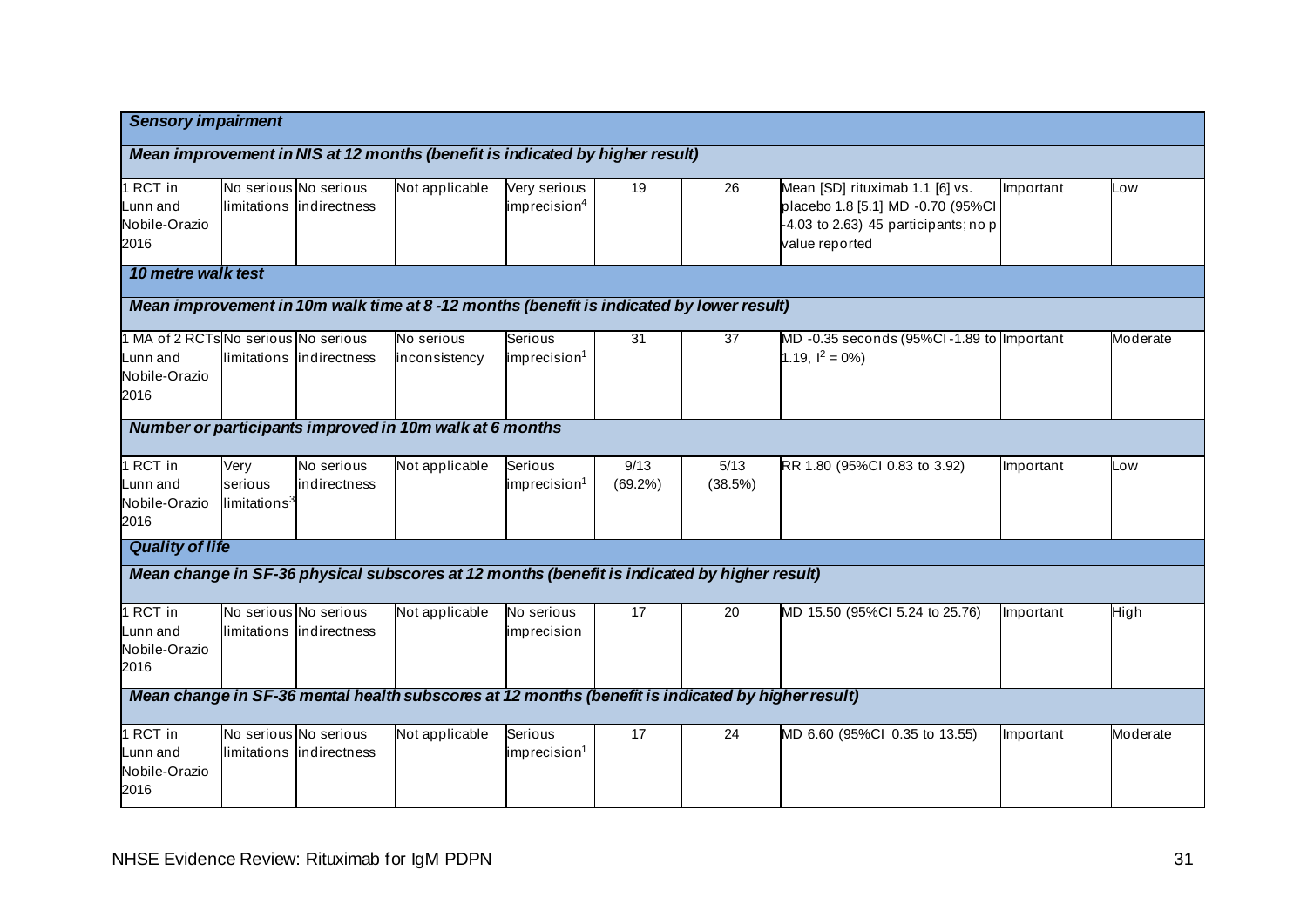| <b>Sensory impairment</b>                                                    |                                             |                                                   |                                                                                                   |                                          |                    |                 |                                                                                                                                  |           |          |  |
|------------------------------------------------------------------------------|---------------------------------------------|---------------------------------------------------|---------------------------------------------------------------------------------------------------|------------------------------------------|--------------------|-----------------|----------------------------------------------------------------------------------------------------------------------------------|-----------|----------|--|
| Mean improvement in NIS at 12 months (benefit is indicated by higher result) |                                             |                                                   |                                                                                                   |                                          |                    |                 |                                                                                                                                  |           |          |  |
| RCT in<br>Lunn and<br>Nobile-Orazio<br>2016                                  |                                             | No serious No serious<br>limitations indirectness | Not applicable                                                                                    | Very serious<br>imprecision <sup>4</sup> | 19                 | 26              | Mean [SD] rituximab 1.1 [6] vs.<br>placebo 1.8 [5.1] MD -0.70 (95%Cl<br>$-4.03$ to 2.63) 45 participants; no p<br>value reported | Important | Low      |  |
| 10 metre walk test                                                           |                                             |                                                   |                                                                                                   |                                          |                    |                 |                                                                                                                                  |           |          |  |
|                                                                              |                                             |                                                   | Mean improvement in 10m walk time at 8-12 months (benefit is indicated by lower result)           |                                          |                    |                 |                                                                                                                                  |           |          |  |
| 1 MA of 2 RCTs No serious No serious<br>Lunn and<br>Nobile-Orazio<br>2016    |                                             | llimitations lindirectness                        | No serious<br>inconsistency                                                                       | Serious<br>imprecision <sup>1</sup>      | 31                 | 37              | MD-0.35 seconds (95%CI-1.89 to Important<br>1.19, $I^2 = 0\%$                                                                    |           | Moderate |  |
|                                                                              |                                             |                                                   | Number or participants improved in 10m walk at 6 months                                           |                                          |                    |                 |                                                                                                                                  |           |          |  |
| 1 RCT in<br>Lunn and<br>Nobile-Orazio<br>2016                                | Very<br>serious<br>limitations <sup>3</sup> | No serious<br>indirectness                        | Not applicable                                                                                    | Serious<br>imprecision <sup>1</sup>      | 9/13<br>$(69.2\%)$ | 5/13<br>(38.5%) | RR 1.80 (95%CI 0.83 to 3.92)                                                                                                     | Important | Low      |  |
| <b>Quality of life</b>                                                       |                                             |                                                   |                                                                                                   |                                          |                    |                 |                                                                                                                                  |           |          |  |
|                                                                              |                                             |                                                   | Mean change in SF-36 physical subscores at 12 months (benefit is indicated by higher result)      |                                          |                    |                 |                                                                                                                                  |           |          |  |
| 1 RCT in<br>Lunn and<br>Nobile-Orazio<br>2016                                |                                             | No serious No serious<br>limitations indirectness | Not applicable                                                                                    | No serious<br>imprecision                | 17                 | 20              | MD 15.50 (95%Cl 5.24 to 25.76)                                                                                                   | Important | High     |  |
|                                                                              |                                             |                                                   | Mean change in SF-36 mental health subscores at 12 months (benefit is indicated by higher result) |                                          |                    |                 |                                                                                                                                  |           |          |  |
| 1 RCT in<br>Lunn and<br>Nobile-Orazio<br>2016                                |                                             | No serious No serious<br>limitations indirectness | Not applicable                                                                                    | Serious<br>imprecision <sup>1</sup>      | 17                 | 24              | MD 6.60 (95%CI 0.35 to 13.55)                                                                                                    | Important | Moderate |  |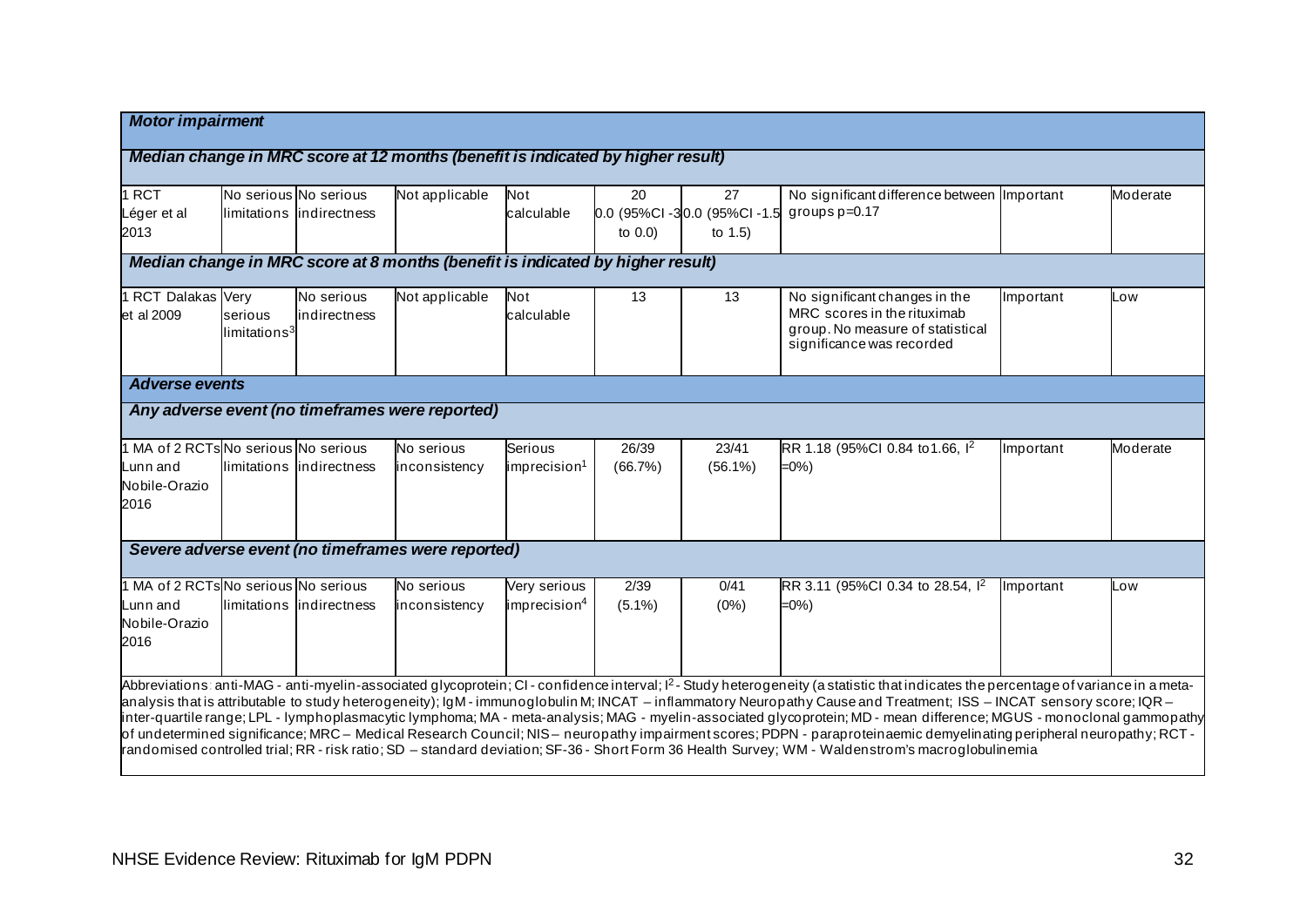| <b>Motor impairment</b>                                                   |                                     |                                                    |                                                                                 |                                          |                   |                                                |                                                                                                                                                                                                                                                                                                                                                                                                                                                                                                                                                                                                                                                                                                                                                                                                                                                                 |           |          |
|---------------------------------------------------------------------------|-------------------------------------|----------------------------------------------------|---------------------------------------------------------------------------------|------------------------------------------|-------------------|------------------------------------------------|-----------------------------------------------------------------------------------------------------------------------------------------------------------------------------------------------------------------------------------------------------------------------------------------------------------------------------------------------------------------------------------------------------------------------------------------------------------------------------------------------------------------------------------------------------------------------------------------------------------------------------------------------------------------------------------------------------------------------------------------------------------------------------------------------------------------------------------------------------------------|-----------|----------|
|                                                                           |                                     |                                                    | Median change in MRC score at 12 months (benefit is indicated by higher result) |                                          |                   |                                                |                                                                                                                                                                                                                                                                                                                                                                                                                                                                                                                                                                                                                                                                                                                                                                                                                                                                 |           |          |
| 1 RCT<br>Léger et al<br>2013                                              |                                     | No serious No serious<br>limitations lindirectness | Not applicable                                                                  | Not<br>calculable                        | 20<br>to $0.0$ )  | 27<br>0.0 (95%Cl-30.0 (95%Cl-1.5<br>to $1.5$ ) | No significant difference between Important<br>groups $p=0.17$                                                                                                                                                                                                                                                                                                                                                                                                                                                                                                                                                                                                                                                                                                                                                                                                  |           | Moderate |
|                                                                           |                                     |                                                    | Median change in MRC score at 8 months (benefit is indicated by higher result)  |                                          |                   |                                                |                                                                                                                                                                                                                                                                                                                                                                                                                                                                                                                                                                                                                                                                                                                                                                                                                                                                 |           |          |
| 1 RCT Dalakas Very<br>et al 2009                                          | serious<br>limitations <sup>3</sup> | No serious<br>indirectness                         | Not applicable                                                                  | Not<br>calculable                        | 13                | 13                                             | No significant changes in the<br>MRC scores in the rituximab<br>group. No measure of statistical<br>significance was recorded                                                                                                                                                                                                                                                                                                                                                                                                                                                                                                                                                                                                                                                                                                                                   | Important | Low      |
| <b>Adverse events</b>                                                     |                                     |                                                    |                                                                                 |                                          |                   |                                                |                                                                                                                                                                                                                                                                                                                                                                                                                                                                                                                                                                                                                                                                                                                                                                                                                                                                 |           |          |
|                                                                           |                                     |                                                    | Any adverse event (no timeframes were reported)                                 |                                          |                   |                                                |                                                                                                                                                                                                                                                                                                                                                                                                                                                                                                                                                                                                                                                                                                                                                                                                                                                                 |           |          |
| 1 MA of 2 RCTs No serious No serious<br>Lunn and<br>Nobile-Orazio<br>2016 |                                     | llimitations lindirectness                         | No serious<br>inconsistency                                                     | Serious<br>imprecision <sup>1</sup>      | 26/39<br>(66.7%)  | 23/41<br>$(56.1\%)$                            | RR 1.18 (95%CI 0.84 to 1.66, 1 <sup>2</sup><br>$=0\%$ )                                                                                                                                                                                                                                                                                                                                                                                                                                                                                                                                                                                                                                                                                                                                                                                                         | Important | Moderate |
|                                                                           |                                     |                                                    | Severe adverse event (no timeframes were reported)                              |                                          |                   |                                                |                                                                                                                                                                                                                                                                                                                                                                                                                                                                                                                                                                                                                                                                                                                                                                                                                                                                 |           |          |
| 1 MA of 2 RCTs No serious No serious<br>Lunn and<br>Nobile-Orazio<br>2016 |                                     | llimitations lindirectness                         | No serious<br>inconsistency                                                     | Very serious<br>imprecision <sup>4</sup> | 2/39<br>$(5.1\%)$ | 0/41<br>(0%)                                   | RR 3.11 (95%CI 0.34 to 28.54, 1 <sup>2</sup><br>$=0\%$                                                                                                                                                                                                                                                                                                                                                                                                                                                                                                                                                                                                                                                                                                                                                                                                          | Important | LOW      |
|                                                                           |                                     |                                                    |                                                                                 |                                          |                   |                                                | Abbreviations: anti-MAG - anti-myelin-associated glycoprotein; CI - confidence interval; $l^2$ - Study heterogeneity (a statistic that indicates the percentage of variance in a meta-<br>analysis that is attributable to study heterogeneity); IgM-immunoglobulin M; INCAT - inflammatory Neuropathy Cause and Treatment; ISS - INCAT sensory score; IQR-<br>inter-quartile range; LPL - lymphoplasmacytic lymphoma; MA - meta-analysis; MAG - myelin-associated glycoprotein; MD - mean difference; MGUS - monoclonal gammopathy<br>of undetermined significance; MRC – Medical Research Council; NIS – neuropathy impairment scores; PDPN - paraproteinaemic demyelinating peripheral neuropathy; RCT -<br>randomised controlled trial; RR - risk ratio; SD - standard deviation; SF-36 - Short Form 36 Health Survey; WM - Waldenstrom's macroglobulinemia |           |          |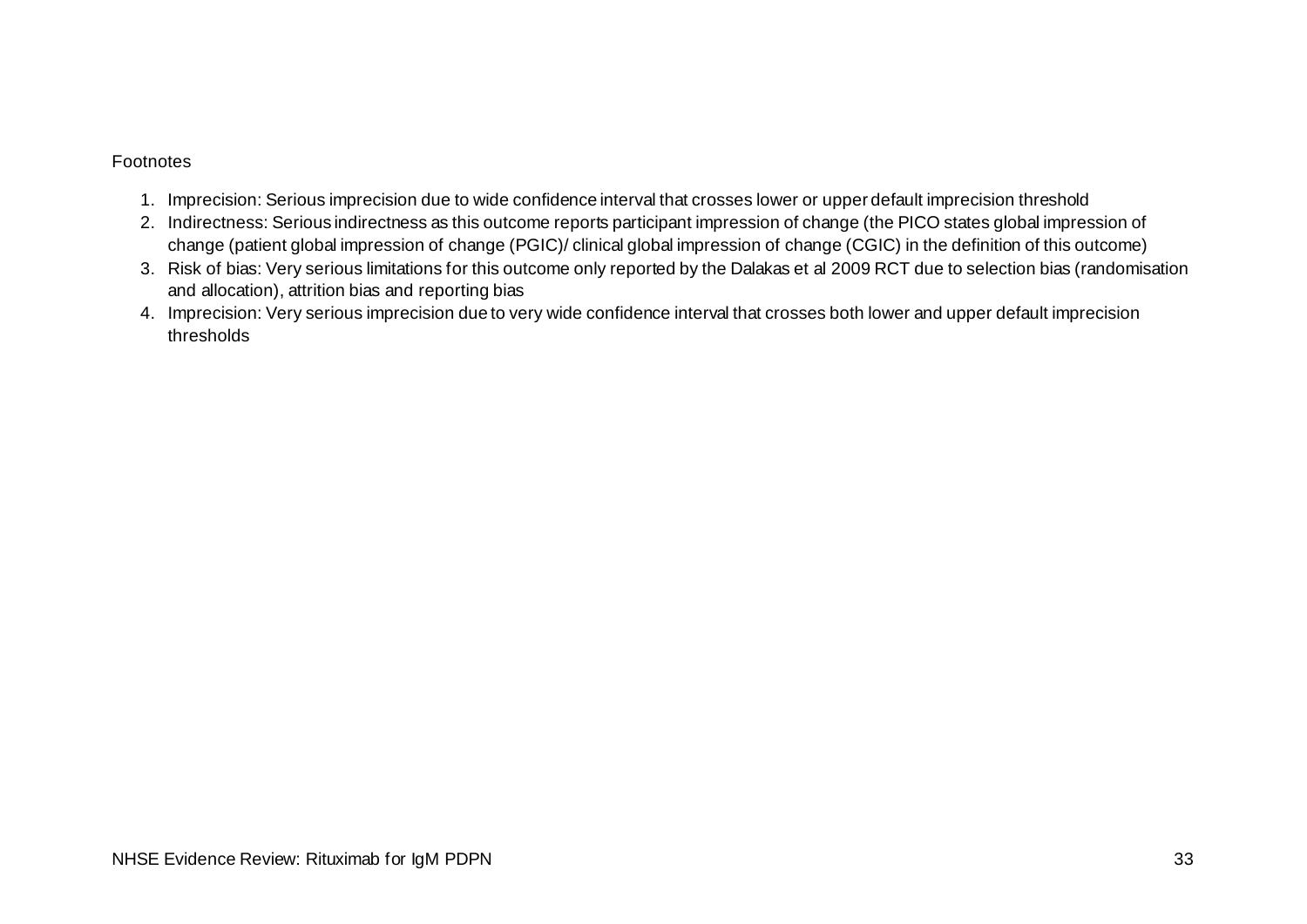#### Footnotes

- 1. Imprecision: Serious imprecision due to wide confidence interval that crosses lower or upper default imprecision threshold
- 2. Indirectness: Serious indirectness as this outcome reports participant impression of change (the PICO states global impression of change (patient global impression of change (PGIC)/ clinical global impression of change (CGIC) in the definition of this outcome)
- 3. Risk of bias: Very serious limitations for this outcome only reported by the Dalakas et al 2009 RCT due to selection bias (randomisation and allocation), attrition bias and reporting bias
- 4. Imprecision: Very serious imprecision due to very wide confidence interval that crosses both lower and upper default imprecision thresholds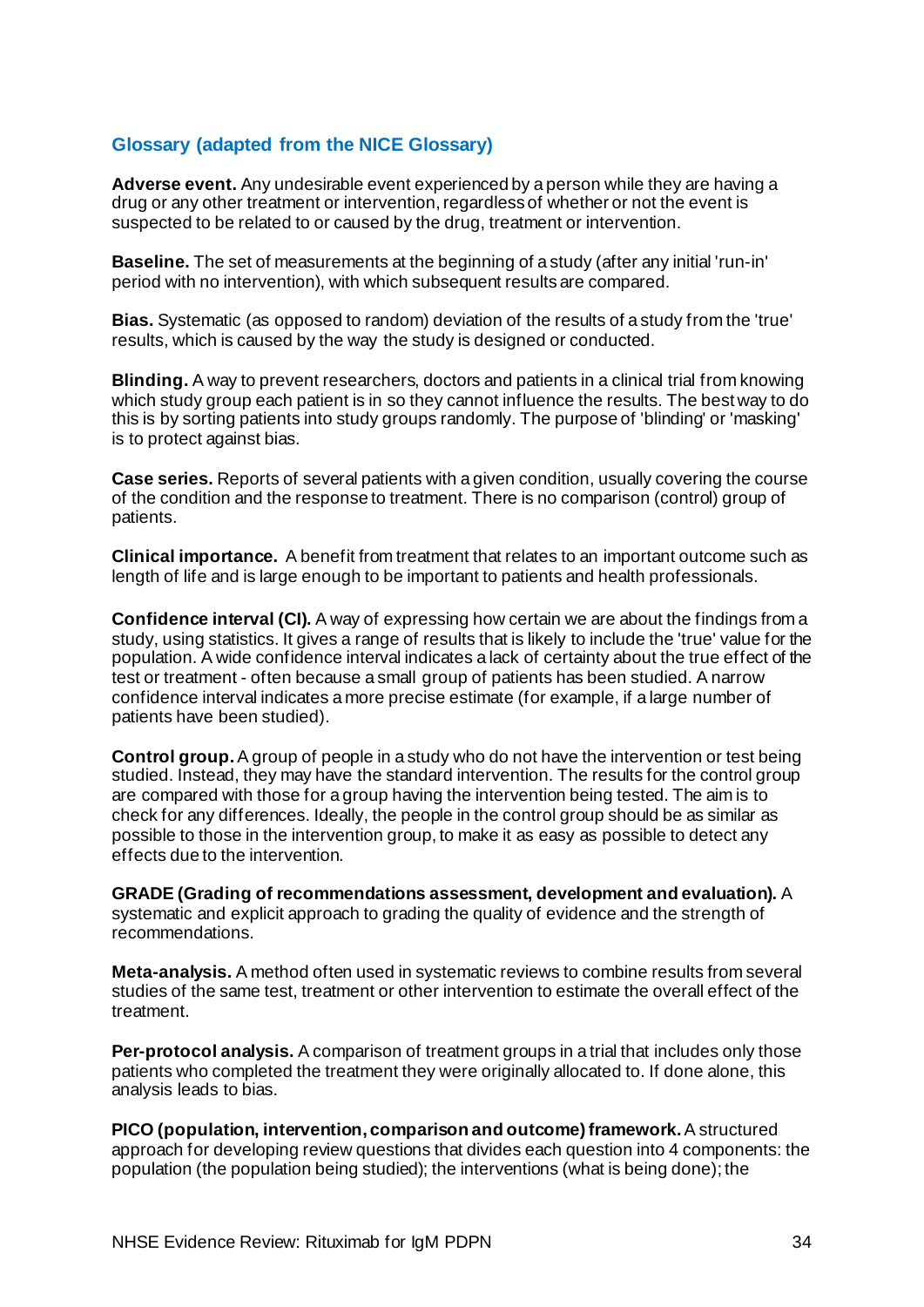### <span id="page-36-0"></span>**Glossary (adapted from the NICE Glossary)**

**Adverse event.** Any undesirable event experienced by a person while they are having a drug or any other treatment or intervention, regardless of whether or not the event is suspected to be related to or caused by the drug, treatment or intervention.

**Baseline.** The set of measurements at the beginning of a study (after any initial 'run-in' period with no intervention), with which subsequent results are compared.

**Bias.** Systematic (as opposed to random) deviation of the results of a study from the 'true' results, which is caused by the way the study is designed or conducted.

**Blinding.** A way to prevent researchers, doctors and patients in a clinical trial from knowing which study group each patient is in so they cannot influence the results. The best way to do this is by sorting patients into study groups randomly. The purpose of 'blinding' or 'masking' is to protect against bias.

**Case series.** Reports of several patients with a given condition, usually covering the course of the condition and the response to treatment. There is no comparison (control) group of patients.

**Clinical importance.** A benefit from treatment that relates to an important outcome such as length of life and is large enough to be important to patients and health professionals.

**Confidence interval (CI).** A way of expressing how certain we are about the findings from a study, using statistics. It gives a range of results that is likely to include the 'true' value for the population. A wide confidence interval indicates a lack of certainty about the true effect of the test or treatment - often because a small group of patients has been studied. A narrow confidence interval indicates a more precise estimate (for example, if a large number of patients have been studied).

**Control group.**A group of people in a study who do not have the intervention or test being studied. Instead, they may have the standard intervention. The results for the control group are compared with those for a group having the intervention being tested. The aim is to check for any differences. Ideally, the people in the control group should be as similar as possible to those in the intervention group, to make it as easy as possible to detect any effects due to the intervention.

**GRADE (Grading of recommendations assessment, development and evaluation).** A systematic and explicit approach to grading the quality of evidence and the strength of recommendations.

**Meta-analysis.** A method often used in systematic reviews to combine results from several studies of the same test, treatment or other intervention to estimate the overall effect of the treatment.

**Per-protocol analysis.** A comparison of treatment groups in a trial that includes only those patients who completed the treatment they were originally allocated to. If done alone, this analysis leads to bias.

**PICO (population, intervention, comparison and outcome) framework.**A structured approach for developing review questions that divides each question into 4 components: the population (the population being studied); the interventions (what is being done); the